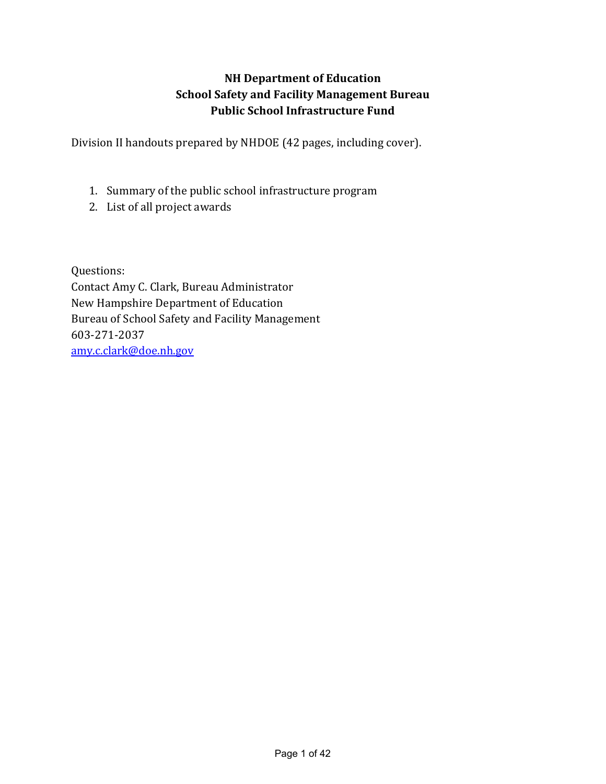# NH Department of Education School Safety and Facility Management Bureau Public School Infrastructure Fund

Division II handouts prepared by NHDOE (42 pages, including cover).

- 1. Summary of the public school infrastructure program
- 2. List of all project awards

Questions: Contact Amy C. Clark, Bureau Administrator New Hampshire Department of Education Bureau of School Safety and Facility Management 603-271-2037 amy.c.clark@doe.nh.gov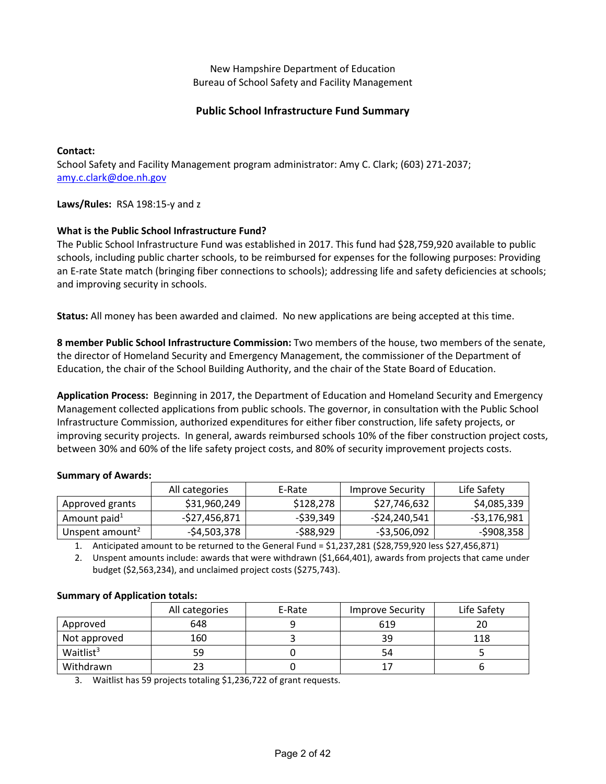New Hampshire Department of Education Bureau of School Safety and Facility Management

## Public School Infrastructure Fund Summary

#### Contact:

School Safety and Facility Management program administrator: Amy C. Clark; (603) 271-2037; amy.c.clark@doe.nh.gov

Laws/Rules: RSA 198:15-y and z

### What is the Public School Infrastructure Fund?

The Public School Infrastructure Fund was established in 2017. This fund had \$28,759,920 available to public schools, including public charter schools, to be reimbursed for expenses for the following purposes: Providing an E-rate State match (bringing fiber connections to schools); addressing life and safety deficiencies at schools; and improving security in schools.

Status: All money has been awarded and claimed. No new applications are being accepted at this time.

8 member Public School Infrastructure Commission: Two members of the house, two members of the senate, the director of Homeland Security and Emergency Management, the commissioner of the Department of Education, the chair of the School Building Authority, and the chair of the State Board of Education.

Application Process: Beginning in 2017, the Department of Education and Homeland Security and Emergency Management collected applications from public schools. The governor, in consultation with the Public School Infrastructure Commission, authorized expenditures for either fiber construction, life safety projects, or improving security projects. In general, awards reimbursed schools 10% of the fiber construction project costs, between 30% and 60% of the life safety project costs, and 80% of security improvement projects costs.

#### Summary of Awards:

|                             | All categories | E-Rate    | Improve Security | Life Safety  |
|-----------------------------|----------------|-----------|------------------|--------------|
| Approved grants             | \$31,960,249   | \$128,278 | \$27,746,632     | \$4,085,339  |
| Amount paid <sup>1</sup>    | -\$27,456,871  | -\$39,349 | -\$24,240,541    | -\$3,176,981 |
| Unspent amount <sup>2</sup> | -\$4,503,378   | -\$88,929 | $-53,506,092$    | $-5908,358$  |

1. Anticipated amount to be returned to the General Fund = \$1,237,281 (\$28,759,920 less \$27,456,871)

2. Unspent amounts include: awards that were withdrawn (\$1,664,401), awards from projects that came under budget (\$2,563,234), and unclaimed project costs (\$275,743).

|                       | All categories | E-Rate | <b>Improve Security</b> | Life Safety |
|-----------------------|----------------|--------|-------------------------|-------------|
| Approved              | 648            |        | 619                     | 20          |
| Not approved          | 160            |        | 39                      | 118         |
| Waitlist <sup>3</sup> | 59             |        | 54                      |             |
| Withdrawn             |                |        | 17                      |             |

#### Summary of Application totals:

3. Waitlist has 59 projects totaling \$1,236,722 of grant requests.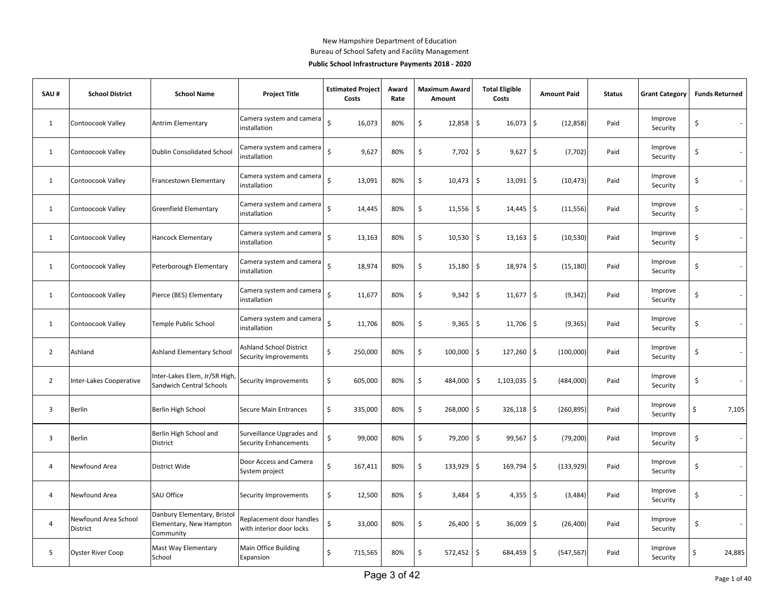#### New Hampshire Department of Education

Bureau of School Safety and Facility Management

#### Public School Infrastructure Payments 2018 - 2020

| SAU#           | <b>School District</b>           | <b>School Name</b>                                                  | <b>Project Title</b>                                      |                    | <b>Estimated Project</b><br>Costs | Award<br>Rate | <b>Maximum Award</b><br>Amount |                     | <b>Total Eligible</b><br>Costs | <b>Amount Paid</b>              | <b>Status</b> | <b>Grant Category</b> | <b>Funds Returned</b>          |
|----------------|----------------------------------|---------------------------------------------------------------------|-----------------------------------------------------------|--------------------|-----------------------------------|---------------|--------------------------------|---------------------|--------------------------------|---------------------------------|---------------|-----------------------|--------------------------------|
| $\mathbf{1}$   | Contoocook Valley                | Antrim Elementary                                                   | Camera system and camera<br>installation                  | $\dot{\mathsf{S}}$ | 16,073                            | 80%           | \$<br>12,858                   | \$                  | 16,073                         | \$<br>(12, 858)                 | Paid          | Improve<br>Security   | \$                             |
| $\mathbf{1}$   | Contoocook Valley                | Dublin Consolidated School                                          | Camera system and camera<br>installation                  | $\dot{\mathsf{S}}$ | 9,627                             | 80%           | \$<br>7,702                    | $\ddot{\mathsf{S}}$ | 9,627                          | $\ddot{\mathsf{S}}$<br>(7, 702) | Paid          | Improve<br>Security   | \$                             |
| 1              | Contoocook Valley                | Francestown Elementary                                              | Camera system and camera<br>installation                  | $\zeta$            | 13,091                            | 80%           | \$<br>10,473                   | \$                  | 13,091                         | \$<br>(10, 473)                 | Paid          | Improve<br>Security   | \$                             |
| $\mathbf{1}$   | Contoocook Valley                | <b>Greenfield Elementary</b>                                        | Camera system and camera<br>installation                  | $\zeta$            | 14,445                            | 80%           | \$<br>11,556                   | \$                  | 14,445                         | \$<br>(11, 556)                 | Paid          | Improve<br>Security   | \$                             |
| $\mathbf{1}$   | Contoocook Valley                | Hancock Elementary                                                  | Camera system and camera<br>installation                  | $\mathsf{S}$       | 13,163                            | 80%           | \$<br>10,530                   | \$                  | 13,163                         | $\zeta$<br>(10, 530)            | Paid          | Improve<br>Security   | \$                             |
| $\mathbf{1}$   | Contoocook Valley                | Peterborough Elementary                                             | Camera system and camera<br>installation                  | $\mathsf{\hat{S}}$ | 18,974                            | 80%           | \$<br>15,180                   | \$                  | 18,974                         | \$<br>(15, 180)                 | Paid          | Improve<br>Security   | \$                             |
| $\mathbf{1}$   | Contoocook Valley                | Pierce (BES) Elementary                                             | Camera system and camera<br>installation                  | $\dot{\mathsf{S}}$ | 11,677                            | 80%           | \$<br>9,342                    | \$                  | 11,677                         | $\ddot{\mathsf{S}}$<br>(9, 342) | Paid          | Improve<br>Security   | \$                             |
| $\mathbf{1}$   | Contoocook Valley                | Temple Public School                                                | Camera system and camera<br>installation                  | $\dot{\mathsf{S}}$ | 11,706                            | 80%           | \$<br>9,365                    | \$                  | $11,706$ \$                    | (9, 365)                        | Paid          | Improve<br>Security   | \$                             |
| $\overline{2}$ | Ashland                          | Ashland Elementary School                                           | <b>Ashland School District</b><br>Security Improvements   | Ŝ.                 | 250,000                           | 80%           | \$<br>100,000                  | \$                  | 127,260                        | $\sqrt{ }$<br>(100,000)         | Paid          | Improve<br>Security   | \$                             |
| $\overline{2}$ | <b>Inter-Lakes Cooperative</b>   | Inter-Lakes Elem, Jr/SR High<br>Sandwich Central Schools            | Security Improvements                                     | \$                 | 605,000                           | 80%           | \$<br>484,000                  | \$                  | 1,103,035                      | \$<br>(484,000)                 | Paid          | Improve<br>Security   | \$                             |
| 3              | <b>Berlin</b>                    | Berlin High School                                                  | <b>Secure Main Entrances</b>                              | \$                 | 335,000                           | 80%           | \$<br>268,000                  | \$                  | 326,118                        | l\$<br>(260, 895)               | Paid          | Improve<br>Security   | \$<br>7,105                    |
| 3              | <b>Berlin</b>                    | Berlin High School and<br>District                                  | Surveillance Upgrades and<br><b>Security Enhancements</b> | Ś                  | 99,000                            | 80%           | \$<br>79,200                   | \$                  | 99,567                         | \$<br>(79, 200)                 | Paid          | Improve<br>Security   | \$                             |
| 4              | Newfound Area                    | District Wide                                                       | Door Access and Camera<br>System project                  | \$                 | 167,411                           | 80%           | \$<br>133,929                  | \$                  | 169,794                        | \$<br>(133,929)                 | Paid          | Improve<br>Security   | \$<br>$\overline{\phantom{a}}$ |
| 4              | Newfound Area                    | SAU Office                                                          | Security Improvements                                     | \$                 | 12,500                            | 80%           | \$<br>3,484                    | \$                  | 4,355                          | l\$<br>(3, 484)                 | Paid          | Improve<br>Security   | \$                             |
| $\overline{4}$ | Newfound Area School<br>District | Danbury Elementary, Bristol<br>Elementary, New Hampton<br>Community | Replacement door handles<br>with interior door locks      | Ś                  | 33,000                            | 80%           | \$<br>26,400                   | \$                  | 36,009                         | \$<br>(26, 400)                 | Paid          | Improve<br>Security   | \$                             |
| 5              | <b>Oyster River Coop</b>         | Mast Way Elementary<br>School                                       | Main Office Building<br>Expansion                         | Ŝ.                 | 715,565                           | 80%           | \$<br>572,452                  | \$                  | 684,459                        | l\$<br>(547, 567)               | Paid          | Improve<br>Security   | \$<br>24,885                   |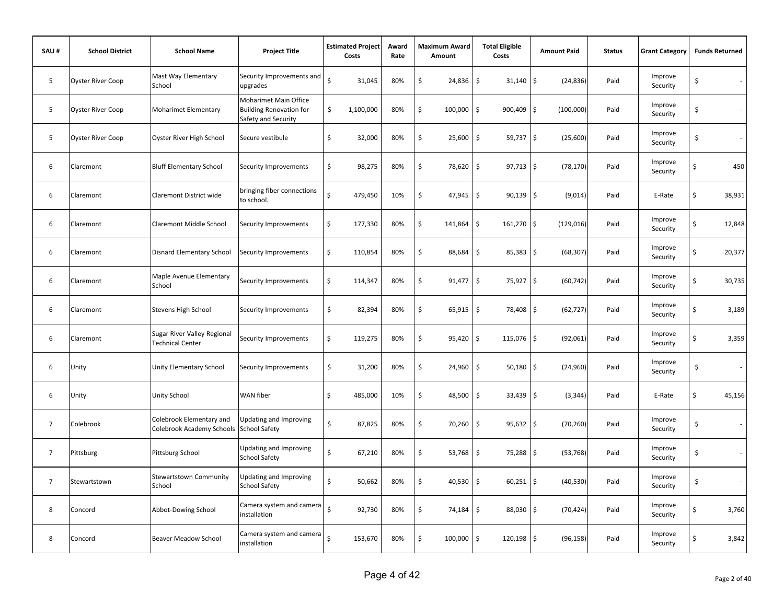| SAU#           | <b>School District</b>   | <b>School Name</b>                                     | <b>Project Title</b>                                                           |                    | <b>Estimated Project</b><br>Costs | Award<br>Rate | <b>Maximum Award</b><br>Amount | <b>Total Eligible</b><br>Costs   | <b>Amount Paid</b> | <b>Status</b> | <b>Grant Category</b> |    | <b>Funds Returned</b>    |
|----------------|--------------------------|--------------------------------------------------------|--------------------------------------------------------------------------------|--------------------|-----------------------------------|---------------|--------------------------------|----------------------------------|--------------------|---------------|-----------------------|----|--------------------------|
| 5              | <b>Oyster River Coop</b> | Mast Way Elementary<br>School                          | Security Improvements and<br>upgrades                                          | $\zeta$            | 31,045                            | 80%           | \$<br>24,836                   | \$<br>$31,140$ \$                | (24, 836)          | Paid          | Improve<br>Security   | \$ |                          |
| 5              | <b>Oyster River Coop</b> | Moharimet Elementary                                   | Moharimet Main Office<br><b>Building Renovation for</b><br>Safety and Security | \$                 | 1,100,000                         | 80%           | \$<br>100,000                  | \$<br>$900,409$ \$               | (100,000)          | Paid          | Improve<br>Security   | \$ |                          |
| 5              | <b>Oyster River Coop</b> | Oyster River High School                               | Secure vestibule                                                               | \$                 | 32,000                            | 80%           | \$<br>25,600                   | \$<br>59,737 \$                  | (25,600)           | Paid          | Improve<br>Security   | \$ |                          |
| 6              | Claremont                | <b>Bluff Elementary School</b>                         | Security Improvements                                                          | \$                 | 98,275                            | 80%           | \$<br>78,620                   | \$<br>$97,713$ \$                | (78, 170)          | Paid          | Improve<br>Security   | \$ | 450                      |
| 6              | Claremont                | Claremont District wide                                | bringing fiber connections<br>to school.                                       | Ś                  | 479,450                           | 10%           | \$<br>47,945                   | \$<br>$90,139$ \$                | (9,014)            | Paid          | E-Rate                | Ś  | 38,931                   |
| 6              | Claremont                | Claremont Middle School                                | Security Improvements                                                          | \$                 | 177,330                           | 80%           | \$<br>141,864                  | \$<br>161,270                    | l \$<br>(129, 016) | Paid          | Improve<br>Security   | \$ | 12,848                   |
| 6              | Claremont                | Disnard Elementary School                              | Security Improvements                                                          | \$                 | 110,854                           | 80%           | \$<br>88,684                   | $\ddot{\mathsf{S}}$<br>85,383    | \$<br>(68, 307)    | Paid          | Improve<br>Security   | \$ | 20,377                   |
| 6              | Claremont                | Maple Avenue Elementary<br>School                      | Security Improvements                                                          | \$                 | 114,347                           | 80%           | \$<br>91,477                   | \$<br>75,927                     | \$<br>(60, 742)    | Paid          | Improve<br>Security   | \$ | 30,735                   |
| 6              | Claremont                | Stevens High School                                    | Security Improvements                                                          | \$                 | 82,394                            | 80%           | \$<br>65,915                   | \$<br>78,408 \$                  | (62, 727)          | Paid          | Improve<br>Security   | \$ | 3,189                    |
| 6              | Claremont                | Sugar River Valley Regional<br><b>Technical Center</b> | Security Improvements                                                          | \$                 | 119,275                           | 80%           | \$<br>95,420                   | \$<br>115,076 \$                 | (92,061)           | Paid          | Improve<br>Security   | \$ | 3,359                    |
| 6              | Unity                    | Unity Elementary School                                | Security Improvements                                                          | \$                 | 31,200                            | 80%           | \$<br>24,960                   | \$<br>$50,180$ \$                | (24, 960)          | Paid          | Improve<br>Security   | \$ | $\overline{\phantom{a}}$ |
| 6              | Unity                    | Unity School                                           | WAN fiber                                                                      | \$                 | 485,000                           | 10%           | \$<br>48,500                   | $\zeta$<br>$33,439$ \$           | (3, 344)           | Paid          | E-Rate                | Ś  | 45,156                   |
| 7              | Colebrook                | Colebrook Elementary and<br>Colebrook Academy Schools  | Updating and Improving<br><b>School Safety</b>                                 | \$                 | 87,825                            | 80%           | \$<br>70,260                   | \$<br>$95,632$ \$                | (70, 260)          | Paid          | Improve<br>Security   | \$ |                          |
| $\overline{7}$ | Pittsburg                | Pittsburg School                                       | <b>Updating and Improving</b><br><b>School Safety</b>                          | \$                 | 67,210                            | 80%           | \$<br>53,768                   | \$<br>75,288                     | \$<br>(53, 768)    | Paid          | Improve<br>Security   | \$ |                          |
| $\overline{7}$ | Stewartstown             | <b>Stewartstown Community</b><br>School                | <b>Updating and Improving</b><br><b>School Safety</b>                          | Ś                  | 50,662                            | 80%           | \$<br>40,530                   | \$<br>$60,251$ \$                | (40, 530)          | Paid          | Improve<br>Security   | \$ | $\sim$                   |
| 8              | Concord                  | Abbot-Dowing School                                    | Camera system and camera<br>installation                                       | Ś                  | 92,730                            | 80%           | \$<br>74,184                   | $\ddot{\mathsf{S}}$<br>88,030 \$ | (70, 424)          | Paid          | Improve<br>Security   | \$ | 3,760                    |
| 8              | Concord                  | Beaver Meadow School                                   | Camera system and camera<br>installation                                       | $\mathsf{\hat{S}}$ | 153,670                           | 80%           | \$<br>100,000                  | \$<br>120,198 \$                 | (96, 158)          | Paid          | Improve<br>Security   | \$ | 3,842                    |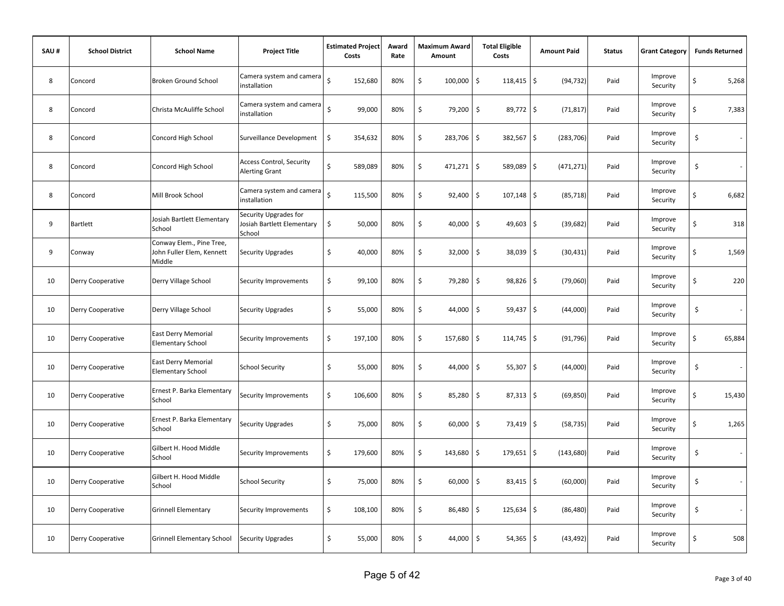| SAU# | <b>School District</b> | <b>School Name</b>                                              | <b>Project Title</b>                                          | <b>Estimated Project</b><br>Costs | Award<br>Rate | <b>Maximum Award</b><br>Amount | <b>Total Eligible</b><br>Costs | <b>Amount Paid</b>   | <b>Status</b> | <b>Grant Category</b> | <b>Funds Returned</b>          |
|------|------------------------|-----------------------------------------------------------------|---------------------------------------------------------------|-----------------------------------|---------------|--------------------------------|--------------------------------|----------------------|---------------|-----------------------|--------------------------------|
| 8    | Concord                | Broken Ground School                                            | Camera system and camera<br>installation                      | $\zeta$<br>152,680                | 80%           | \$<br>100,000                  | \$<br>118,415                  | \$<br>(94, 732)      | Paid          | Improve<br>Security   | \$<br>5,268                    |
| 8    | Concord                | Christa McAuliffe School                                        | Camera system and camera<br>installation                      | $\mathsf{\hat{S}}$<br>99,000      | 80%           | \$<br>79,200                   | \$<br>89,772                   | $\zeta$<br>(71, 817) | Paid          | Improve<br>Security   | Ś<br>7,383                     |
| 8    | Concord                | Concord High School                                             | Surveillance Development                                      | \$<br>354,632                     | 80%           | \$<br>283,706                  | $\ddot{\mathsf{S}}$<br>382,567 | \$<br>(283, 706)     | Paid          | Improve<br>Security   | \$<br>$\sim$                   |
| 8    | Concord                | Concord High School                                             | <b>Access Control, Security</b><br><b>Alerting Grant</b>      | Ś<br>589,089                      | 80%           | \$<br>$471,271$ \$             | 589,089                        | \$<br>(471, 271)     | Paid          | Improve<br>Security   | \$                             |
| 8    | Concord                | Mill Brook School                                               | Camera system and camera<br>installation                      | $\zeta$<br>115,500                | 80%           | \$<br>92,400                   | \$<br>$107,148$ \$             | (85, 718)            | Paid          | Improve<br>Security   | \$<br>6,682                    |
| 9    | <b>Bartlett</b>        | Josiah Bartlett Elementary<br>School                            | Security Upgrades for<br>Josiah Bartlett Elementary<br>School | \$<br>50,000                      | 80%           | \$<br>40,000                   | \$<br>49,603                   | \$<br>(39, 682)      | Paid          | Improve<br>Security   | Ś<br>318                       |
| 9    | Conway                 | Conway Elem., Pine Tree,<br>John Fuller Elem, Kennett<br>Middle | Security Upgrades                                             | \$<br>40,000                      | 80%           | \$<br>32,000                   | \$<br>38,039                   | \$<br>(30, 431)      | Paid          | Improve<br>Security   | \$<br>1,569                    |
| 10   | Derry Cooperative      | Derry Village School                                            | Security Improvements                                         | \$<br>99,100                      | 80%           | \$<br>79,280                   | \$<br>98,826                   | \$<br>(79,060)       | Paid          | Improve<br>Security   | \$<br>220                      |
| 10   | Derry Cooperative      | Derry Village School                                            | Security Upgrades                                             | \$<br>55,000                      | 80%           | \$<br>44,000                   | \$<br>$59,437$ \$              | (44,000)             | Paid          | Improve<br>Security   | \$                             |
| 10   | Derry Cooperative      | <b>East Derry Memorial</b><br><b>Elementary School</b>          | Security Improvements                                         | \$<br>197,100                     | 80%           | \$<br>157,680                  | $\ddot{\mathsf{S}}$<br>114,745 | \$<br>(91, 796)      | Paid          | Improve<br>Security   | Ś<br>65,884                    |
| 10   | Derry Cooperative      | <b>East Derry Memorial</b><br><b>Elementary School</b>          | <b>School Security</b>                                        | \$<br>55,000                      | 80%           | \$<br>44,000                   | \$<br>55,307                   | \$<br>(44,000)       | Paid          | Improve<br>Security   | \$<br>$\overline{\phantom{a}}$ |
| 10   | Derry Cooperative      | Ernest P. Barka Elementary<br>School                            | Security Improvements                                         | \$<br>106,600                     | 80%           | \$<br>85,280                   | \$<br>$87,313$ \$              | (69, 850)            | Paid          | Improve<br>Security   | \$<br>15,430                   |
| 10   | Derry Cooperative      | Ernest P. Barka Elementary<br>School                            | <b>Security Upgrades</b>                                      | \$<br>75,000                      | 80%           | \$<br>60,000                   | \$<br>73,419 \$                | (58, 735)            | Paid          | Improve<br>Security   | 1,265<br>Ś                     |
| 10   | Derry Cooperative      | Gilbert H. Hood Middle<br>School                                | Security Improvements                                         | \$<br>179,600                     | 80%           | \$<br>143,680                  | \$<br>179,651                  | \$<br>(143, 680)     | Paid          | Improve<br>Security   | \$<br>$\sim$                   |
| 10   | Derry Cooperative      | Gilbert H. Hood Middle<br>School                                | <b>School Security</b>                                        | \$<br>75,000                      | 80%           | \$<br>60,000                   | \$<br>83,415                   | \$<br>(60,000)       | Paid          | Improve<br>Security   | \$<br>$\sim$                   |
| 10   | Derry Cooperative      | <b>Grinnell Elementary</b>                                      | Security Improvements                                         | \$<br>108,100                     | 80%           | \$<br>86,480                   | \$<br>$125,634$ \$             | (86, 480)            | Paid          | Improve<br>Security   | \$                             |
| 10   | Derry Cooperative      | <b>Grinnell Elementary School</b>                               | <b>Security Upgrades</b>                                      | \$<br>55,000                      | 80%           | \$<br>44,000                   | $\ddot{\mathsf{S}}$<br>54,365  | \$<br>(43, 492)      | Paid          | Improve<br>Security   | Ś<br>508                       |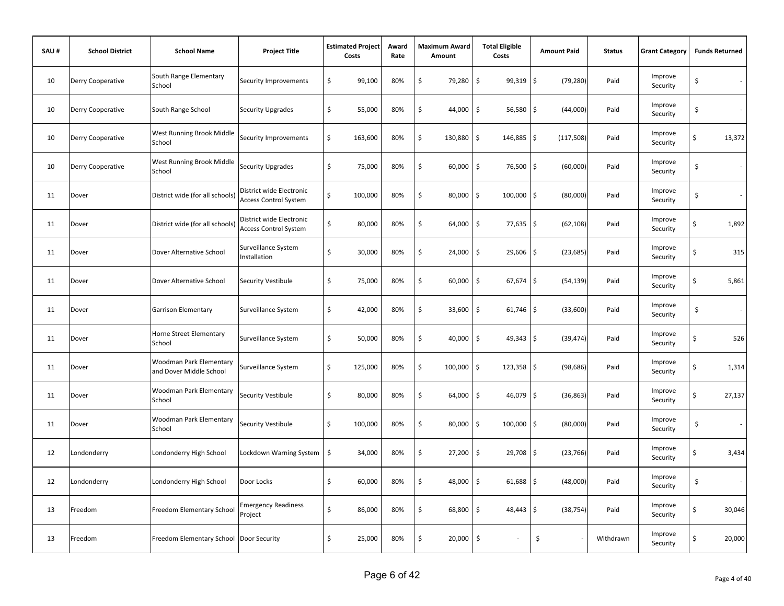| SAU# | <b>School District</b> | <b>School Name</b>                                 | <b>Project Title</b>                                     | <b>Estimated Project</b><br>Costs | Award<br>Rate | <b>Maximum Award</b><br>Amount | <b>Total Eligible</b><br>Costs     | <b>Amount Paid</b> | <b>Status</b> | <b>Grant Category</b> |    | <b>Funds Returned</b> |
|------|------------------------|----------------------------------------------------|----------------------------------------------------------|-----------------------------------|---------------|--------------------------------|------------------------------------|--------------------|---------------|-----------------------|----|-----------------------|
| 10   | Derry Cooperative      | South Range Elementary<br>School                   | Security Improvements                                    | \$<br>99,100                      | 80%           | \$<br>79,280                   | \$<br>99,319                       | \$<br>(79, 280)    | Paid          | Improve<br>Security   | \$ |                       |
| 10   | Derry Cooperative      | South Range School                                 | Security Upgrades                                        | \$<br>55,000                      | 80%           | \$<br>44,000                   | $\ddot{\mathsf{S}}$<br>56,580      | \$<br>(44,000)     | Paid          | Improve<br>Security   | \$ |                       |
| 10   | Derry Cooperative      | West Running Brook Middle<br>School                | Security Improvements                                    | \$<br>163,600                     | 80%           | \$<br>130,880                  | \$<br>146,885                      | l\$<br>(117,508)   | Paid          | Improve<br>Security   | \$ | 13,372                |
| 10   | Derry Cooperative      | West Running Brook Middle<br>School                | <b>Security Upgrades</b>                                 | \$<br>75,000                      | 80%           | \$<br>60,000                   | \$<br>76,500 \$                    | (60,000)           | Paid          | Improve<br>Security   | \$ |                       |
| 11   | Dover                  | District wide (for all schools)                    | District wide Electronic<br><b>Access Control System</b> | \$<br>100,000                     | 80%           | \$<br>80,000                   | \$<br>$100,000$ \$                 | (80,000)           | Paid          | Improve<br>Security   | \$ |                       |
| 11   | Dover                  | District wide (for all schools)                    | District wide Electronic<br><b>Access Control System</b> | \$<br>80,000                      | 80%           | \$<br>64,000                   | \$<br>$77,635$ \$                  | (62, 108)          | Paid          | Improve<br>Security   | \$ | 1,892                 |
| 11   | Dover                  | Dover Alternative School                           | Surveillance System<br>Installation                      | \$<br>30,000                      | 80%           | \$<br>24,000                   | \$<br>29,606                       | \$<br>(23, 685)    | Paid          | Improve<br>Security   | \$ | 315                   |
| 11   | Dover                  | Dover Alternative School                           | Security Vestibule                                       | \$<br>75,000                      | 80%           | \$<br>60,000                   | $\ddot{\mathsf{S}}$<br>67,674      | \$<br>(54, 139)    | Paid          | Improve<br>Security   | \$ | 5,861                 |
| 11   | Dover                  | Garrison Elementary                                | Surveillance System                                      | \$<br>42,000                      | 80%           | \$<br>33,600                   | \$<br>$61,746$ \$                  | (33,600)           | Paid          | Improve<br>Security   | \$ | $\sim$                |
| 11   | Dover                  | Horne Street Elementary<br>School                  | Surveillance System                                      | \$<br>50,000                      | 80%           | \$<br>40,000                   | \$<br>$49,343$ \$                  | (39, 474)          | Paid          | Improve<br>Security   | \$ | 526                   |
| 11   | Dover                  | Woodman Park Elementary<br>and Dover Middle School | Surveillance System                                      | \$<br>125,000                     | 80%           | \$<br>100,000                  | \$<br>$123,358$ \$                 | (98, 686)          | Paid          | Improve<br>Security   | \$ | 1,314                 |
| 11   | Dover                  | <b>Woodman Park Elementary</b><br>School           | Security Vestibule                                       | \$<br>80,000                      | 80%           | \$<br>64,000                   | \$<br>46,079                       | \$<br>(36, 863)    | Paid          | Improve<br>Security   | \$ | 27,137                |
| 11   | Dover                  | Woodman Park Elementary<br>School                  | Security Vestibule                                       | \$<br>100,000                     | 80%           | \$<br>80,000                   | \$<br>100,000                      | \$<br>(80,000)     | Paid          | Improve<br>Security   | \$ | $\sim$                |
| 12   | Londonderry            | Londonderry High School                            | Lockdown Warning System                                  | \$<br>34,000                      | 80%           | \$<br>27,200                   | \$<br>29,708 \$                    | (23, 766)          | Paid          | Improve<br>Security   | \$ | 3,434                 |
| 12   | Londonderry            | Londonderry High School                            | Door Locks                                               | \$<br>60,000                      | 80%           | \$<br>48,000                   | $\ddot{\mathsf{S}}$<br>$61,688$ \$ | (48,000)           | Paid          | Improve<br>Security   | \$ | $\sim$                |
| 13   | Freedom                | Freedom Elementary School                          | <b>Emergency Readiness</b><br>Project                    | \$<br>86,000                      | 80%           | \$<br>68,800                   | \$<br>$48,443$ \$                  | (38, 754)          | Paid          | Improve<br>Security   | \$ | 30,046                |
| 13   | Freedom                | Freedom Elementary School Door Security            |                                                          | \$<br>25,000                      | 80%           | \$<br>20,000                   | $\zeta$                            | \$                 | Withdrawn     | Improve<br>Security   | Ś  | 20,000                |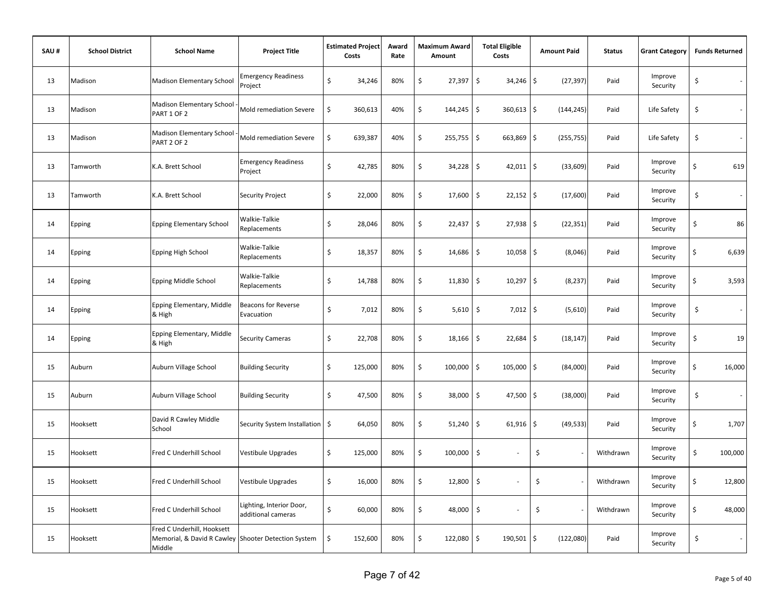| SAU# | <b>School District</b> | <b>School Name</b>                                                                          | <b>Project Title</b>                           | <b>Estimated Project</b><br>Costs | Award<br>Rate |         | <b>Maximum Award</b><br>Amount | <b>Total Eligible</b><br>Costs    | <b>Amount Paid</b>  |            | <b>Status</b> | <b>Grant Category</b> | <b>Funds Returned</b> |
|------|------------------------|---------------------------------------------------------------------------------------------|------------------------------------------------|-----------------------------------|---------------|---------|--------------------------------|-----------------------------------|---------------------|------------|---------------|-----------------------|-----------------------|
| 13   | Madison                | <b>Madison Elementary School</b>                                                            | <b>Emergency Readiness</b><br>Project          | \$<br>34,246                      | 80%           | \$      | 27,397                         | \$<br>34,246                      | \$                  | (27, 397)  | Paid          | Improve<br>Security   | \$                    |
| 13   | Madison                | Madison Elementary School<br>PART 1 OF 2                                                    | Mold remediation Severe                        | \$<br>360,613                     | 40%           | \$      | 144,245                        | \$<br>360,613                     | \$                  | (144, 245) | Paid          | Life Safety           | \$<br>$\sim$          |
| 13   | Madison                | Madison Elementary School<br>PART 2 OF 2                                                    | Mold remediation Severe                        | \$<br>639,387                     | 40%           | \$      | 255,755                        | \$<br>663,869                     | \$                  | (255, 755) | Paid          | Life Safety           | \$                    |
| 13   | Tamworth               | K.A. Brett School                                                                           | <b>Emergency Readiness</b><br>Project          | \$<br>42,785                      | 80%           | \$      | 34,228                         | \$<br>42,011                      | \$                  | (33,609)   | Paid          | Improve<br>Security   | \$<br>619             |
| 13   | Tamworth               | K.A. Brett School                                                                           | Security Project                               | \$<br>22,000                      | 80%           | \$      | 17,600                         | \$<br>$22,152$ \$                 |                     | (17,600)   | Paid          | Improve<br>Security   | \$<br>$\sim$          |
| 14   | Epping                 | <b>Epping Elementary School</b>                                                             | Walkie-Talkie<br>Replacements                  | \$<br>28,046                      | 80%           | \$      | 22,437                         | \$<br>$27,938$ \$                 |                     | (22, 351)  | Paid          | Improve<br>Security   | \$<br>86              |
| 14   | Epping                 | Epping High School                                                                          | Walkie-Talkie<br>Replacements                  | \$<br>18,357                      | 80%           | \$      | 14,686                         | \$<br>10,058                      | $\ddot{\mathsf{S}}$ | (8,046)    | Paid          | Improve<br>Security   | \$<br>6,639           |
| 14   | Epping                 | Epping Middle School                                                                        | Walkie-Talkie<br>Replacements                  | \$<br>14,788                      | 80%           | \$      | 11,830                         | \$<br>10,297                      | \$                  | (8, 237)   | Paid          | Improve<br>Security   | \$<br>3,593           |
| 14   | Epping                 | Epping Elementary, Middle<br>& High                                                         | <b>Beacons for Reverse</b><br>Evacuation       | \$<br>7,012                       | 80%           | $\zeta$ | 5,610                          | $\ddot{\mathsf{S}}$<br>$7,012$ \$ |                     | (5,610)    | Paid          | Improve<br>Security   | \$<br>$\sim$          |
| 14   | Epping                 | Epping Elementary, Middle<br>& High                                                         | <b>Security Cameras</b>                        | \$<br>22,708                      | 80%           | \$      | 18,166                         | $\ddot{\mathsf{S}}$<br>22,684     | \$                  | (18, 147)  | Paid          | Improve<br>Security   | \$<br>19              |
| 15   | Auburn                 | Auburn Village School                                                                       | <b>Building Security</b>                       | \$<br>125,000                     | 80%           | \$      | 100,000                        | \$<br>105,000                     | \$                  | (84,000)   | Paid          | Improve<br>Security   | \$<br>16,000          |
| 15   | Auburn                 | Auburn Village School                                                                       | <b>Building Security</b>                       | \$<br>47,500                      | 80%           | \$      | 38,000                         | \$<br>47,500                      | $\zeta$             | (38,000)   | Paid          | Improve<br>Security   | \$<br>$\sim$          |
| 15   | Hooksett               | David R Cawley Middle<br>School                                                             | Security System Installation   \$              | 64,050                            | 80%           | \$      | 51,240                         | \$<br>61,916                      | \$                  | (49, 533)  | Paid          | Improve<br>Security   | \$<br>1,707           |
| 15   | Hooksett               | Fred C Underhill School                                                                     | Vestibule Upgrades                             | \$<br>125,000                     | 80%           | \$      | 100,000                        | \$                                | \$                  |            | Withdrawn     | Improve<br>Security   | \$<br>100,000         |
| 15   | Hooksett               | Fred C Underhill School                                                                     | Vestibule Upgrades                             | \$<br>16,000                      | 80%           | \$      | 12,800                         | \$                                | \$                  |            | Withdrawn     | Improve<br>Security   | \$<br>12,800          |
| 15   | Hooksett               | Fred C Underhill School                                                                     | Lighting, Interior Door,<br>additional cameras | \$<br>60,000                      | 80%           | \$      | 48,000                         | $\zeta$                           | \$                  |            | Withdrawn     | Improve<br>Security   | \$<br>48,000          |
| 15   | Hooksett               | Fred C Underhill, Hooksett<br>Memorial, & David R Cawley Shooter Detection System<br>Middle |                                                | \$<br>152,600                     | 80%           | \$      | 122,080                        | \$<br>190,501                     | \$                  | (122,080)  | Paid          | Improve<br>Security   | \$<br>$\sim$          |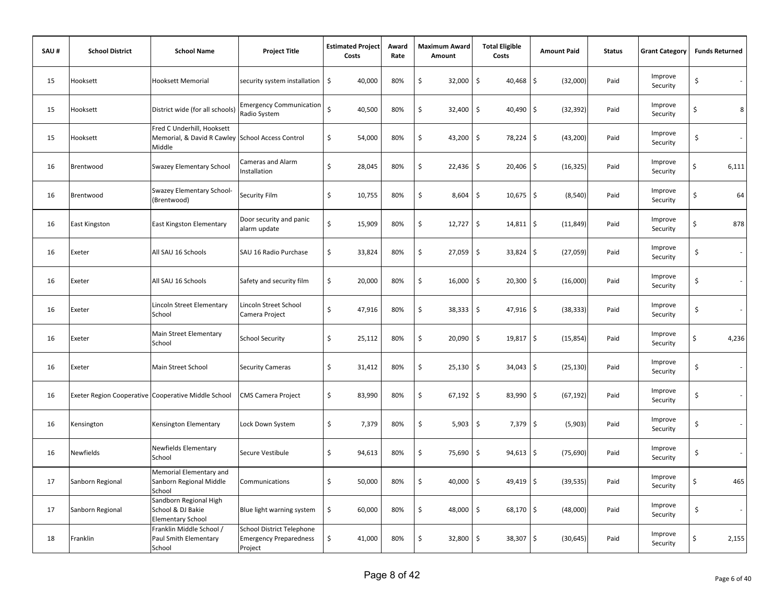| SAU# | <b>School District</b> | <b>School Name</b>                                                                       | <b>Project Title</b>                                                         | <b>Estimated Project</b><br>Costs | Award<br>Rate | <b>Maximum Award</b><br>Amount | <b>Total Eligible</b><br>Costs | <b>Amount Paid</b>         | <b>Status</b> | <b>Grant Category</b> | <b>Funds Returned</b>          |
|------|------------------------|------------------------------------------------------------------------------------------|------------------------------------------------------------------------------|-----------------------------------|---------------|--------------------------------|--------------------------------|----------------------------|---------------|-----------------------|--------------------------------|
| 15   | Hooksett               | Hooksett Memorial                                                                        | security system installation                                                 | \$<br>40,000                      | 80%           | \$<br>32,000                   | \$<br>40,468                   | $\zeta$<br>(32,000)        | Paid          | Improve<br>Security   | \$<br>$\sim$                   |
| 15   | Hooksett               | District wide (for all schools)                                                          | <b>Emergency Communication</b><br>Radio System                               | $\mathsf{\hat{S}}$<br>40,500      | 80%           | \$<br>32,400                   | $\ddot{\mathsf{S}}$<br>40,490  | $\zeta$<br>(32, 392)       | Paid          | Improve<br>Security   | 8<br>\$                        |
| 15   | Hooksett               | Fred C Underhill, Hooksett<br>Memorial, & David R Cawley School Access Control<br>Middle |                                                                              | \$<br>54,000                      | 80%           | \$<br>43,200                   | \$<br>78,224                   | $\zeta$<br>(43, 200)       | Paid          | Improve<br>Security   | \$<br>$\overline{\phantom{a}}$ |
| 16   | Brentwood              | Swazey Elementary School                                                                 | Cameras and Alarm<br>Installation                                            | \$<br>28,045                      | 80%           | \$<br>22,436                   | \$<br>20,406                   | \$<br>(16, 325)            | Paid          | Improve<br>Security   | \$<br>6,111                    |
| 16   | Brentwood              | Swazey Elementary School-<br>(Brentwood)                                                 | Security Film                                                                | \$<br>10,755                      | 80%           | \$<br>8,604                    | $10,675$ \$<br>\$              | (8, 540)                   | Paid          | Improve<br>Security   | \$<br>64                       |
| 16   | East Kingston          | East Kingston Elementary                                                                 | Door security and panic<br>alarm update                                      | \$<br>15,909                      | 80%           | \$<br>12,727                   | $\ddot{\mathsf{S}}$<br>14,811  | \$<br>(11, 849)            | Paid          | Improve<br>Security   | 878<br>\$                      |
| 16   | Exeter                 | All SAU 16 Schools                                                                       | SAU 16 Radio Purchase                                                        | \$<br>33,824                      | 80%           | \$<br>27,059                   | \$<br>33,824                   | \$<br>(27,059)             | Paid          | Improve<br>Security   | \$<br>$\sim$                   |
| 16   | Exeter                 | All SAU 16 Schools                                                                       | Safety and security film                                                     | \$<br>20,000                      | 80%           | \$<br>16,000                   | \$<br>20,300                   | \$<br>(16,000)             | Paid          | Improve<br>Security   | \$<br>$\overline{\phantom{a}}$ |
| 16   | Exeter                 | Lincoln Street Elementary<br>School                                                      | Lincoln Street School<br>Camera Project                                      | \$<br>47,916                      | 80%           | \$<br>38,333                   | $\ddot{\mathsf{S}}$<br>47,916  | $\frac{1}{2}$<br>(38, 333) | Paid          | Improve<br>Security   | \$<br>$\overline{\phantom{a}}$ |
| 16   | Exeter                 | Main Street Elementary<br>School                                                         | <b>School Security</b>                                                       | \$<br>25,112                      | 80%           | \$<br>20,090                   | $\ddot{\mathsf{S}}$<br>19,817  | $\zeta$<br>(15, 854)       | Paid          | Improve<br>Security   | \$<br>4,236                    |
| 16   | Exeter                 | Main Street School                                                                       | <b>Security Cameras</b>                                                      | \$<br>31,412                      | 80%           | \$<br>25,130                   | \$<br>34,043                   | \$<br>(25, 130)            | Paid          | Improve<br>Security   | \$<br>$\sim$                   |
| 16   |                        | Exeter Region Cooperative Cooperative Middle School                                      | <b>CMS Camera Project</b>                                                    | \$<br>83,990                      | 80%           | \$<br>67,192                   | \$<br>83,990                   | \$<br>(67, 192)            | Paid          | Improve<br>Security   | \$<br>$\sim$                   |
| 16   | Kensington             | Kensington Elementary                                                                    | Lock Down System                                                             | \$<br>7,379                       | 80%           | \$<br>5,903                    | \$<br>7,379                    | \$<br>(5,903)              | Paid          | Improve<br>Security   | \$<br>$\overline{\phantom{a}}$ |
| 16   | <b>Newfields</b>       | Newfields Elementary<br>School                                                           | Secure Vestibule                                                             | \$<br>94,613                      | 80%           | \$<br>75,690                   | \$<br>94,613                   | \$<br>(75, 690)            | Paid          | Improve<br>Security   | \$<br>$\overline{\phantom{a}}$ |
| 17   | Sanborn Regional       | Memorial Elementary and<br>Sanborn Regional Middle<br>School                             | Communications                                                               | \$<br>50,000                      | 80%           | \$<br>40,000                   | \$<br>49,419                   | \$<br>(39, 535)            | Paid          | Improve<br>Security   | 465<br>\$                      |
| 17   | Sanborn Regional       | Sandborn Regional High<br>School & DJ Bakie<br><b>Elementary School</b>                  | Blue light warning system                                                    | \$<br>60,000                      | 80%           | \$<br>48,000                   | \$<br>68,170                   | \$<br>(48,000)             | Paid          | Improve<br>Security   | \$<br>$\sim$                   |
| 18   | Franklin               | Franklin Middle School /<br>Paul Smith Elementary<br>School                              | <b>School District Telephone</b><br><b>Emergency Preparedness</b><br>Project | \$<br>41,000                      | 80%           | \$<br>32,800                   | $\ddot{\mathsf{S}}$<br>38,307  | $\zeta$<br>(30, 645)       | Paid          | Improve<br>Security   | 2,155<br>\$                    |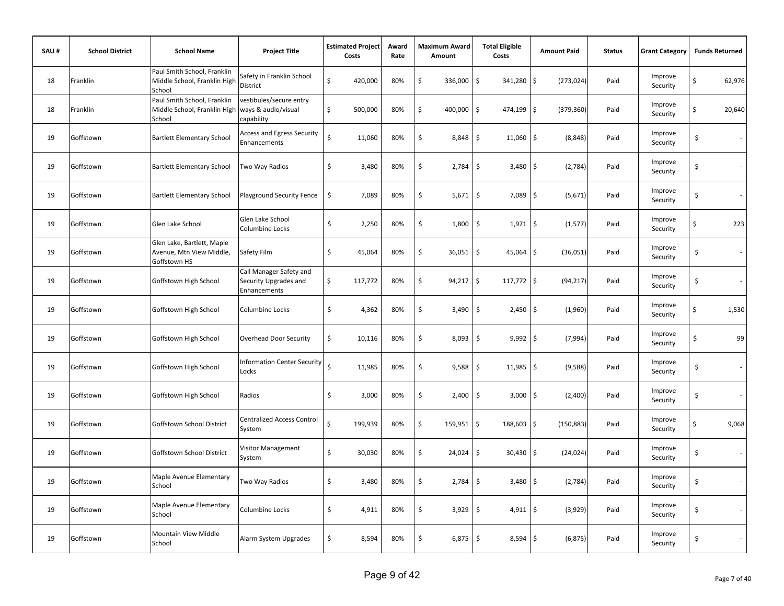| SAU# | <b>School District</b> | <b>School Name</b>                                                     | <b>Project Title</b>                                             | <b>Estimated Project</b><br>Costs | Award<br>Rate | <b>Maximum Award</b><br>Amount | <b>Total Eligible</b><br>Costs    | <b>Amount Paid</b> | <b>Status</b> | <b>Grant Category</b> | <b>Funds Returned</b>                           |
|------|------------------------|------------------------------------------------------------------------|------------------------------------------------------------------|-----------------------------------|---------------|--------------------------------|-----------------------------------|--------------------|---------------|-----------------------|-------------------------------------------------|
| 18   | Franklin               | Paul Smith School, Franklin<br>Middle School, Franklin High<br>School  | Safety in Franklin School<br>District                            | \$<br>420,000                     | 80%           | \$<br>336,000                  | \$<br>341,280                     | \$<br>(273, 024)   | Paid          | Improve<br>Security   | \$<br>62,976                                    |
| 18   | Franklin               | Paul Smith School, Franklin<br>Middle School, Franklin High<br>School  | vestibules/secure entry<br>ways & audio/visual<br>capability     | \$<br>500,000                     | 80%           | \$<br>400,000                  | \$<br>474,199 \$                  | (379, 360)         | Paid          | Improve<br>Security   | \$<br>20,640                                    |
| 19   | Goffstown              | <b>Bartlett Elementary School</b>                                      | <b>Access and Egress Security</b><br>Enhancements                | \$<br>11,060                      | 80%           | \$<br>8,848                    | \$<br>$11,060$ \$                 | (8, 848)           | Paid          | Improve<br>Security   | \$                                              |
| 19   | Goffstown              | <b>Bartlett Elementary School</b>                                      | Two Way Radios                                                   | \$<br>3,480                       | 80%           | \$<br>2,784                    | \$<br>$3,480$ \$                  | (2,784)            | Paid          | Improve<br>Security   | $\ddot{\mathsf{S}}$<br>$\overline{\phantom{a}}$ |
| 19   | Goffstown              | <b>Bartlett Elementary School</b>                                      | Playground Security Fence                                        | \$<br>7,089                       | 80%           | \$<br>5,671                    | \$<br>$7,089$ \$                  | (5,671)            | Paid          | Improve<br>Security   | $\ddot{\mathsf{S}}$                             |
| 19   | Goffstown              | Glen Lake School                                                       | Glen Lake School<br>Columbine Locks                              | \$<br>2,250                       | 80%           | \$<br>1,800                    | \$<br>$1,971$ \$                  | (1, 577)           | Paid          | Improve<br>Security   | \$<br>223                                       |
| 19   | Goffstown              | Glen Lake, Bartlett, Maple<br>Avenue, Mtn View Middle,<br>Goffstown HS | Safety Film                                                      | \$<br>45,064                      | 80%           | \$<br>36,051                   | $\ddot{\mathsf{S}}$<br>45,064     | \$<br>(36,051)     | Paid          | Improve<br>Security   | \$<br>$\sim$                                    |
| 19   | Goffstown              | Goffstown High School                                                  | Call Manager Safety and<br>Security Upgrades and<br>Enhancements | \$<br>117,772                     | 80%           | \$<br>94,217                   | \$<br>$117,772$ \$                | (94, 217)          | Paid          | Improve<br>Security   | \$<br>$\sim$                                    |
| 19   | Goffstown              | Goffstown High School                                                  | Columbine Locks                                                  | \$<br>4,362                       | 80%           | \$<br>3,490                    | $\mathsf{\hat{S}}$<br>$2,450$ \$  | (1,960)            | Paid          | Improve<br>Security   | \$<br>1,530                                     |
| 19   | Goffstown              | Goffstown High School                                                  | <b>Overhead Door Security</b>                                    | \$<br>10,116                      | 80%           | \$<br>8,093                    | \$<br>$9,992$ \$                  | (7,994)            | Paid          | Improve<br>Security   | \$<br>99                                        |
| 19   | Goffstown              | Goffstown High School                                                  | <b>Information Center Security</b><br>Locks                      | \$<br>11,985                      | 80%           | \$<br>9,588                    | \$<br>$11,985$ \$                 | (9,588)            | Paid          | Improve<br>Security   | \$<br>$\sim$                                    |
| 19   | Goffstown              | Goffstown High School                                                  | Radios                                                           | \$<br>3,000                       | 80%           | \$<br>2,400                    | \$<br>$3,000$ \$                  | (2,400)            | Paid          | Improve<br>Security   | \$<br>÷.                                        |
| 19   | Goffstown              | Goffstown School District                                              | <b>Centralized Access Control</b><br>System                      | Ś<br>199,939                      | 80%           | \$<br>159,951                  | \$<br>188,603 \$                  | (150, 883)         | Paid          | Improve<br>Security   | \$<br>9,068                                     |
| 19   | Goffstown              | Goffstown School District                                              | Visitor Management<br>System                                     | \$<br>30,030                      | 80%           | \$<br>24,024                   | \$<br>30,430 \$                   | (24, 024)          | Paid          | Improve<br>Security   | \$                                              |
| 19   | Goffstown              | Maple Avenue Elementary<br>School                                      | Two Way Radios                                                   | \$<br>3,480                       | 80%           | \$<br>2,784                    | \$<br>3,480                       | \$<br>(2,784)      | Paid          | Improve<br>Security   | \$                                              |
| 19   | Goffstown              | Maple Avenue Elementary<br>School                                      | Columbine Locks                                                  | \$<br>4,911                       | 80%           | \$<br>3,929                    | $\ddot{\mathsf{S}}$<br>$4,911$ \$ | (3,929)            | Paid          | Improve<br>Security   | \$                                              |
| 19   | Goffstown              | Mountain View Middle<br>School                                         | Alarm System Upgrades                                            | \$<br>8,594                       | 80%           | \$<br>6,875                    | \$<br>$8,594$ \$                  | (6, 875)           | Paid          | Improve<br>Security   | \$                                              |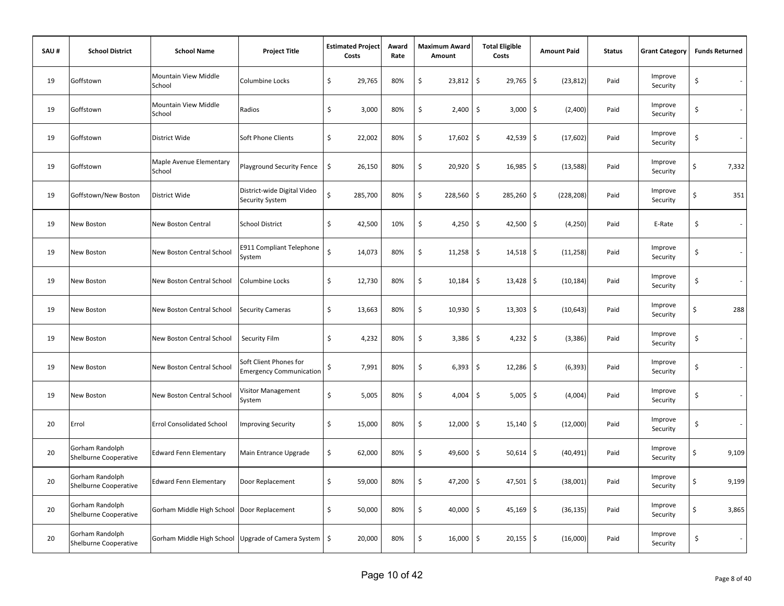| SAU# | <b>School District</b>                   | <b>School Name</b>                                      | <b>Project Title</b>                                     |    | <b>Estimated Project</b><br>Costs | Award<br>Rate | <b>Maximum Award</b><br>Amount | <b>Total Eligible</b><br>Costs     | <b>Amount Paid</b> | <b>Status</b> | <b>Grant Category</b> | <b>Funds Returned</b>          |
|------|------------------------------------------|---------------------------------------------------------|----------------------------------------------------------|----|-----------------------------------|---------------|--------------------------------|------------------------------------|--------------------|---------------|-----------------------|--------------------------------|
| 19   | Goffstown                                | Mountain View Middle<br>School                          | Columbine Locks                                          | \$ | 29,765                            | 80%           | \$<br>23,812                   | \$<br>29,765                       | \$<br>(23, 812)    | Paid          | Improve<br>Security   | \$<br>$\sim$                   |
| 19   | Goffstown                                | Mountain View Middle<br>School                          | Radios                                                   | \$ | 3,000                             | 80%           | \$<br>2,400                    | \$<br>3,000                        | \$<br>(2,400)      | Paid          | Improve<br>Security   | \$<br>$\sim$                   |
| 19   | Goffstown                                | District Wide                                           | Soft Phone Clients                                       | \$ | 22,002                            | 80%           | \$<br>17,602                   | $\ddot{\mathsf{S}}$<br>$42,539$ \$ | (17,602)           | Paid          | Improve<br>Security   | \$                             |
| 19   | Goffstown                                | Maple Avenue Elementary<br>School                       | <b>Playground Security Fence</b>                         | \$ | 26,150                            | 80%           | \$<br>20,920                   | \$<br>$16,985$ \$                  | (13, 588)          | Paid          | Improve<br>Security   | \$<br>7,332                    |
| 19   | Goffstown/New Boston                     | District Wide                                           | District-wide Digital Video<br>Security System           | \$ | 285,700                           | 80%           | \$<br>228,560                  | \$<br>285,260 \$                   | (228, 208)         | Paid          | Improve<br>Security   | \$<br>351                      |
| 19   | New Boston                               | New Boston Central                                      | <b>School District</b>                                   | \$ | 42,500                            | 10%           | \$<br>4,250                    | $\ddot{\mathsf{S}}$<br>42,500      | \$<br>(4, 250)     | Paid          | E-Rate                | \$                             |
| 19   | New Boston                               | New Boston Central School                               | <b>E911 Compliant Telephone</b><br>System                | Ś  | 14,073                            | 80%           | \$<br>11,258                   | \$<br>$14,518$ \$                  | (11, 258)          | Paid          | Improve<br>Security   | \$<br>$\overline{\phantom{a}}$ |
| 19   | New Boston                               | New Boston Central School                               | Columbine Locks                                          | \$ | 12,730                            | 80%           | \$<br>10,184                   | \$<br>$13,428$ \$                  | (10, 184)          | Paid          | Improve<br>Security   | \$<br>$\sim$                   |
| 19   | New Boston                               | New Boston Central School                               | <b>Security Cameras</b>                                  | \$ | 13,663                            | 80%           | \$<br>10,930                   | \$<br>$13,303$ \$                  | (10, 643)          | Paid          | Improve<br>Security   | \$<br>288                      |
| 19   | New Boston                               | New Boston Central School                               | Security Film                                            | \$ | 4,232                             | 80%           | \$<br>3,386                    | $\ddot{\mathsf{S}}$<br>$4,232$ \$  | (3, 386)           | Paid          | Improve<br>Security   | \$<br>$\sim$                   |
| 19   | New Boston                               | New Boston Central School                               | Soft Client Phones for<br><b>Emergency Communication</b> | \$ | 7,991                             | 80%           | \$<br>6,393                    | \$<br>$12,286$ \$                  | (6, 393)           | Paid          | Improve<br>Security   | \$<br>$\sim$                   |
| 19   | New Boston                               | New Boston Central School                               | Visitor Management<br>System                             | \$ | 5,005                             | 80%           | \$<br>4,004                    | \$<br>$5,005$ \$                   | (4,004)            | Paid          | Improve<br>Security   | \$<br>÷.                       |
| 20   | Errol                                    | <b>Errol Consolidated School</b>                        | mproving Security                                        | \$ | 15,000                            | 80%           | \$<br>12,000                   | \$<br>$15,140$ \$                  | (12,000)           | Paid          | Improve<br>Security   | \$<br>$\overline{\phantom{a}}$ |
| 20   | Gorham Randolph<br>Shelburne Cooperative | <b>Edward Fenn Elementary</b>                           | Main Entrance Upgrade                                    | \$ | 62,000                            | 80%           | \$<br>49,600                   | \$<br>$50,614$ \$                  | (40, 491)          | Paid          | Improve<br>Security   | \$<br>9,109                    |
| 20   | Gorham Randolph<br>Shelburne Cooperative | <b>Edward Fenn Elementary</b>                           | Door Replacement                                         | \$ | 59,000                            | 80%           | \$<br>47,200                   | \$<br>$47,501$ \$                  | (38,001)           | Paid          | Improve<br>Security   | \$<br>9,199                    |
| 20   | Gorham Randolph<br>Shelburne Cooperative | Gorham Middle High School   Door Replacement            |                                                          | \$ | 50,000                            | 80%           | \$<br>40,000                   | \$<br>$45,169$ \$                  | (36, 135)          | Paid          | Improve<br>Security   | \$<br>3,865                    |
| 20   | Gorham Randolph<br>Shelburne Cooperative | Gorham Middle High School Upgrade of Camera System   \$ |                                                          |    | 20,000                            | 80%           | \$<br>16,000                   | $\ddot{\mathsf{S}}$<br>$20,155$ \$ | (16,000)           | Paid          | Improve<br>Security   | \$<br>$\overline{\phantom{a}}$ |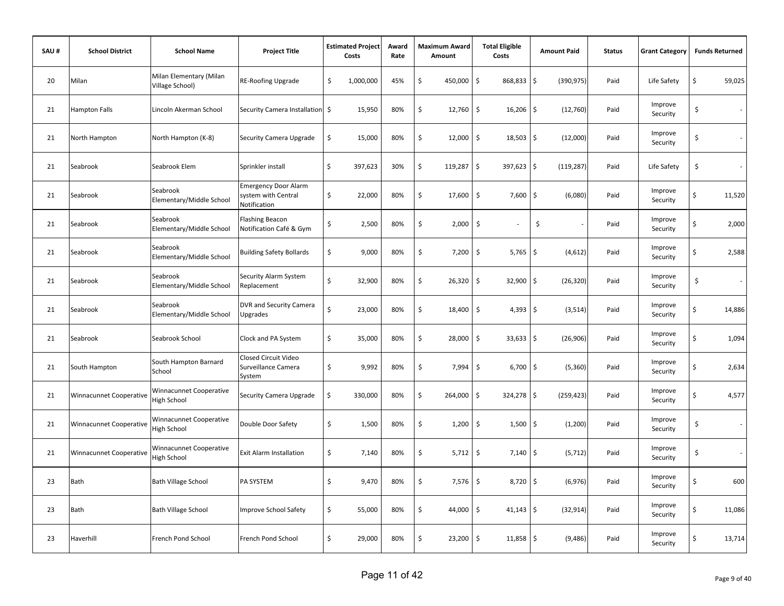| SAU# | <b>School District</b>         | <b>School Name</b>                            | <b>Project Title</b>                                               | <b>Estimated Project</b><br>Costs | Award<br>Rate | Maximum Award<br>Amount | <b>Total Eligible</b><br>Costs     | <b>Amount Paid</b>                | <b>Status</b> | <b>Grant Category</b> | <b>Funds Returned</b>          |
|------|--------------------------------|-----------------------------------------------|--------------------------------------------------------------------|-----------------------------------|---------------|-------------------------|------------------------------------|-----------------------------------|---------------|-----------------------|--------------------------------|
| 20   | Milan                          | Milan Elementary (Milan<br>Village School)    | RE-Roofing Upgrade                                                 | \$<br>1,000,000                   | 45%           | \$<br>450,000           | \$<br>868,833                      | $\ddot{\mathsf{S}}$<br>(390, 975) | Paid          | Life Safety           | \$<br>59,025                   |
| 21   | <b>Hampton Falls</b>           | Lincoln Akerman School                        | Security Camera Installation \$                                    | 15,950                            | 80%           | \$<br>12,760            | \$<br>16,206                       | \$<br>(12,760)                    | Paid          | Improve<br>Security   | \$                             |
| 21   | North Hampton                  | North Hampton (K-8)                           | Security Camera Upgrade                                            | \$<br>15,000                      | 80%           | \$<br>12,000            | $\ddot{\mathsf{S}}$<br>$18,503$ \$ | (12,000)                          | Paid          | Improve<br>Security   | \$                             |
| 21   | Seabrook                       | Seabrook Elem                                 | Sprinkler install                                                  | \$<br>397,623                     | 30%           | \$<br>119,287           | \$<br>$397,623$ \$                 | (119, 287)                        | Paid          | Life Safety           | \$                             |
| 21   | Seabrook                       | Seabrook<br>Elementary/Middle School          | <b>Emergency Door Alarm</b><br>system with Central<br>Notification | \$<br>22,000                      | 80%           | \$<br>17,600            | \$<br>7,600                        | \$<br>(6,080)                     | Paid          | Improve<br>Security   | \$<br>11,520                   |
| 21   | Seabrook                       | Seabrook<br>Elementary/Middle School          | <b>Flashing Beacon</b><br>Notification Café & Gym                  | \$<br>2,500                       | 80%           | \$<br>2,000             | \$                                 | \$                                | Paid          | Improve<br>Security   | \$<br>2,000                    |
| 21   | Seabrook                       | Seabrook<br>Elementary/Middle School          | <b>Building Safety Bollards</b>                                    | \$<br>9,000                       | 80%           | \$<br>7,200             | \$<br>5,765                        | $\ddot{\mathsf{S}}$<br>(4,612)    | Paid          | Improve<br>Security   | \$<br>2,588                    |
| 21   | Seabrook                       | Seabrook<br>Elementary/Middle School          | Security Alarm System<br>Replacement                               | \$<br>32,900                      | 80%           | \$<br>26,320            | \$<br>32,900                       | \$<br>(26, 320)                   | Paid          | Improve<br>Security   | \$<br>$\overline{\phantom{a}}$ |
| 21   | Seabrook                       | Seabrook<br>Elementary/Middle School          | DVR and Security Camera<br><b>Upgrades</b>                         | \$<br>23,000                      | 80%           | \$<br>18,400            | \$<br>$4,393$ \$                   | (3, 514)                          | Paid          | Improve<br>Security   | \$<br>14,886                   |
| 21   | Seabrook                       | Seabrook School                               | Clock and PA System                                                | \$<br>35,000                      | 80%           | \$<br>28,000            | \$<br>$33,633$ \$                  | (26, 906)                         | Paid          | Improve<br>Security   | \$<br>1,094                    |
| 21   | South Hampton                  | South Hampton Barnard<br>School               | Closed Circuit Video<br>Surveillance Camera<br>System              | \$<br>9,992                       | 80%           | \$<br>7,994             | \$<br>$6,700$ \$                   | (5,360)                           | Paid          | Improve<br>Security   | \$<br>2,634                    |
| 21   | <b>Winnacunnet Cooperative</b> | <b>Ninnacunnet Cooperative</b><br>ligh School | Security Camera Upgrade                                            | \$<br>330,000                     | 80%           | \$<br>264,000           | \$<br>$324,278$ \$                 | (259, 423)                        | Paid          | Improve<br>Security   | \$<br>4,577                    |
| 21   | <b>Winnacunnet Cooperative</b> | Winnacunnet Cooperative<br>High School        | Double Door Safety                                                 | \$<br>1,500                       | 80%           | \$<br>1,200             | \$<br>1,500                        | -\$<br>(1,200)                    | Paid          | Improve<br>Security   | \$                             |
| 21   | <b>Winnacunnet Cooperative</b> | <b>Ninnacunnet Cooperative</b><br>High School | <b>Exit Alarm Installation</b>                                     | \$<br>7,140                       | 80%           | \$<br>5,712             | \$<br>7,140                        | \$<br>(5, 712)                    | Paid          | Improve<br>Security   | \$                             |
| 23   | Bath                           | <b>Bath Village School</b>                    | PA SYSTEM                                                          | \$<br>9,470                       | 80%           | \$<br>7,576             | \$<br>8,720                        | \$<br>(6,976)                     | Paid          | Improve<br>Security   | \$<br>600                      |
| 23   | <b>Bath</b>                    | <b>Bath Village School</b>                    | <b>Improve School Safety</b>                                       | \$<br>55,000                      | 80%           | \$<br>44,000            | \$<br>$41,143$ \$                  | (32, 914)                         | Paid          | Improve<br>Security   | \$<br>11,086                   |
| 23   | Haverhill                      | French Pond School                            | French Pond School                                                 | \$<br>29,000                      | 80%           | \$<br>23,200            | \$<br>$11,858$ \$                  | (9,486)                           | Paid          | Improve<br>Security   | \$<br>13,714                   |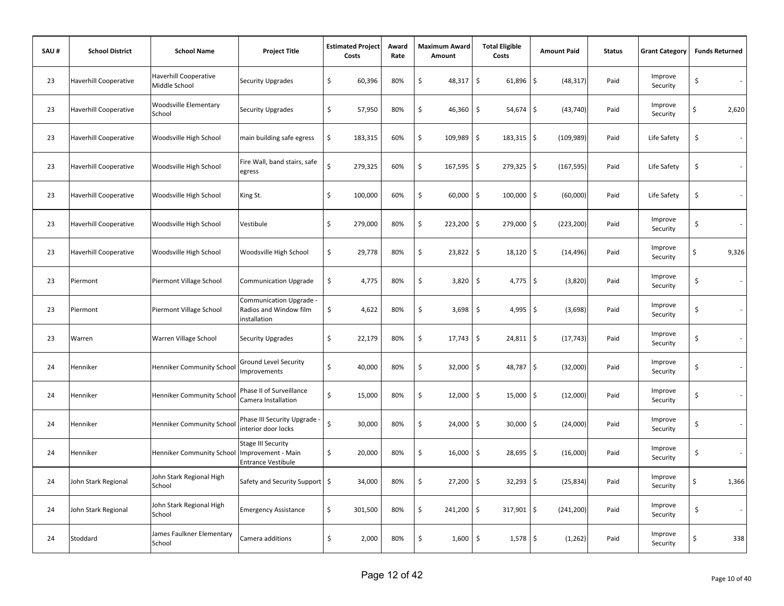| SAU# | <b>School District</b>       | <b>School Name</b>                            | <b>Project Title</b>                                                         |                    | <b>Estimated Project</b><br>Costs | Award<br>Rate | <b>Maximum Award</b><br>Amount | <b>Total Eligible</b><br>Costs     | <b>Amount Paid</b> | <b>Status</b> | <b>Grant Category</b> | <b>Funds Returned</b> |
|------|------------------------------|-----------------------------------------------|------------------------------------------------------------------------------|--------------------|-----------------------------------|---------------|--------------------------------|------------------------------------|--------------------|---------------|-----------------------|-----------------------|
| 23   | <b>Haverhill Cooperative</b> | <b>Haverhill Cooperative</b><br>Middle School | <b>Security Upgrades</b>                                                     | \$                 | 60,396                            | 80%           | \$<br>48,317                   | \$<br>61,896                       | \$<br>(48, 317)    | Paid          | Improve<br>Security   | \$                    |
| 23   | <b>Haverhill Cooperative</b> | Woodsville Elementary<br>School               | Security Upgrades                                                            | \$                 | 57,950                            | 80%           | \$<br>46,360                   | \$<br>54,674                       | \$<br>(43, 740)    | Paid          | Improve<br>Security   | \$<br>2,620           |
| 23   | <b>Haverhill Cooperative</b> | Woodsville High School                        | main building safe egress                                                    | \$                 | 183,315                           | 60%           | \$<br>109,989                  | \$<br>$183,315$ \$                 | (109, 989)         | Paid          | Life Safety           | \$                    |
| 23   | Haverhill Cooperative        | Woodsville High School                        | Fire Wall, band stairs, safe<br>egress                                       | $\mathsf{\hat{S}}$ | 279,325                           | 60%           | \$<br>167,595                  | \$<br>$279,325$ \$                 | (167, 595)         | Paid          | Life Safety           | \$                    |
| 23   | <b>Haverhill Cooperative</b> | Woodsville High School                        | King St.                                                                     | \$                 | 100,000                           | 60%           | \$<br>60,000                   | \$<br>$100,000$ \$                 | (60,000)           | Paid          | Life Safety           | \$                    |
| 23   | <b>Haverhill Cooperative</b> | Woodsville High School                        | Vestibule                                                                    | \$                 | 279,000                           | 80%           | \$<br>223,200                  | \$<br>279,000                      | \$<br>(223, 200)   | Paid          | Improve<br>Security   | \$                    |
| 23   | <b>Haverhill Cooperative</b> | Woodsville High School                        | Woodsville High School                                                       | \$                 | 29,778                            | 80%           | \$<br>23,822                   | \$<br>18,120                       | \$<br>(14, 496)    | Paid          | Improve<br>Security   | \$<br>9,326           |
| 23   | Piermont                     | Piermont Village School                       | <b>Communication Upgrade</b>                                                 | \$                 | 4,775                             | 80%           | \$<br>3,820                    | $\ddot{\mathsf{S}}$<br>4,775       | \$<br>(3,820)      | Paid          | Improve<br>Security   | \$<br>$\sim$          |
| 23   | Piermont                     | Piermont Village School                       | Communication Upgrade<br>Radios and Window film<br>installation              | \$                 | 4,622                             | 80%           | \$<br>3,698                    | $\zeta$<br>$4,995$ \$              | (3,698)            | Paid          | Improve<br>Security   | \$                    |
| 23   | Warren                       | Warren Village School                         | <b>Security Upgrades</b>                                                     | \$                 | 22,179                            | 80%           | \$<br>17,743                   | \$<br>$24,811$ \$                  | (17, 743)          | Paid          | Improve<br>Security   | \$                    |
| 24   | Henniker                     | <b>Henniker Community School</b>              | Ground Level Security<br>mprovements                                         | \$                 | 40,000                            | 80%           | \$<br>32,000                   | \$<br>48,787 \$                    | (32,000)           | Paid          | Improve<br>Security   | \$                    |
| 24   | Henniker                     | <b>Henniker Community School</b>              | Phase II of Surveillance<br>Camera Installation                              | \$                 | 15,000                            | 80%           | \$<br>12,000                   | $\ddot{\mathsf{S}}$<br>$15,000$ \$ | (12,000)           | Paid          | Improve<br>Security   | \$                    |
| 24   | Henniker                     | <b>Henniker Community School</b>              | Phase III Security Upgrade -<br>interior door locks                          | \$                 | 30,000                            | 80%           | \$<br>24,000                   | \$<br>30,000                       | \$<br>(24,000)     | Paid          | Improve<br>Security   | \$                    |
| 24   | Henniker                     | Henniker Community School                     | <b>Stage III Security</b><br>Improvement - Main<br><b>Entrance Vestibule</b> | \$                 | 20,000                            | 80%           | \$<br>16,000                   | \$<br>28,695                       | \$<br>(16,000)     | Paid          | Improve<br>Security   | \$<br>$\sim$          |
| 24   | John Stark Regional          | John Stark Regional High<br>School            | Safety and Security Support \$                                               |                    | 34,000                            | 80%           | \$<br>27,200                   | \$<br>$32,293$ \$                  | (25, 834)          | Paid          | Improve<br>Security   | \$<br>1,366           |
| 24   | John Stark Regional          | John Stark Regional High<br>School            | <b>Emergency Assistance</b>                                                  | \$                 | 301,500                           | 80%           | \$<br>241,200                  | \$<br>317,901 \$                   | (241, 200)         | Paid          | Improve<br>Security   | \$                    |
| 24   | Stoddard                     | lames Faulkner Elementary<br>School           | Camera additions                                                             | \$                 | 2,000                             | 80%           | \$<br>1,600                    | \$<br>$1,578$ \$                   | (1, 262)           | Paid          | Improve<br>Security   | \$<br>338             |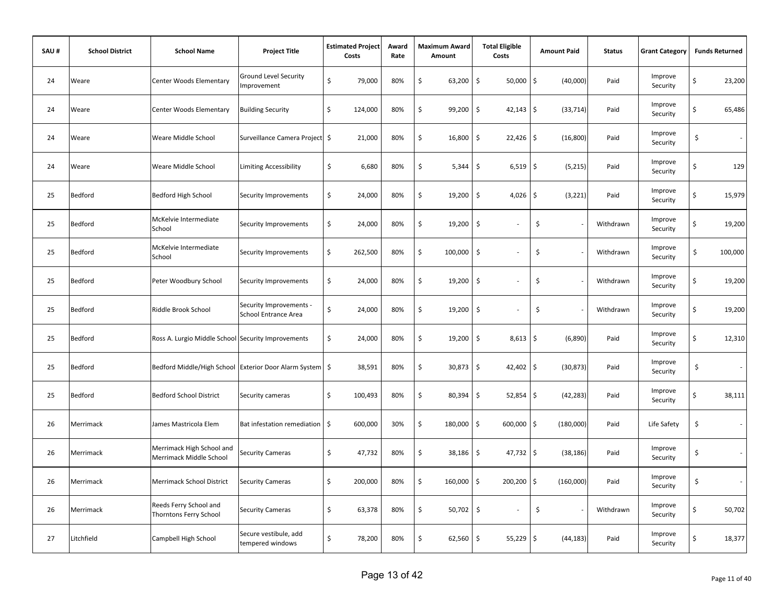| SAU# | <b>School District</b> | <b>School Name</b>                                         | <b>Project Title</b>                                   | <b>Estimated Project</b><br>Costs | Award<br>Rate | <b>Maximum Award</b><br>Amount | <b>Total Eligible</b><br>Costs     | <b>Amount Paid</b> | <b>Status</b> | <b>Grant Category</b> |                     | <b>Funds Returned</b>    |
|------|------------------------|------------------------------------------------------------|--------------------------------------------------------|-----------------------------------|---------------|--------------------------------|------------------------------------|--------------------|---------------|-----------------------|---------------------|--------------------------|
| 24   | Weare                  | Center Woods Elementary                                    | <b>Ground Level Security</b><br>Improvement            | \$<br>79,000                      | 80%           | \$<br>63,200                   | \$<br>50,000                       | \$<br>(40,000)     | Paid          | Improve<br>Security   | \$                  | 23,200                   |
| 24   | Weare                  | Center Woods Elementary                                    | <b>Building Security</b>                               | \$<br>124,000                     | 80%           | \$<br>99,200                   | \$<br>42,143                       | \$<br>(33, 714)    | Paid          | Improve<br>Security   | \$                  | 65,486                   |
| 24   | Weare                  | Weare Middle School                                        | Surveillance Camera Project \$                         | 21,000                            | 80%           | \$<br>16,800                   | \$<br>22,426                       | \$<br>(16, 800)    | Paid          | Improve<br>Security   | $\ddot{\mathsf{S}}$ | $\overline{\phantom{a}}$ |
| 24   | Weare                  | Weare Middle School                                        | <b>Limiting Accessibility</b>                          | \$<br>6,680                       | 80%           | \$<br>5,344                    | \$<br>$6,519$ \$                   | (5,215)            | Paid          | Improve<br>Security   | \$                  | 129                      |
| 25   | Bedford                | Bedford High School                                        | Security Improvements                                  | \$<br>24,000                      | 80%           | \$<br>19,200                   | \$<br>4,026                        | \$<br>(3, 221)     | Paid          | Improve<br>Security   | \$                  | 15,979                   |
| 25   | Bedford                | McKelvie Intermediate<br>School                            | Security Improvements                                  | \$<br>24,000                      | 80%           | \$<br>19,200                   | $\zeta$                            | \$                 | Withdrawn     | Improve<br>Security   | \$                  | 19,200                   |
| 25   | Bedford                | McKelvie Intermediate<br>School                            | Security Improvements                                  | \$<br>262,500                     | 80%           | \$<br>100,000                  | \$                                 | \$                 | Withdrawn     | Improve<br>Security   | \$                  | 100,000                  |
| 25   | Bedford                | Peter Woodbury School                                      | Security Improvements                                  | \$<br>24,000                      | 80%           | \$<br>19,200                   | $\zeta$                            | \$                 | Withdrawn     | Improve<br>Security   | \$                  | 19,200                   |
| 25   | Bedford                | Riddle Brook School                                        | Security Improvements -<br><b>School Entrance Area</b> | \$<br>24,000                      | 80%           | \$<br>19,200                   | \$                                 | \$                 | Withdrawn     | Improve<br>Security   | \$                  | 19,200                   |
| 25   | Bedford                | Ross A. Lurgio Middle School Security Improvements         |                                                        | \$<br>24,000                      | 80%           | \$<br>19,200                   | $\ddot{\mathsf{S}}$<br>8,613       | \$<br>(6,890)      | Paid          | Improve<br>Security   | \$                  | 12,310                   |
| 25   | Bedford                | Bedford Middle/High School Exterior Door Alarm System   \$ |                                                        | 38,591                            | 80%           | \$<br>30,873                   | \$<br>42,402 \$                    | (30, 873)          | Paid          | Improve<br>Security   | \$                  | $\sim$                   |
| 25   | Bedford                | <b>Bedford School District</b>                             | Security cameras                                       | \$<br>100,493                     | 80%           | \$<br>80,394                   | $\ddot{\mathsf{S}}$<br>$52,854$ \$ | (42, 283)          | Paid          | Improve<br>Security   | Ś                   | 38,111                   |
| 26   | Merrimack              | James Mastricola Elem                                      | Bat infestation remediation                            | \$<br>600,000                     | 30%           | \$<br>180,000                  | \$<br>600,000                      | \$<br>(180,000)    | Paid          | Life Safety           | \$                  | $\sim$                   |
| 26   | Merrimack              | Merrimack High School and<br>Merrimack Middle School       | <b>Security Cameras</b>                                | \$<br>47,732                      | 80%           | \$<br>38,186                   | \$<br>47,732                       | \$<br>(38, 186)    | Paid          | Improve<br>Security   | \$                  | $\sim$                   |
| 26   | Merrimack              | Merrimack School District                                  | <b>Security Cameras</b>                                | \$<br>200,000                     | 80%           | \$<br>160,000                  | \$<br>200,200                      | \$<br>(160,000)    | Paid          | Improve<br>Security   | \$                  | $\sim$                   |
| 26   | Merrimack              | Reeds Ferry School and<br>Thorntons Ferry School           | <b>Security Cameras</b>                                | \$<br>63,378                      | 80%           | \$<br>50,702                   | \$                                 | \$                 | Withdrawn     | Improve<br>Security   | \$                  | 50,702                   |
| 27   | Litchfield             | Campbell High School                                       | Secure vestibule, add<br>tempered windows              | \$<br>78,200                      | 80%           | \$<br>62,560                   | $\mathsf{S}$<br>55,229             | \$<br>(44, 183)    | Paid          | Improve<br>Security   | \$                  | 18,377                   |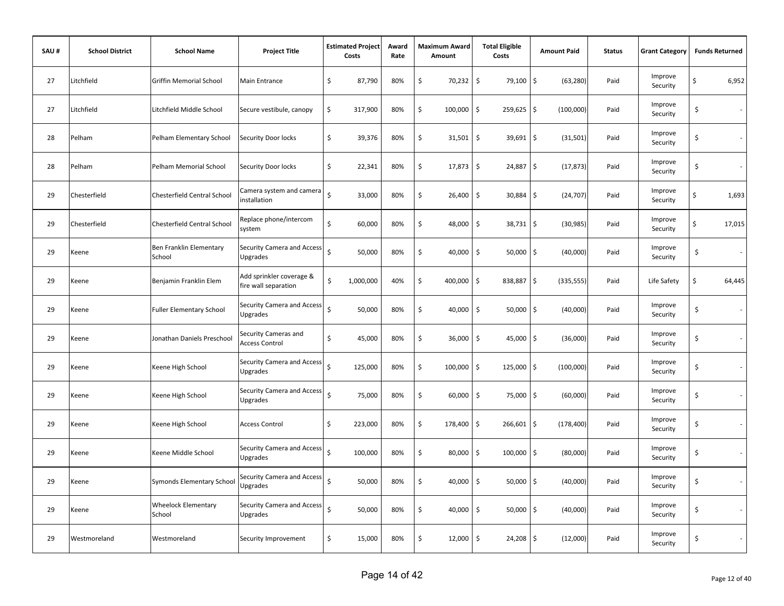| SAU# | <b>School District</b> | <b>School Name</b>                   | <b>Project Title</b>                             | <b>Estimated Project</b><br>Costs | Award<br>Rate | <b>Maximum Award</b><br>Amount | <b>Total Eligible</b><br>Costs     | <b>Amount Paid</b>                | <b>Status</b> | <b>Grant Category</b> | <b>Funds Returned</b> |
|------|------------------------|--------------------------------------|--------------------------------------------------|-----------------------------------|---------------|--------------------------------|------------------------------------|-----------------------------------|---------------|-----------------------|-----------------------|
| 27   | Litchfield             | <b>Griffin Memorial School</b>       | Main Entrance                                    | \$<br>87,790                      | 80%           | \$<br>70,232                   | \$<br>79,100                       | \$<br>(63, 280)                   | Paid          | Improve<br>Security   | \$<br>6,952           |
| 27   | Litchfield             | Litchfield Middle School             | Secure vestibule, canopy                         | \$<br>317,900                     | 80%           | \$<br>100,000                  | \$<br>259,625 \$                   | (100,000)                         | Paid          | Improve<br>Security   | \$<br>$\sim$          |
| 28   | Pelham                 | Pelham Elementary School             | Security Door locks                              | \$<br>39,376                      | 80%           | \$<br>31,501                   | \$<br>39,691 \$                    | (31, 501)                         | Paid          | Improve<br>Security   | \$                    |
| 28   | Pelham                 | Pelham Memorial School               | Security Door locks                              | \$<br>22,341                      | 80%           | \$<br>17,873                   | $\ddot{\mathsf{S}}$<br>24,887 \$   | (17, 873)                         | Paid          | Improve<br>Security   | \$                    |
| 29   | Chesterfield           | Chesterfield Central School          | Camera system and camera<br>installation         | Ś<br>33,000                       | 80%           | \$<br>26,400                   | $\ddot{\mathsf{S}}$<br>30,884 \$   | (24, 707)                         | Paid          | Improve<br>Security   | \$<br>1,693           |
| 29   | Chesterfield           | Chesterfield Central School          | Replace phone/intercom<br>system                 | Ś<br>60,000                       | 80%           | \$<br>48,000                   | \$<br>$38,731$ \$                  | (30, 985)                         | Paid          | Improve<br>Security   | \$<br>17,015          |
| 29   | Keene                  | Ben Franklin Elementary<br>School    | Security Camera and Access<br>Upgrades           | $\zeta$<br>50,000                 | 80%           | \$<br>40,000                   | $\ddot{\mathsf{S}}$<br>50,000      | \$<br>(40,000)                    | Paid          | Improve<br>Security   | \$                    |
| 29   | Keene                  | Benjamin Franklin Elem               | Add sprinkler coverage &<br>fire wall separation | \$<br>1,000,000                   | 40%           | \$<br>400,000                  | \$<br>838,887                      | $\ddot{\mathsf{S}}$<br>(335, 555) | Paid          | Life Safety           | \$<br>64,445          |
| 29   | Keene                  | <b>Fuller Elementary School</b>      | Security Camera and Access<br><b>Upgrades</b>    | Ś<br>50,000                       | 80%           | \$<br>40,000                   | \$<br>50,000                       | $\mathsf{S}$<br>(40,000)          | Paid          | Improve<br>Security   | \$<br>$\sim$          |
| 29   | Keene                  | Jonathan Daniels Preschool           | Security Cameras and<br><b>Access Control</b>    | \$<br>45,000                      | 80%           | \$<br>36,000                   | $\ddot{\mathsf{S}}$<br>$45,000$ \$ | (36,000)                          | Paid          | Improve<br>Security   | \$                    |
| 29   | Keene                  | Keene High School                    | Security Camera and Access<br><b>Upgrades</b>    | Ś<br>125,000                      | 80%           | \$<br>100,000                  | \$<br>$125,000$ \$                 | (100,000)                         | Paid          | Improve<br>Security   | \$<br>$\sim$          |
| 29   | Keene                  | Keene High School                    | <b>Security Camera and Access</b><br>Upgrades    | Ś<br>75,000                       | 80%           | \$<br>60,000                   | \$<br>75,000 \$                    | (60,000)                          | Paid          | Improve<br>Security   | \$<br>÷               |
| 29   | Keene                  | Keene High School                    | <b>Access Control</b>                            | \$<br>223,000                     | 80%           | \$<br>178,400                  | \$<br>$266,601$ \$                 | (178, 400)                        | Paid          | Improve<br>Security   | \$                    |
| 29   | Keene                  | Keene Middle School                  | Security Camera and Access<br><b>Upgrades</b>    | $\zeta$<br>100,000                | 80%           | \$<br>80,000                   | \$<br>100,000                      | \$<br>(80,000)                    | Paid          | Improve<br>Security   | \$                    |
| 29   | Keene                  | Symonds Elementary School            | Security Camera and Access<br>Upgrades           | Ś<br>50,000                       | 80%           | \$<br>40,000                   | \$<br>50,000                       | \$<br>(40,000)                    | Paid          | Improve<br>Security   | \$                    |
| 29   | Keene                  | <b>Wheelock Elementary</b><br>School | Security Camera and Access<br>Upgrades           | Ś<br>50,000                       | 80%           | \$<br>40,000                   | $\ddot{\mathsf{S}}$<br>$50,000$ \$ | (40,000)                          | Paid          | Improve<br>Security   | \$                    |
| 29   | Westmoreland           | Westmoreland                         | Security Improvement                             | \$<br>15,000                      | 80%           | \$<br>12,000                   | \$<br>$24,208$ \$                  | (12,000)                          | Paid          | Improve<br>Security   | \$                    |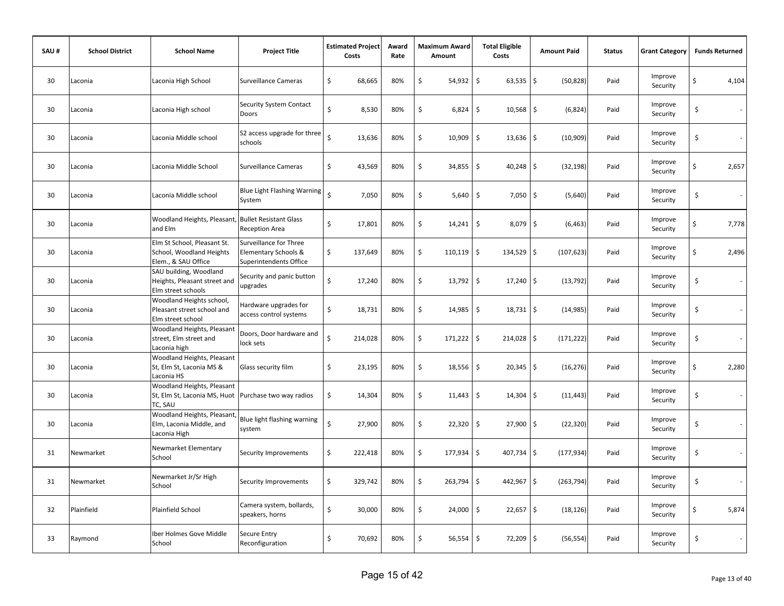| SAU# | <b>School District</b> | <b>School Name</b>                                                             | <b>Project Title</b>                                                     | <b>Estimated Project</b><br>Costs | Award<br>Rate | <b>Maximum Award</b><br>Amount | <b>Total Eligible</b><br>Costs     | <b>Amount Paid</b> | <b>Status</b> | <b>Grant Category</b> | <b>Funds Returned</b> |
|------|------------------------|--------------------------------------------------------------------------------|--------------------------------------------------------------------------|-----------------------------------|---------------|--------------------------------|------------------------------------|--------------------|---------------|-----------------------|-----------------------|
| 30   | Laconia                | Laconia High School                                                            | Surveillance Cameras                                                     | \$<br>68,665                      | 80%           | \$<br>54,932                   | \$<br>$63,535$ \$                  | (50, 828)          | Paid          | Improve<br>Security   | \$<br>4,104           |
| 30   | Laconia                | Laconia High school                                                            | Security System Contact<br>Doors                                         | \$<br>8,530                       | 80%           | \$<br>6,824                    | $\ddot{\mathsf{S}}$<br>$10,568$ \$ | (6, 824)           | Paid          | Improve<br>Security   | \$<br>$\sim$          |
| 30   | Laconia                | Laconia Middle school                                                          | S2 access upgrade for three<br>schools                                   | $\zeta$<br>13,636                 | 80%           | \$<br>10,909                   | \$<br>$13,636$ \$                  | (10, 909)          | Paid          | Improve<br>Security   | \$                    |
| 30   | Laconia                | Laconia Middle School                                                          | Surveillance Cameras                                                     | \$<br>43,569                      | 80%           | \$<br>$34,855$ \$              | $40,248$ \$                        | (32, 198)          | Paid          | Improve<br>Security   | \$<br>2,657           |
| 30   | Laconia                | Laconia Middle school                                                          | <b>Blue Light Flashing Warning</b><br>System                             | $\zeta$<br>7,050                  | 80%           | \$<br>5,640                    | \$<br>$7,050$ \$                   | (5,640)            | Paid          | Improve<br>Security   | \$                    |
| 30   | Laconia                | Woodland Heights, Pleasant,<br>and Elm                                         | <b>Bullet Resistant Glass</b><br><b>Reception Area</b>                   | \$<br>17,801                      | 80%           | \$<br>14,241                   | \$<br>$8,079$ \$                   | (6, 463)           | Paid          | Improve<br>Security   | \$<br>7,778           |
| 30   | Laconia                | Elm St School, Pleasant St.<br>School, Woodland Heights<br>Elem., & SAU Office | Surveillance for Three<br>Elementary Schools &<br>Superintendents Office | \$<br>137,649                     | 80%           | \$<br>110,119                  | \$<br>134,529 \$                   | (107, 623)         | Paid          | Improve<br>Security   | \$<br>2,496           |
| 30   | Laconia                | SAU building, Woodland<br>Heights, Pleasant street and<br>Elm street schools   | Security and panic button<br>upgrades                                    | \$<br>17,240                      | 80%           | \$<br>13,792                   | \$<br>$17,240$ \$                  | (13, 792)          | Paid          | Improve<br>Security   | \$<br>$\sim$          |
| 30   | Laconia                | Woodland Heights school,<br>Pleasant street school and<br>Elm street school    | Hardware upgrades for<br>access control systems                          | \$<br>18,731                      | 80%           | \$<br>14,985                   | $\mathsf{S}$<br>$18,731$ \$        | (14, 985)          | Paid          | Improve<br>Security   | \$<br>$\sim$          |
| 30   | Laconia                | <b>Woodland Heights, Pleasant</b><br>street, Elm street and<br>Laconia high    | Doors, Door hardware and<br>lock sets                                    | Ś<br>214,028                      | 80%           | \$<br>$171,222$ \$             | $214,028$ \$                       | (171, 222)         | Paid          | Improve<br>Security   | \$<br>$\sim$          |
| 30   | Laconia                | Woodland Heights, Pleasant<br>St, Elm St, Laconia MS &<br>Laconia HS           | Glass security film                                                      | \$<br>23,195                      | 80%           | \$<br>$18,556$ \$              | $20,345$ \$                        | (16, 276)          | Paid          | Improve<br>Security   | \$<br>2,280           |
| 30   | Laconia                | Woodland Heights, Pleasant<br>St, Elm St, Laconia MS, Huot<br>TC, SAU          | Purchase two way radios                                                  | \$<br>14,304                      | 80%           | \$<br>11,443                   | \$<br>$14,304$ \$                  | (11, 443)          | Paid          | Improve<br>Security   | \$<br>$\sim$          |
| 30   | Laconia                | Woodland Heights, Pleasant<br>Elm, Laconia Middle, and<br>Laconia High         | Blue light flashing warning<br>system                                    | $\mathsf{\hat{S}}$<br>27,900      | 80%           | \$<br>22,320                   | $\ddot{\mathsf{S}}$<br>$27,900$ \$ | (22, 320)          | Paid          | Improve<br>Security   | \$                    |
| 31   | Newmarket              | Newmarket Elementary<br>School                                                 | Security Improvements                                                    | \$<br>222,418                     | 80%           | \$<br>177,934                  | \$<br>407,734 \$                   | (177, 934)         | Paid          | Improve<br>Security   | \$                    |
| 31   | Newmarket              | Newmarket Jr/Sr High<br>School                                                 | Security Improvements                                                    | \$<br>329,742                     | 80%           | \$<br>263,794                  | \$<br>442,967 \$                   | (263, 794)         | Paid          | Improve<br>Security   | \$                    |
| 32   | Plainfield             | <b>Plainfield School</b>                                                       | Camera system, bollards,<br>speakers, horns                              | \$<br>30,000                      | 80%           | \$<br>24,000                   | $\ddot{\mathsf{S}}$<br>$22,657$ \$ | (18, 126)          | Paid          | Improve<br>Security   | \$<br>5,874           |
| 33   | Raymond                | Iber Holmes Gove Middle<br>School                                              | Secure Entry<br>Reconfiguration                                          | \$<br>70,692                      | 80%           | \$<br>$56,554$ \$              | $72,209$ \$                        | (56, 554)          | Paid          | Improve<br>Security   | \$                    |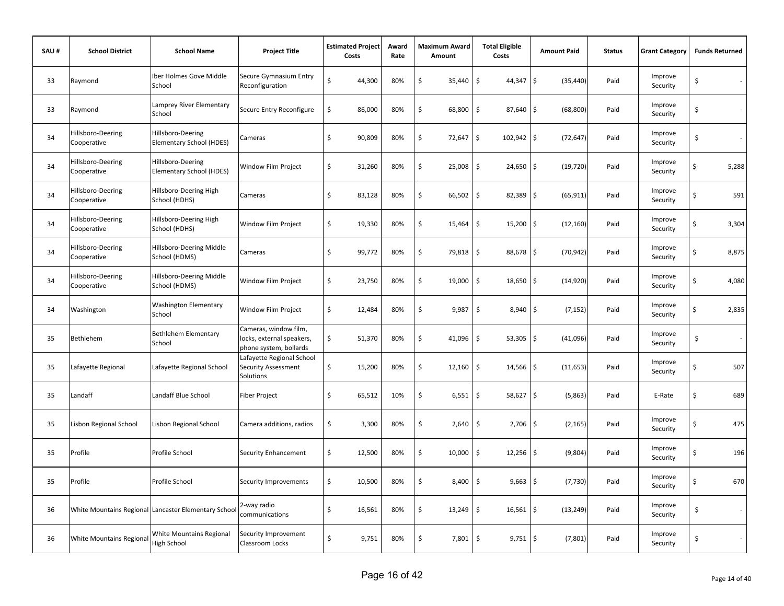| SAU# | <b>School District</b>           | <b>School Name</b>                                   | <b>Project Title</b>                                                         | <b>Estimated Project</b><br>Costs |        | Award<br>Rate | <b>Maximum Award</b><br>Amount |        | <b>Total Eligible</b><br>Costs       | <b>Amount Paid</b> | <b>Status</b> | <b>Grant Category</b> | <b>Funds Returned</b> |
|------|----------------------------------|------------------------------------------------------|------------------------------------------------------------------------------|-----------------------------------|--------|---------------|--------------------------------|--------|--------------------------------------|--------------------|---------------|-----------------------|-----------------------|
| 33   | Raymond                          | Iber Holmes Gove Middle<br>School                    | Secure Gymnasium Entry<br>Reconfiguration                                    | \$                                | 44,300 | 80%           | \$                             | 35,440 | \$<br>$44,347$ \$                    | (35, 440)          | Paid          | Improve<br>Security   | \$                    |
| 33   | Raymond                          | Lamprey River Elementary<br>School                   | Secure Entry Reconfigure                                                     | \$                                | 86,000 | 80%           | \$                             | 68,800 | $\ddot{\mathsf{S}}$<br>87,640 \$     | (68, 800)          | Paid          | Improve<br>Security   | \$<br>$\sim$          |
| 34   | Hillsboro-Deering<br>Cooperative | Hillsboro-Deering<br>Elementary School (HDES)        | Cameras                                                                      | \$                                | 90,809 | 80%           | \$                             | 72,647 | \$<br>102,942 \$                     | (72, 647)          | Paid          | Improve<br>Security   | \$                    |
| 34   | Hillsboro-Deering<br>Cooperative | Hillsboro-Deering<br>Elementary School (HDES)        | Window Film Project                                                          | \$                                | 31,260 | 80%           | \$                             | 25,008 | $\ddot{\mathsf{S}}$<br>24,650 \$     | (19, 720)          | Paid          | Improve<br>Security   | \$<br>5,288           |
| 34   | Hillsboro-Deering<br>Cooperative | Hillsboro-Deering High<br>School (HDHS)              | Cameras                                                                      | \$                                | 83,128 | 80%           | \$                             | 66,502 | \$<br>$82,389$ \$                    | (65, 911)          | Paid          | Improve<br>Security   | \$<br>591             |
| 34   | Hillsboro-Deering<br>Cooperative | Hillsboro-Deering High<br>School (HDHS)              | Window Film Project                                                          | \$                                | 19,330 | 80%           | \$                             | 15,464 | \$<br>15,200                         | ۱\$<br>(12, 160)   | Paid          | Improve<br>Security   | \$<br>3,304           |
| 34   | Hillsboro-Deering<br>Cooperative | Hillsboro-Deering Middle<br>School (HDMS)            | Cameras                                                                      | \$                                | 99,772 | 80%           | \$                             | 79,818 | $\ddot{\mathsf{S}}$<br>88,678        | l\$<br>(70, 942)   | Paid          | Improve<br>Security   | \$<br>8,875           |
| 34   | Hillsboro-Deering<br>Cooperative | Hillsboro-Deering Middle<br>School (HDMS)            | Window Film Project                                                          | \$                                | 23,750 | 80%           | \$                             | 19,000 | \$<br>18,650 \$                      | (14, 920)          | Paid          | Improve<br>Security   | \$<br>4,080           |
| 34   | Washington                       | Washington Elementary<br>School                      | Window Film Project                                                          | \$                                | 12,484 | 80%           | \$                             | 9,987  | $\mathsf{\hat{S}}$<br>$8,940$ \$     | (7, 152)           | Paid          | Improve<br>Security   | \$<br>2,835           |
| 35   | Bethlehem                        | <b>Bethlehem Elementary</b><br>School                | Cameras, window film,<br>locks, external speakers,<br>phone system, bollards | \$                                | 51,370 | 80%           | \$                             | 41,096 | \$<br>$53,305$ \$                    | (41,096)           | Paid          | Improve<br>Security   | \$<br>$\sim$          |
| 35   | Lafayette Regional               | Lafayette Regional School                            | Lafayette Regional School<br>Security Assessment<br>Solutions                | \$                                | 15,200 | 80%           | \$                             | 12,160 | $\ddot{\mathsf{S}}$<br>$14,566$   \$ | (11, 653)          | Paid          | Improve<br>Security   | \$<br>507             |
| 35   | Landaff                          | Landaff Blue School                                  | <b>Fiber Project</b>                                                         | \$                                | 65,512 | 10%           | \$                             | 6,551  | \$<br>$58,627$ \$                    | (5,863)            | Paid          | E-Rate                | \$<br>689             |
| 35   | Lisbon Regional School           | Lisbon Regional School                               | Camera additions, radios                                                     | \$                                | 3,300  | 80%           | \$                             | 2,640  | \$<br>$2,706$ \$                     | (2, 165)           | Paid          | Improve<br>Security   | \$<br>475             |
| 35   | Profile                          | Profile School                                       | Security Enhancement                                                         | \$                                | 12,500 | 80%           | \$                             | 10,000 | $\ddot{\mathsf{S}}$<br>12,256        | \$<br>(9,804)      | Paid          | Improve<br>Security   | \$<br>196             |
| 35   | Profile                          | Profile School                                       | Security Improvements                                                        | \$                                | 10,500 | 80%           | \$                             | 8,400  | \$<br>$9,663$ \$                     | (7, 730)           | Paid          | Improve<br>Security   | \$<br>670             |
| 36   |                                  | White Mountains Regional Lancaster Elementary School | 2-way radio<br>communications                                                | \$                                | 16,561 | 80%           | \$                             | 13,249 | $\ddot{\mathsf{S}}$<br>$16,561$ \$   | (13, 249)          | Paid          | Improve<br>Security   | \$<br>$\sim$          |
| 36   | <b>White Mountains Regional</b>  | White Mountains Regional<br>High School              | Security Improvement<br>Classroom Locks                                      | \$                                | 9,751  | 80%           | \$                             | 7,801  | \$<br>$9,751$ \$                     | (7, 801)           | Paid          | Improve<br>Security   | \$                    |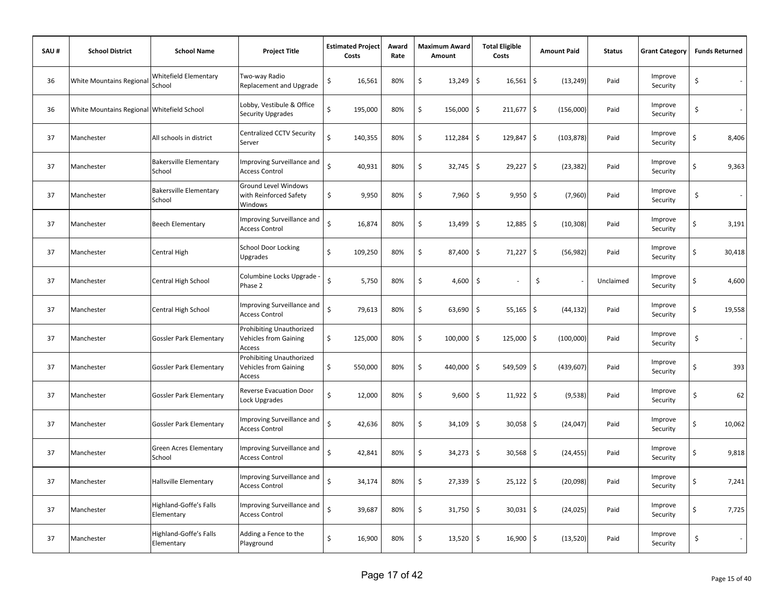| SAU# | <b>School District</b>                     | <b>School Name</b>                      | <b>Project Title</b>                                               | <b>Estimated Project</b><br>Costs | Award<br>Rate | <b>Maximum Award</b><br>Amount |                     | <b>Total Eligible</b><br>Costs | <b>Amount Paid</b> | <b>Status</b> | <b>Grant Category</b> |    | <b>Funds Returned</b> |
|------|--------------------------------------------|-----------------------------------------|--------------------------------------------------------------------|-----------------------------------|---------------|--------------------------------|---------------------|--------------------------------|--------------------|---------------|-----------------------|----|-----------------------|
| 36   | <b>White Mountains Regional</b>            | Whitefield Elementary<br>School         | Two-way Radio<br>Replacement and Upgrade                           | \$<br>16,561                      | 80%           | \$<br>13,249                   | \$                  | $16,561$ \$                    | (13, 249)          | Paid          | Improve<br>Security   | \$ |                       |
| 36   | White Mountains Regional Whitefield School |                                         | Lobby, Vestibule & Office<br>Security Upgrades                     | \$<br>195,000                     | 80%           | \$<br>156,000                  | \$                  | 211,677 \$                     | (156,000)          | Paid          | Improve<br>Security   | \$ | $\sim$                |
| 37   | Manchester                                 | All schools in district                 | Centralized CCTV Security<br>Server                                | Ś<br>140,355                      | 80%           | \$<br>112,284                  | \$                  | 129,847 \$                     | (103, 878)         | Paid          | Improve<br>Security   | \$ | 8,406                 |
| 37   | Manchester                                 | <b>Bakersville Elementary</b><br>School | Improving Surveillance and<br><b>Access Control</b>                | $\mathsf{\hat{S}}$<br>40,931      | 80%           | \$<br>32,745                   | $\ddot{\varsigma}$  | $29,227$ \$                    | (23, 382)          | Paid          | Improve<br>Security   | \$ | 9,363                 |
| 37   | Manchester                                 | <b>Bakersville Elementary</b><br>School | Ground Level Windows<br>with Reinforced Safety<br>Windows          | \$<br>9,950                       | 80%           | \$<br>7,960                    | $\mathsf{S}$        | $9,950$ \$                     | (7,960)            | Paid          | Improve<br>Security   | \$ | $\sim$                |
| 37   | Manchester                                 | <b>Beech Elementary</b>                 | Improving Surveillance and<br><b>Access Control</b>                | \$<br>16,874                      | 80%           | \$<br>13,499                   | $\mathsf{S}$        | $12,885$ \$                    | (10, 308)          | Paid          | Improve<br>Security   | \$ | 3,191                 |
| 37   | Manchester                                 | Central High                            | <b>School Door Locking</b><br>Upgrades                             | \$<br>109,250                     | 80%           | \$<br>87,400                   | \$                  | $71,227$ \$                    | (56, 982)          | Paid          | Improve<br>Security   | \$ | 30,418                |
| 37   | Manchester                                 | Central High School                     | Columbine Locks Upgrade -<br>Phase 2                               | Ś<br>5,750                        | 80%           | \$<br>4,600                    | \$                  |                                | \$                 | Unclaimed     | Improve<br>Security   | \$ | 4,600                 |
| 37   | Manchester                                 | Central High School                     | Improving Surveillance and<br><b>Access Control</b>                | Ś<br>79,613                       | 80%           | \$<br>63,690                   | $\ddot{\mathsf{S}}$ | $55,165$ \$                    | (44, 132)          | Paid          | Improve<br>Security   | \$ | 19,558                |
| 37   | Manchester                                 | <b>Gossler Park Elementary</b>          | Prohibiting Unauthorized<br><b>Vehicles from Gaining</b><br>Access | \$<br>125,000                     | 80%           | \$<br>100,000                  | \$                  | 125,000 \$                     | (100,000)          | Paid          | Improve<br>Security   | \$ | $\sim$                |
| 37   | Manchester                                 | <b>Gossler Park Elementary</b>          | Prohibiting Unauthorized<br><b>Vehicles from Gaining</b><br>Access | \$<br>550,000                     | 80%           | \$<br>440,000                  | \$                  | $549,509$ \$                   | (439, 607)         | Paid          | Improve<br>Security   | \$ | 393                   |
| 37   | Manchester                                 | <b>Gossler Park Elementary</b>          | <b>Reverse Evacuation Door</b><br>Lock Upgrades                    | Ś<br>12,000                       | 80%           | \$<br>9,600                    | \$                  | $11,922$ \$                    | (9, 538)           | Paid          | Improve<br>Security   | Ś  | 62                    |
| 37   | Manchester                                 | <b>Gossler Park Elementary</b>          | Improving Surveillance and<br><b>Access Control</b>                | Ś<br>42,636                       | 80%           | \$<br>34,109                   | \$                  | 30,058 \$                      | (24, 047)          | Paid          | Improve<br>Security   | \$ | 10,062                |
| 37   | Manchester                                 | Green Acres Elementary<br>School        | Improving Surveillance and<br><b>Access Control</b>                | Ś<br>42,841                       | 80%           | \$<br>34,273                   | $\ddot{\mathsf{S}}$ | 30,568 \$                      | (24, 455)          | Paid          | Improve<br>Security   | \$ | 9,818                 |
| 37   | Manchester                                 | <b>Hallsville Elementary</b>            | Improving Surveillance and<br><b>Access Control</b>                | $\mathsf{\hat{S}}$<br>34,174      | 80%           | \$<br>27,339                   | \$                  | $25,122$ \$                    | (20,098)           | Paid          | Improve<br>Security   | \$ | 7,241                 |
| 37   | Manchester                                 | Highland-Goffe's Falls<br>Elementary    | Improving Surveillance and<br><b>Access Control</b>                | Ś<br>39,687                       | 80%           | \$<br>31,750                   | \$                  | $30,031$ \$                    | (24, 025)          | Paid          | Improve<br>Security   | \$ | 7,725                 |
| 37   | Manchester                                 | Highland-Goffe's Falls<br>Elementary    | Adding a Fence to the<br>Playground                                | \$<br>16,900                      | 80%           | \$                             | $13,520$ \$         | $16,900$ \$                    | (13,520)           | Paid          | Improve<br>Security   | \$ |                       |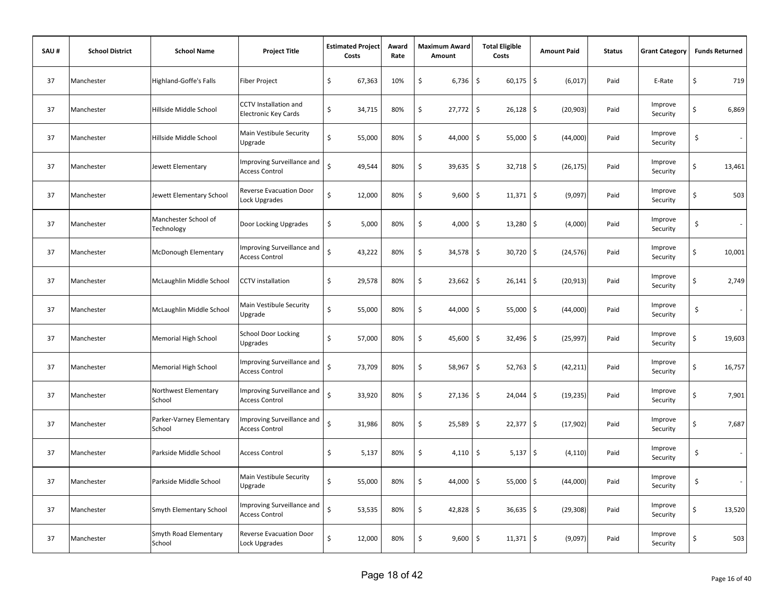| SAU# | <b>School District</b> | <b>School Name</b>                 | <b>Project Title</b>                                 | <b>Estimated Project</b><br>Costs |        | Award<br>Rate | <b>Maximum Award</b><br>Amount |        | <b>Total Eligible</b><br>Costs     | <b>Amount Paid</b> | <b>Status</b> | <b>Grant Category</b> |    | <b>Funds Returned</b> |
|------|------------------------|------------------------------------|------------------------------------------------------|-----------------------------------|--------|---------------|--------------------------------|--------|------------------------------------|--------------------|---------------|-----------------------|----|-----------------------|
| 37   | Manchester             | <b>Highland-Goffe's Falls</b>      | Fiber Project                                        | \$                                | 67,363 | 10%           | \$                             | 6,736  | \$<br>60,175                       | \$<br>(6,017)      | Paid          | E-Rate                | \$ | 719                   |
| 37   | Manchester             | Hillside Middle School             | <b>CCTV</b> Installation and<br>Electronic Key Cards | \$                                | 34,715 | 80%           | \$                             | 27,772 | \$<br>26,128                       | \$<br>(20, 903)    | Paid          | Improve<br>Security   | \$ | 6,869                 |
| 37   | Manchester             | Hillside Middle School             | Main Vestibule Security<br>Upgrade                   | \$                                | 55,000 | 80%           | \$                             | 44,000 | \$<br>55,000                       | \$<br>(44,000)     | Paid          | Improve<br>Security   | \$ | $\sim$                |
| 37   | Manchester             | Jewett Elementary                  | Improving Surveillance and<br><b>Access Control</b>  | Ś                                 | 49,544 | 80%           | \$                             | 39,635 | $\ddot{\varsigma}$<br>$32,718$ \$  | (26, 175)          | Paid          | Improve<br>Security   | \$ | 13,461                |
| 37   | Manchester             | Jewett Elementary School           | <b>Reverse Evacuation Door</b><br>Lock Upgrades      | \$                                | 12,000 | 80%           | \$                             | 9,600  | \$<br>11,371                       | \$<br>(9,097)      | Paid          | Improve<br>Security   | Ś  | 503                   |
| 37   | Manchester             | Manchester School of<br>Technology | Door Locking Upgrades                                | \$                                | 5,000  | 80%           | \$                             | 4,000  | \$<br>13,280                       | \$<br>(4,000)      | Paid          | Improve<br>Security   | \$ |                       |
| 37   | Manchester             | McDonough Elementary               | Improving Surveillance and<br><b>Access Control</b>  | Ś                                 | 43,222 | 80%           | \$                             | 34,578 | \$<br>30,720                       | \$<br>(24, 576)    | Paid          | Improve<br>Security   | \$ | 10,001                |
| 37   | Manchester             | McLaughlin Middle School           | <b>CCTV</b> installation                             | \$                                | 29,578 | 80%           | \$                             | 23,662 | \$<br>26,141                       | \$<br>(20, 913)    | Paid          | Improve<br>Security   | \$ | 2,749                 |
| 37   | Manchester             | McLaughlin Middle School           | Main Vestibule Security<br>Upgrade                   | \$                                | 55,000 | 80%           | \$                             | 44,000 | \$<br>55,000                       | \$<br>(44,000)     | Paid          | Improve<br>Security   | \$ | $\sim$                |
| 37   | Manchester             | Memorial High School               | <b>School Door Locking</b><br><b>Upgrades</b>        | \$                                | 57,000 | 80%           | \$                             | 45,600 | \$<br>$32,496$ \$                  | (25, 997)          | Paid          | Improve<br>Security   | \$ | 19,603                |
| 37   | Manchester             | <b>Memorial High School</b>        | Improving Surveillance and<br><b>Access Control</b>  | $\mathsf{\hat{S}}$                | 73,709 | 80%           | \$                             | 58,967 | $\ddot{\mathsf{S}}$<br>$52,763$ \$ | (42, 211)          | Paid          | Improve<br>Security   | \$ | 16,757                |
| 37   | Manchester             | Northwest Elementary<br>School     | Improving Surveillance and<br><b>Access Control</b>  | Ś                                 | 33,920 | 80%           | \$                             | 27,136 | \$ ا<br>$24,044$ \$                | (19, 235)          | Paid          | Improve<br>Security   | Ś  | 7,901                 |
| 37   | Manchester             | Parker-Varney Elementary<br>School | Improving Surveillance and<br><b>Access Control</b>  | $\mathsf{\hat{S}}$                | 31,986 | 80%           | \$                             | 25,589 | \$<br>22,377                       | \$<br>(17, 902)    | Paid          | Improve<br>Security   | \$ | 7,687                 |
| 37   | Manchester             | Parkside Middle School             | <b>Access Control</b>                                | \$                                | 5,137  | 80%           | \$                             | 4,110  | \$<br>5,137                        | \$<br>(4, 110)     | Paid          | Improve<br>Security   | \$ | $\sim$                |
| 37   | Manchester             | Parkside Middle School             | Main Vestibule Security<br>Upgrade                   | Ś                                 | 55,000 | 80%           | \$                             | 44,000 | \$<br>55,000                       | \$<br>(44,000)     | Paid          | Improve<br>Security   | \$ | $\sim$                |
| 37   | Manchester             | Smyth Elementary School            | Improving Surveillance and<br><b>Access Control</b>  | \$                                | 53,535 | 80%           | \$                             | 42,828 | \$<br>$36,635$ \$                  | (29, 308)          | Paid          | Improve<br>Security   | \$ | 13,520                |
| 37   | Manchester             | Smyth Road Elementary<br>School    | <b>Reverse Evacuation Door</b><br>Lock Upgrades      | \$                                | 12,000 | 80%           | \$                             | 9,600  | \$<br>$11,371$ \$                  | (9,097)            | Paid          | Improve<br>Security   | \$ | 503                   |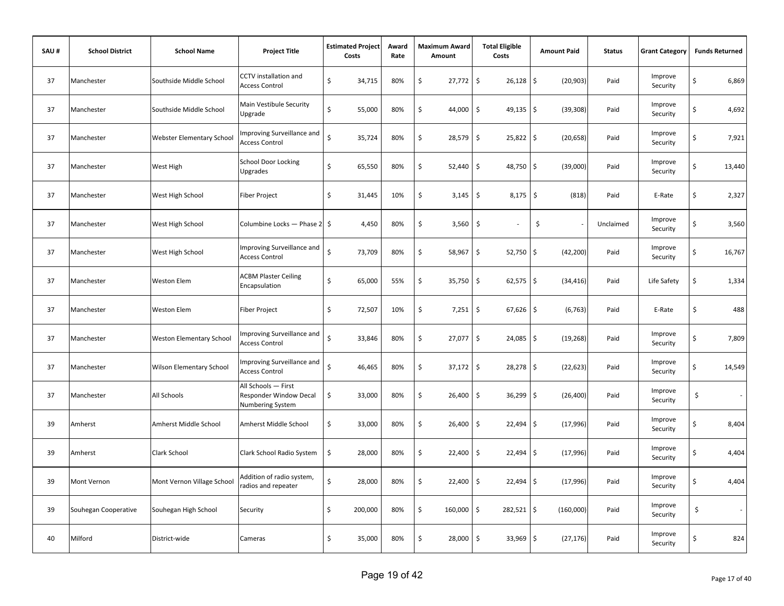| SAU# | <b>School District</b> | <b>School Name</b>               | <b>Project Title</b>                                              | <b>Estimated Project</b><br>Costs |         | Award<br>Rate | Maximum Award<br>Amount | <b>Total Eligible</b><br>Costs | <b>Amount Paid</b>         | <b>Status</b> | <b>Grant Category</b> |                                | <b>Funds Returned</b> |
|------|------------------------|----------------------------------|-------------------------------------------------------------------|-----------------------------------|---------|---------------|-------------------------|--------------------------------|----------------------------|---------------|-----------------------|--------------------------------|-----------------------|
| 37   | Manchester             | Southside Middle School          | <b>CCTV</b> installation and<br><b>Access Control</b>             | \$                                | 34,715  | 80%           | \$<br>27,772            | $\ddot{\mathsf{S}}$<br>26,128  | \$<br>(20, 903)            | Paid          | Improve<br>Security   | $\boldsymbol{\dot{\varsigma}}$ | 6,869                 |
| 37   | Manchester             | Southside Middle School          | Main Vestibule Security<br>Upgrade                                | \$                                | 55,000  | 80%           | \$<br>44,000            | \$<br>$49,135$ \$              | (39, 308)                  | Paid          | Improve<br>Security   | \$                             | 4,692                 |
| 37   | Manchester             | <b>Webster Elementary School</b> | Improving Surveillance and<br><b>Access Control</b>               | Ś                                 | 35,724  | 80%           | \$<br>28,579            | \$<br>$25,822$ \$              | (20, 658)                  | Paid          | Improve<br>Security   | \$                             | 7,921                 |
| 37   | Manchester             | West High                        | <b>School Door Locking</b><br>Upgrades                            | \$                                | 65,550  | 80%           | \$<br>52,440            | \$<br>48,750                   | \$<br>(39,000)             | Paid          | Improve<br>Security   | \$                             | 13,440                |
| 37   | Manchester             | West High School                 | <b>Fiber Project</b>                                              | \$                                | 31,445  | 10%           | \$<br>3,145             | \$<br>$8,175$ \$               | (818)                      | Paid          | E-Rate                | $\mathsf{\dot{S}}$             | 2,327                 |
| 37   | Manchester             | West High School                 | Columbine Locks — Phase 2   \$                                    |                                   | 4,450   | 80%           | \$<br>3,560             | \$                             | \$                         | Unclaimed     | Improve<br>Security   | \$                             | 3,560                 |
| 37   | Manchester             | West High School                 | Improving Surveillance and<br><b>Access Control</b>               | Ś                                 | 73,709  | 80%           | \$<br>58,967            | \$<br>52,750                   | \$<br>(42, 200)            | Paid          | Improve<br>Security   | Ś                              | 16,767                |
| 37   | Manchester             | Weston Elem                      | <b>ACBM Plaster Ceiling</b><br>Encapsulation                      | \$                                | 65,000  | 55%           | \$<br>35,750            | \$<br>62,575                   | \$<br>(34, 416)            | Paid          | Life Safety           | \$                             | 1,334                 |
| 37   | Manchester             | Weston Elem                      | <b>Fiber Project</b>                                              | \$                                | 72,507  | 10%           | \$<br>7,251             | <b>S</b><br>$67,626$ \$        | (6, 763)                   | Paid          | E-Rate                | $\zeta$                        | 488                   |
| 37   | Manchester             | <b>Weston Elementary School</b>  | Improving Surveillance and<br><b>Access Control</b>               | Ś                                 | 33,846  | 80%           | \$<br>$27,077$ \$       | 24,085                         | $\frac{1}{2}$<br>(19, 268) | Paid          | Improve<br>Security   | \$                             | 7,809                 |
| 37   | Manchester             | <b>Wilson Elementary School</b>  | Improving Surveillance and<br><b>Access Control</b>               | $\zeta$                           | 46,465  | 80%           | \$<br>$37,172$ \$       | 28,278                         | \$<br>(22, 623)            | Paid          | Improve<br>Security   | \$                             | 14,549                |
| 37   | Manchester             | All Schools                      | All Schools - First<br>Responder Window Decal<br>Numbering System | \$                                | 33,000  | 80%           | \$<br>26,400            | \$<br>36,299                   | \$<br>(26, 400)            | Paid          | Improve<br>Security   | \$                             |                       |
| 39   | Amherst                | Amherst Middle School            | Amherst Middle School                                             | \$                                | 33,000  | 80%           | \$<br>26,400            | \$<br>22,494                   | \$<br>(17,996)             | Paid          | Improve<br>Security   | \$                             | 8,404                 |
| 39   | Amherst                | Clark School                     | Clark School Radio System                                         | \$                                | 28,000  | 80%           | \$<br>22,400            | \$<br>22,494                   | \$<br>(17,996)             | Paid          | Improve<br>Security   | \$                             | 4,404                 |
| 39   | Mont Vernon            | Mont Vernon Village School       | Addition of radio system,<br>radios and repeater                  | \$                                | 28,000  | 80%           | \$<br>22,400            | \$<br>22,494                   | \$<br>(17,996)             | Paid          | Improve<br>Security   | \$                             | 4,404                 |
| 39   | Souhegan Cooperative   | Souhegan High School             | Security                                                          | \$                                | 200,000 | 80%           | \$<br>160,000 \$        | 282,521 \$                     | (160,000)                  | Paid          | Improve<br>Security   | \$                             |                       |
| 40   | Milford                | District-wide                    | Cameras                                                           | \$                                | 35,000  | 80%           | \$<br>28,000            | \$<br>33,969                   | \$<br>(27, 176)            | Paid          | Improve<br>Security   | \$                             | 824                   |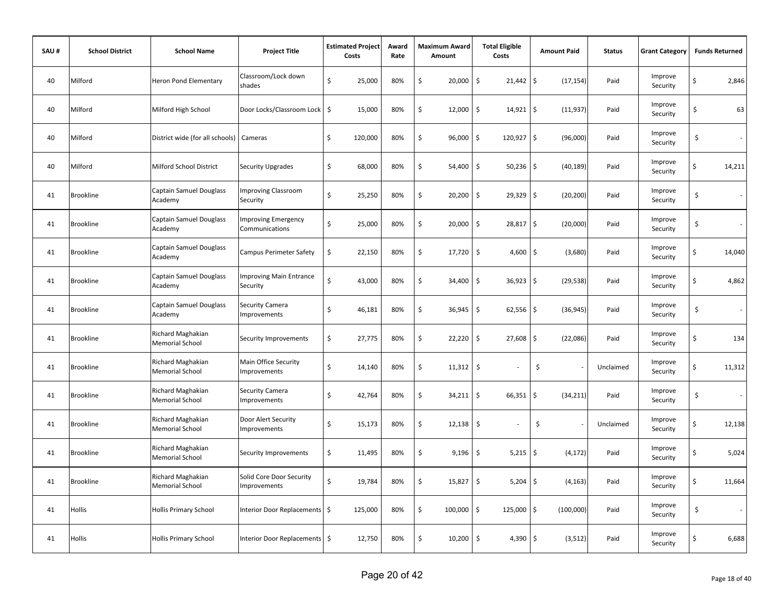| SAU# | <b>School District</b> | <b>School Name</b>                          | <b>Project Title</b>                            | <b>Estimated Project</b><br>Costs | Award<br>Rate | <b>Maximum Award</b><br>Amount | <b>Total Eligible</b><br>Costs     | <b>Amount Paid</b>               | <b>Status</b> | <b>Grant Category</b> | <b>Funds Returned</b> |
|------|------------------------|---------------------------------------------|-------------------------------------------------|-----------------------------------|---------------|--------------------------------|------------------------------------|----------------------------------|---------------|-----------------------|-----------------------|
| 40   | Milford                | Heron Pond Elementary                       | Classroom/Lock down<br>shades                   | \$<br>25,000                      | 80%           | \$<br>20,000                   | \$<br>21,442                       | $\ddot{\mathsf{S}}$<br>(17, 154) | Paid          | Improve<br>Security   | \$<br>2,846           |
| 40   | Milford                | Milford High School                         | Door Locks/Classroom Lock                       | \$<br>15,000                      | 80%           | \$<br>12,000                   | \$<br>14,921                       | \$<br>(11, 937)                  | Paid          | Improve<br>Security   | 63<br>\$              |
| 40   | Milford                | District wide (for all schools)             | Cameras                                         | \$<br>120,000                     | 80%           | \$<br>96,000                   | \$<br>120,927 \$                   | (96,000)                         | Paid          | Improve<br>Security   | \$<br>$\sim$          |
| 40   | Milford                | Milford School District                     | <b>Security Upgrades</b>                        | \$<br>68,000                      | 80%           | \$<br>54,400                   | \$<br>$50,236$ \$                  | (40, 189)                        | Paid          | Improve<br>Security   | \$<br>14,211          |
| 41   | <b>Brookline</b>       | Captain Samuel Douglass<br>Academy          | <b>Improving Classroom</b><br>Security          | \$<br>25,250                      | 80%           | \$<br>20,200                   | $\ddot{\mathsf{S}}$<br>$29,329$ \$ | (20, 200)                        | Paid          | Improve<br>Security   | \$                    |
| 41   | <b>Brookline</b>       | Captain Samuel Douglass<br>Academy          | <b>Improving Emergency</b><br>Communications    | \$<br>25,000                      | 80%           | \$<br>20,000                   | \$<br>$28,817$ \$                  | (20,000)                         | Paid          | Improve<br>Security   | \$                    |
| 41   | <b>Brookline</b>       | Captain Samuel Douglass<br>Academy          | <b>Campus Perimeter Safety</b>                  | \$<br>22,150                      | 80%           | \$<br>17,720                   | $\ddot{\mathsf{S}}$<br>4,600       | \$<br>(3,680)                    | Paid          | Improve<br>Security   | \$<br>14,040          |
| 41   | <b>Brookline</b>       | <b>Captain Samuel Douglass</b><br>Academy   | <b>Improving Main Entrance</b><br>Security      | Ś<br>43,000                       | 80%           | \$<br>34,400                   | \$<br>36,923                       | $\ddot{\mathsf{S}}$<br>(29, 538) | Paid          | Improve<br>Security   | \$<br>4,862           |
| 41   | <b>Brookline</b>       | Captain Samuel Douglass<br>Academy          | Security Camera<br>Improvements                 | \$<br>46,181                      | 80%           | \$<br>36,945                   | \$<br>$62,556$ \$                  | (36, 945)                        | Paid          | Improve<br>Security   | \$<br>$\sim$          |
| 41   | <b>Brookline</b>       | Richard Maghakian<br>Memorial School        | Security Improvements                           | \$<br>27,775                      | 80%           | \$<br>22,220                   | $\ddot{\mathsf{S}}$<br>27,608      | \$<br>(22,086)                   | Paid          | Improve<br>Security   | \$<br>134             |
| 41   | <b>Brookline</b>       | Richard Maghakian<br><b>Memorial School</b> | Main Office Security<br>mprovements             | \$<br>14,140                      | 80%           | \$<br>11,312                   | \$                                 | \$                               | Unclaimed     | Improve<br>Security   | \$<br>11,312          |
| 41   | Brookline              | Richard Maghakian<br>Memorial School        | Security Camera<br><b>Improvements</b>          | \$<br>42,764                      | 80%           | \$<br>34,211                   | \$<br>66,351                       | \$<br>(34, 211)                  | Paid          | Improve<br>Security   | \$<br>$\sim$          |
| 41   | <b>Brookline</b>       | Richard Maghakian<br>Memorial School        | Door Alert Security<br><b>Improvements</b>      | \$<br>15,173                      | 80%           | \$<br>12,138                   | \$                                 | \$                               | Unclaimed     | Improve<br>Security   | \$<br>12,138          |
| 41   | <b>Brookline</b>       | Richard Maghakian<br>Memorial School        | Security Improvements                           | \$<br>11,495                      | 80%           | \$<br>9,196                    | \$<br>5,215                        | \$<br>(4, 172)                   | Paid          | Improve<br>Security   | \$<br>5,024           |
| 41   | Brookline              | Richard Maghakian<br><b>Memorial School</b> | Solid Core Door Security<br><b>Improvements</b> | \$<br>19,784                      | 80%           | \$<br>15,827                   | \$<br>5,204                        | \$<br>(4, 163)                   | Paid          | Improve<br>Security   | \$<br>11,664          |
| 41   | Hollis                 | <b>Hollis Primary School</b>                | nterior Door Replacements   \$                  | 125,000                           | 80%           | \$<br>100,000                  | \$<br>125,000 \$                   | (100,000)                        | Paid          | Improve<br>Security   | \$<br>$\sim$          |
| 41   | Hollis                 | <b>Hollis Primary School</b>                | Interior Door Replacements   \$                 | 12,750                            | 80%           | \$<br>10,200                   | \$<br>$4,390$ \$                   | (3,512)                          | Paid          | Improve<br>Security   | \$<br>6,688           |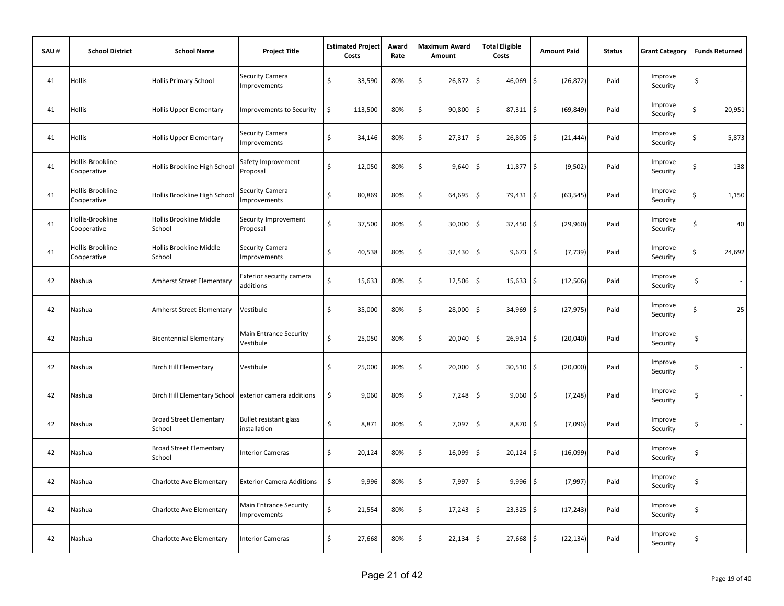| SAU# | <b>School District</b>          | <b>School Name</b>                       | <b>Project Title</b>                          | <b>Estimated Project</b><br>Costs | Award<br>Rate | Maximum Award<br>Amount | <b>Total Eligible</b><br>Costs | <b>Amount Paid</b>   | <b>Status</b> | <b>Grant Category</b> | <b>Funds Returned</b>          |
|------|---------------------------------|------------------------------------------|-----------------------------------------------|-----------------------------------|---------------|-------------------------|--------------------------------|----------------------|---------------|-----------------------|--------------------------------|
| 41   | Hollis                          | <b>Hollis Primary School</b>             | Security Camera<br><b>Improvements</b>        | Ś<br>33,590                       | 80%           | \$<br>26,872            | \$<br>46,069                   | \$<br>(26, 872)      | Paid          | Improve<br>Security   | \$<br>$\sim$                   |
| 41   | Hollis                          | <b>Hollis Upper Elementary</b>           | <b>Improvements to Security</b>               | \$<br>113,500                     | 80%           | \$<br>90,800            | \$<br>87,311                   | \$<br>(69, 849)      | Paid          | Improve<br>Security   | \$<br>20,951                   |
| 41   | Hollis                          | <b>Hollis Upper Elementary</b>           | Security Camera<br>Improvements               | \$<br>34,146                      | 80%           | \$<br>27,317            | $\sqrt{5}$<br>26,805           | \$<br>(21, 444)      | Paid          | Improve<br>Security   | \$<br>5,873                    |
| 41   | Hollis-Brookline<br>Cooperative | Hollis Brookline High School             | Safety Improvement<br>Proposal                | Ś<br>12,050                       | 80%           | \$<br>9,640             | \$<br>11,877                   | \$<br>(9, 502)       | Paid          | Improve<br>Security   | \$<br>138                      |
| 41   | Hollis-Brookline<br>Cooperative | Hollis Brookline High School             | Security Camera<br>Improvements               | \$<br>80,869                      | 80%           | \$<br>64,695            | $\ddot{\mathsf{S}}$<br>79,431  | \$<br>(63, 545)      | Paid          | Improve<br>Security   | \$<br>1,150                    |
| 41   | Hollis-Brookline<br>Cooperative | Hollis Brookline Middle<br>School        | Security Improvement<br>Proposal              | Ś<br>37,500                       | 80%           | \$<br>30,000            | \$<br>37,450                   | \$<br>(29,960)       | Paid          | Improve<br>Security   | \$<br>40                       |
| 41   | Hollis-Brookline<br>Cooperative | Hollis Brookline Middle<br>School        | Security Camera<br>Improvements               | Ś<br>40,538                       | 80%           | \$<br>32,430            | \$<br>9,673                    | \$<br>(7, 739)       | Paid          | Improve<br>Security   | \$<br>24,692                   |
| 42   | Nashua                          | <b>Amherst Street Elementary</b>         | Exterior security camera<br>additions         | \$<br>15,633                      | 80%           | \$<br>12,506            | \$<br>15,633                   | $\zeta$<br>(12, 506) | Paid          | Improve<br>Security   | \$<br>$\sim$                   |
| 42   | Nashua                          | Amherst Street Elementary                | Vestibule                                     | \$<br>35,000                      | 80%           | \$<br>28,000            | \$<br>$34,969$ \$              | (27, 975)            | Paid          | Improve<br>Security   | \$<br>25                       |
| 42   | Nashua                          | <b>Bicentennial Elementary</b>           | Main Entrance Security<br>Vestibule           | \$<br>25,050                      | 80%           | \$<br>20,040            | $\zeta$<br>$26,914$ \$         | (20,040)             | Paid          | Improve<br>Security   | \$<br>$\sim$                   |
| 42   | Nashua                          | <b>Birch Hill Elementary</b>             | Vestibule                                     | \$<br>25,000                      | 80%           | \$<br>20,000            | \$<br>$30,510$ \$              | (20,000)             | Paid          | Improve<br>Security   | \$<br>$\sim$                   |
| 42   | Nashua                          | <b>Birch Hill Elementary School</b>      | exterior camera additions                     | \$<br>9,060                       | 80%           | \$<br>7,248             | $\ddot{\mathsf{S}}$<br>9,060   | \$<br>(7, 248)       | Paid          | Improve<br>Security   | \$<br>÷.                       |
| 42   | Nashua                          | <b>Broad Street Elementary</b><br>School | <b>Bullet resistant glass</b><br>installation | \$<br>8,871                       | 80%           | \$<br>7,097             | $\mathsf{S}$<br>8,870 \$       | (7,096)              | Paid          | Improve<br>Security   | \$                             |
| 42   | Nashua                          | <b>Broad Street Elementary</b><br>School | <b>Interior Cameras</b>                       | \$<br>20,124                      | 80%           | \$<br>16,099            | \$<br>20,124                   | \$<br>(16,099)       | Paid          | Improve<br>Security   | \$                             |
| 42   | Nashua                          | Charlotte Ave Elementary                 | <b>Exterior Camera Additions</b>              | \$<br>9,996                       | 80%           | \$<br>7,997             | \$<br>9,996                    | \$<br>(7, 997)       | Paid          | Improve<br>Security   | \$                             |
| 42   | Nashua                          | Charlotte Ave Elementary                 | Main Entrance Security<br>Improvements        | \$<br>21,554                      | 80%           | \$<br>17,243            | \$<br>$23,325$ \$              | (17, 243)            | Paid          | Improve<br>Security   | \$                             |
| 42   | Nashua                          | Charlotte Ave Elementary                 | <b>Interior Cameras</b>                       | \$<br>27,668                      | 80%           | \$<br>22,134            | $\mathsf{S}$<br>27,668         | \$<br>(22, 134)      | Paid          | Improve<br>Security   | \$<br>$\overline{\phantom{a}}$ |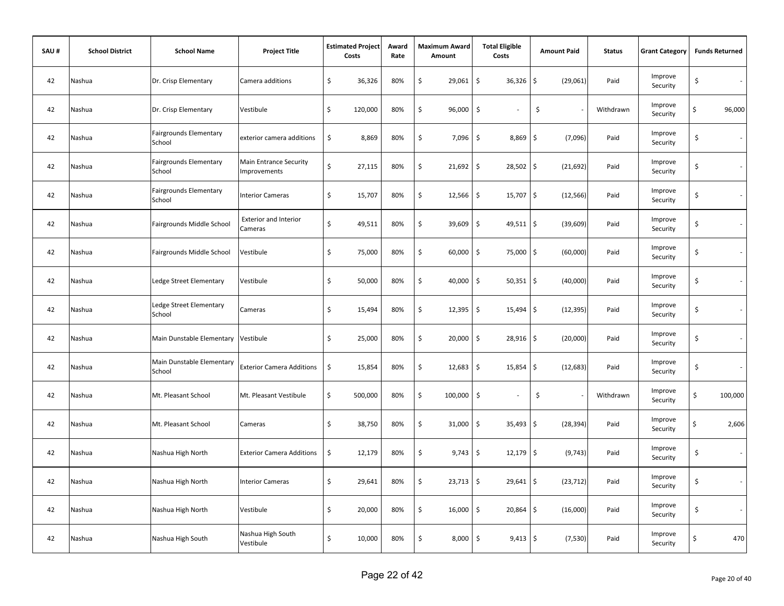| SAU# | <b>School District</b> | <b>School Name</b>                      | <b>Project Title</b>                          | <b>Estimated Project</b><br>Costs | Award<br>Rate | <b>Maximum Award</b><br>Amount | <b>Total Eligible</b><br>Costs     | <b>Amount Paid</b>      | <b>Status</b> | <b>Grant Category</b> | <b>Funds Returned</b>             |
|------|------------------------|-----------------------------------------|-----------------------------------------------|-----------------------------------|---------------|--------------------------------|------------------------------------|-------------------------|---------------|-----------------------|-----------------------------------|
| 42   | Nashua                 | Dr. Crisp Elementary                    | Camera additions                              | \$<br>36,326                      | 80%           | \$<br>29,061                   | \$<br>36,326                       | \$<br>(29,061)          | Paid          | Improve<br>Security   | \$<br>$\sim$                      |
| 42   | Nashua                 | Dr. Crisp Elementary                    | Vestibule                                     | \$<br>120,000                     | 80%           | \$<br>96,000                   | \$                                 | \$                      | Withdrawn     | Improve<br>Security   | \$<br>96,000                      |
| 42   | Nashua                 | Fairgrounds Elementary<br>School        | exterior camera additions                     | \$<br>8,869                       | 80%           | \$<br>7,096                    | \$<br>8,869                        | \$<br>(7,096)           | Paid          | Improve<br>Security   | \$                                |
| 42   | Nashua                 | <b>Fairgrounds Elementary</b><br>School | Main Entrance Security<br><b>Improvements</b> | \$<br>27,115                      | 80%           | \$<br>21,692                   | \$<br>$28,502$ \$                  | (21, 692)               | Paid          | Improve<br>Security   | \$                                |
| 42   | Nashua                 | <b>Fairgrounds Elementary</b><br>School | Interior Cameras                              | \$<br>15,707                      | 80%           | \$<br>12,566                   | \$<br>$15,707$ \$                  | (12, 566)               | Paid          | Improve<br>Security   | \$                                |
| 42   | Nashua                 | Fairgrounds Middle School               | <b>Exterior and Interior</b><br>Cameras       | \$<br>49,511                      | 80%           | \$<br>39,609                   | \$<br>$49,511$ \$                  | (39, 609)               | Paid          | Improve<br>Security   | \$                                |
| 42   | Nashua                 | Fairgrounds Middle School               | Vestibule                                     | \$<br>75,000                      | 80%           | \$<br>60,000                   | \$<br>75,000                       | \$<br>(60,000)          | Paid          | Improve<br>Security   | \$<br>$\overline{\phantom{a}}$    |
| 42   | Nashua                 | Ledge Street Elementary                 | Vestibule                                     | \$<br>50,000                      | 80%           | \$<br>40,000                   | $\ddot{\mathsf{S}}$<br>$50,351$ \$ | (40,000)                | Paid          | Improve<br>Security   | \$                                |
| 42   | Nashua                 | Ledge Street Elementary<br>School       | Cameras                                       | \$<br>15,494                      | 80%           | \$<br>12,395                   | $\zeta$<br>15,494                  | I\$<br>(12, 395)        | Paid          | Improve<br>Security   | \$<br>$\sim$                      |
| 42   | Nashua                 | Main Dunstable Elementary               | Vestibule                                     | \$<br>25,000                      | 80%           | \$<br>20,000                   | \$<br>$28,916$ \$                  | (20,000)                | Paid          | Improve<br>Security   | \$<br>$\mathcal{L}_{\mathcal{A}}$ |
| 42   | Nashua                 | Main Dunstable Elementary<br>School     | <b>Exterior Camera Additions</b>              | \$<br>15,854                      | 80%           | \$<br>12,683                   | \$<br>$15,854$ \$                  | (12, 683)               | Paid          | Improve<br>Security   | \$<br>$\sim$                      |
| 42   | Nashua                 | Mt. Pleasant School                     | Mt. Pleasant Vestibule                        | \$<br>500,000                     | 80%           | \$<br>100,000                  | \$                                 | \$                      | Withdrawn     | Improve<br>Security   | \$<br>100,000                     |
| 42   | Nashua                 | Mt. Pleasant School                     | Cameras                                       | \$<br>38,750                      | 80%           | \$<br>31,000                   | \$<br>35,493                       | $\ddot{s}$<br>(28, 394) | Paid          | Improve<br>Security   | \$<br>2,606                       |
| 42   | Nashua                 | Nashua High North                       | <b>Exterior Camera Additions</b>              | \$<br>12,179                      | 80%           | \$<br>9,743                    | \$<br>12,179                       | \$<br>(9, 743)          | Paid          | Improve<br>Security   | \$<br>$\sim$                      |
| 42   | Nashua                 | Nashua High North                       | Interior Cameras                              | \$<br>29,641                      | 80%           | \$<br>23,713                   | \$<br>$29,641$ \$                  | (23, 712)               | Paid          | Improve<br>Security   | \$<br>$\sim$                      |
| 42   | Nashua                 | Nashua High North                       | Vestibule                                     | \$<br>20,000                      | 80%           | \$<br>16,000                   | \$<br>$20,864$ \$                  | (16,000)                | Paid          | Improve<br>Security   | \$                                |
| 42   | Nashua                 | Nashua High South                       | Nashua High South<br>Vestibule                | \$<br>10,000                      | 80%           | \$<br>8,000                    | \$<br>$9,413$ \$                   | (7, 530)                | Paid          | Improve<br>Security   | \$<br>470                         |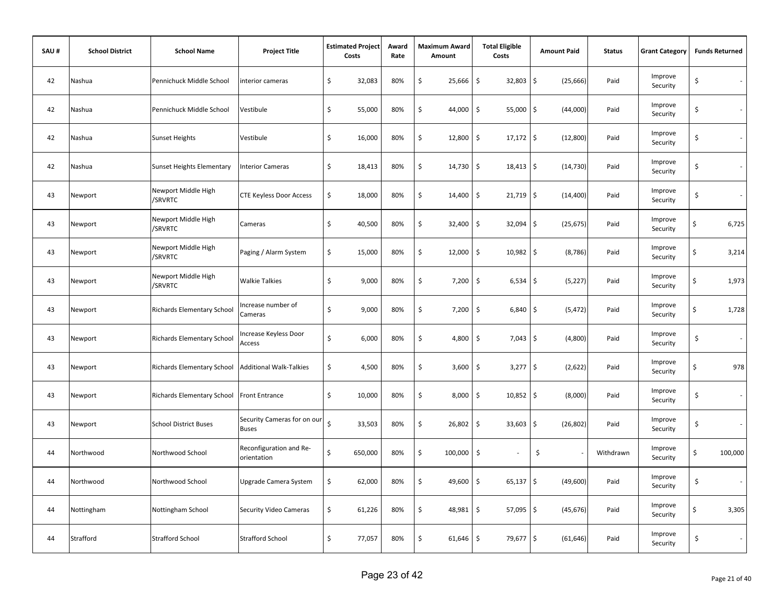| SAU# | <b>School District</b> | <b>School Name</b>                | <b>Project Title</b>                        |    | <b>Estimated Project</b><br>Costs | Award<br>Rate | <b>Maximum Award</b><br>Amount | <b>Total Eligible</b><br>Costs     | <b>Amount Paid</b> | <b>Status</b> | <b>Grant Category</b> | <b>Funds Returned</b> |
|------|------------------------|-----------------------------------|---------------------------------------------|----|-----------------------------------|---------------|--------------------------------|------------------------------------|--------------------|---------------|-----------------------|-----------------------|
| 42   | Nashua                 | Pennichuck Middle School          | interior cameras                            | \$ | 32,083                            | 80%           | \$<br>25,666                   | \$<br>32,803                       | \$<br>(25, 666)    | Paid          | Improve<br>Security   | \$                    |
| 42   | Nashua                 | Pennichuck Middle School          | Vestibule                                   | \$ | 55,000                            | 80%           | \$<br>44,000                   | \$<br>$55,000$   \$                | (44,000)           | Paid          | Improve<br>Security   | \$                    |
| 42   | Nashua                 | <b>Sunset Heights</b>             | Vestibule                                   | \$ | 16,000                            | 80%           | \$<br>12,800                   | $\ddot{\mathsf{S}}$<br>$17,172$ \$ | (12,800)           | Paid          | Improve<br>Security   | \$                    |
| 42   | Nashua                 | <b>Sunset Heights Elementary</b>  | <b>Interior Cameras</b>                     | \$ | 18,413                            | 80%           | \$<br>14,730                   | \$<br>$18,413$ \$                  | (14, 730)          | Paid          | Improve<br>Security   | \$                    |
| 43   | Newport                | Newport Middle High<br>/SRVRTC    | <b>CTE Keyless Door Access</b>              | \$ | 18,000                            | 80%           | \$<br>14,400                   | $\ddot{\mathsf{S}}$<br>$21,719$ \$ | (14, 400)          | Paid          | Improve<br>Security   | \$<br>$\sim$          |
| 43   | Newport                | Newport Middle High<br>/SRVRTC    | Cameras                                     | \$ | 40,500                            | 80%           | \$<br>32,400                   | \$<br>32,094                       | \$<br>(25, 675)    | Paid          | Improve<br>Security   | \$<br>6,725           |
| 43   | Newport                | Newport Middle High<br>/SRVRTC    | Paging / Alarm System                       | \$ | 15,000                            | 80%           | \$<br>12,000                   | \$<br>10,982                       | \$<br>(8, 786)     | Paid          | Improve<br>Security   | \$<br>3,214           |
| 43   | Newport                | Newport Middle High<br>/SRVRTC    | <b>Walkie Talkies</b>                       | \$ | 9,000                             | 80%           | \$<br>7,200                    | $\ddot{\mathsf{S}}$<br>6,534       | \$<br>(5, 227)     | Paid          | Improve<br>Security   | \$<br>1,973           |
| 43   | Newport                | <b>Richards Elementary School</b> | Increase number of<br>Cameras               | \$ | 9,000                             | 80%           | \$<br>7,200                    | $\zeta$<br>6,840                   | \$<br>(5, 472)     | Paid          | Improve<br>Security   | \$<br>1,728           |
| 43   | Newport                | <b>Richards Elementary School</b> | Increase Keyless Door<br>Access             | \$ | 6,000                             | 80%           | \$<br>4,800                    | \$<br>$7,043$ \$                   | (4,800)            | Paid          | Improve<br>Security   | \$<br>$\sim$          |
| 43   | Newport                | Richards Elementary School        | <b>Additional Walk-Talkies</b>              | \$ | 4,500                             | 80%           | \$<br>3,600                    | \$<br>$3,277$ \$                   | (2,622)            | Paid          | Improve<br>Security   | \$<br>978             |
| 43   | Newport                | <b>Richards Elementary School</b> | <b>Front Entrance</b>                       | \$ | 10,000                            | 80%           | \$<br>8,000                    | $\ddot{\mathsf{S}}$<br>$10,852$ \$ | (8,000)            | Paid          | Improve<br>Security   | \$<br>$\sim$          |
| 43   | Newport                | <b>School District Buses</b>      | Security Cameras for on our<br><b>Buses</b> | Ś  | 33,503                            | 80%           | \$<br>26,802                   | \$<br>33,603                       | \$<br>(26, 802)    | Paid          | Improve<br>Security   | \$                    |
| 44   | Northwood              | Northwood School                  | Reconfiguration and Re-<br>orientation      | \$ | 650,000                           | 80%           | \$<br>100,000                  | \$                                 | \$                 | Withdrawn     | Improve<br>Security   | \$<br>100,000         |
| 44   | Northwood              | Northwood School                  | Upgrade Camera System                       | \$ | 62,000                            | 80%           | \$<br>49,600                   | \$<br>$65,137$ \$                  | (49,600)           | Paid          | Improve<br>Security   | \$<br>$\sim$          |
| 44   | Nottingham             | Nottingham School                 | Security Video Cameras                      | \$ | 61,226                            | 80%           | \$<br>48,981                   | \$<br>$57,095$ \$                  | (45, 676)          | Paid          | Improve<br>Security   | \$<br>3,305           |
| 44   | Strafford              | <b>Strafford School</b>           | <b>Strafford School</b>                     | \$ | 77,057                            | 80%           | \$<br>61,646                   | $\ddot{\mathsf{S}}$<br>79,677 \$   | (61, 646)          | Paid          | Improve<br>Security   | \$<br>$\sim$          |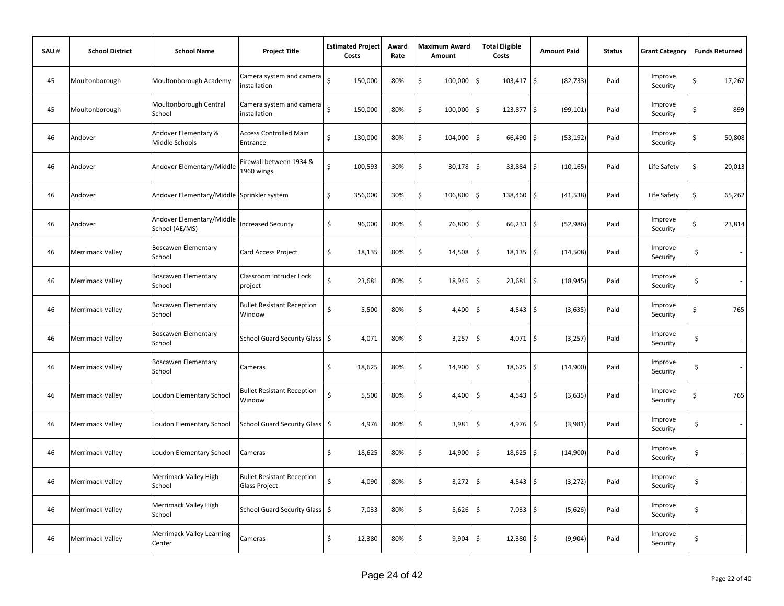| SAU# | <b>School District</b>  | <b>School Name</b>                          | <b>Project Title</b>                                      | <b>Estimated Project</b><br>Costs | Award<br>Rate | <b>Maximum Award</b><br>Amount |             | <b>Total Eligible</b><br>Costs | <b>Amount Paid</b>               | <b>Status</b> | <b>Grant Category</b> | <b>Funds Returned</b>          |
|------|-------------------------|---------------------------------------------|-----------------------------------------------------------|-----------------------------------|---------------|--------------------------------|-------------|--------------------------------|----------------------------------|---------------|-----------------------|--------------------------------|
| 45   | Moultonborough          | Moultonborough Academy                      | Camera system and camera<br>installation                  | $\zeta$<br>150,000                | 80%           | \$                             | 100,000     | $103,417$ \$<br>\$             | (82, 733)                        | Paid          | Improve<br>Security   | \$<br>17,267                   |
| 45   | Moultonborough          | Moultonborough Central<br>School            | Camera system and camera<br>installation                  | $\zeta$<br>150,000                | 80%           | \$                             | 100,000     | \$<br>123,877                  | $\ddot{\mathbf{5}}$<br>(99, 101) | Paid          | Improve<br>Security   | Ś<br>899                       |
| 46   | Andover                 | Andover Elementary &<br>Middle Schools      | <b>Access Controlled Main</b><br>Entrance                 | \$<br>130,000                     | 80%           | \$                             | 104,000     | \$<br>66,490                   | \$<br>(53, 192)                  | Paid          | Improve<br>Security   | \$<br>50,808                   |
| 46   | Andover                 | Andover Elementary/Middle                   | Firewall between 1934 &<br>1960 wings                     | \$<br>100,593                     | 30%           | \$                             | $30,178$ \$ | $33,884$ \$                    | (10, 165)                        | Paid          | Life Safety           | \$<br>20,013                   |
| 46   | Andover                 | Andover Elementary/Middle Sprinkler system  |                                                           | \$<br>356,000                     | 30%           | \$                             | 106,800     | \$<br>138,460                  | \$<br>(41, 538)                  | Paid          | Life Safety           | \$<br>65,262                   |
| 46   | Andover                 | Andover Elementary/Middle<br>School (AE/MS) | <b>Increased Security</b>                                 | \$<br>96,000                      | 80%           | \$                             | 76,800      | \$<br>$66,233$ \$              | (52, 986)                        | Paid          | Improve<br>Security   | \$<br>23,814                   |
| 46   | Merrimack Valley        | <b>Boscawen Elementary</b><br>School        | Card Access Project                                       | \$<br>18,135                      | 80%           | \$                             | 14,508      | \$<br>18,135                   | \$<br>(14, 508)                  | Paid          | Improve<br>Security   | \$<br>$\overline{\phantom{a}}$ |
| 46   | Merrimack Valley        | <b>Boscawen Elementary</b><br>School        | Classroom Intruder Lock<br>project                        | \$<br>23,681                      | 80%           | \$                             | 18,945      | \$<br>23,681                   | \$<br>(18, 945)                  | Paid          | Improve<br>Security   | \$<br>$\sim$                   |
| 46   | Merrimack Valley        | <b>Boscawen Elementary</b><br>School        | <b>Bullet Resistant Reception</b><br>Window               | \$<br>5,500                       | 80%           | \$                             | 4,400       | \$<br>$4,543$ \$               | (3,635)                          | Paid          | Improve<br>Security   | \$<br>765                      |
| 46   | Merrimack Valley        | <b>Boscawen Elementary</b><br>School        | <b>School Guard Security Glass</b>                        | \$<br>4,071                       | 80%           | \$                             | 3,257       | $\sqrt{5}$<br>4,071            | \$<br>(3, 257)                   | Paid          | Improve<br>Security   | \$<br>$\overline{\phantom{a}}$ |
| 46   | Merrimack Valley        | <b>Boscawen Elementary</b><br>School        | Cameras                                                   | \$<br>18,625                      | 80%           | \$                             | 14,900      | \$<br>18,625                   | \$<br>(14,900)                   | Paid          | Improve<br>Security   | \$<br>$\sim$                   |
| 46   | Merrimack Valley        | Loudon Elementary School                    | <b>Bullet Resistant Reception</b><br>Window               | \$<br>5,500                       | 80%           | \$                             | 4,400       | \$<br>$4,543$ \$               | (3,635)                          | Paid          | Improve<br>Security   | \$<br>765                      |
| 46   | Merrimack Valley        | Loudon Elementary School                    | School Guard Security Glass   \$                          | 4,976                             | 80%           | \$                             | 3,981       | \$<br>4,976                    | \$<br>(3,981)                    | Paid          | Improve<br>Security   | \$<br>$\sim$                   |
| 46   | Merrimack Valley        | Loudon Elementary School                    | Cameras                                                   | \$<br>18,625                      | 80%           | \$                             | 14,900      | \$<br>18,625                   | \$<br>(14,900)                   | Paid          | Improve<br>Security   | \$<br>$\sim$                   |
| 46   | Merrimack Valley        | Merrimack Valley High<br>School             | <b>Bullet Resistant Reception</b><br><b>Glass Project</b> | \$<br>4,090                       | 80%           | \$                             | 3,272       | \$<br>4,543                    | \$<br>(3, 272)                   | Paid          | Improve<br>Security   | \$                             |
| 46   | Merrimack Valley        | Merrimack Valley High<br>School             | School Guard Security Glass \$                            | 7,033                             | 80%           | \$                             | $5,626$ \$  | $7,033$ \$                     | (5,626)                          | Paid          | Improve<br>Security   | \$                             |
| 46   | <b>Merrimack Valley</b> | Merrimack Valley Learning<br>Center         | Cameras                                                   | \$<br>12,380                      | 80%           | \$                             | 9,904       | $\sqrt{5}$<br>12,380           | \$<br>(9,904)                    | Paid          | Improve<br>Security   | \$                             |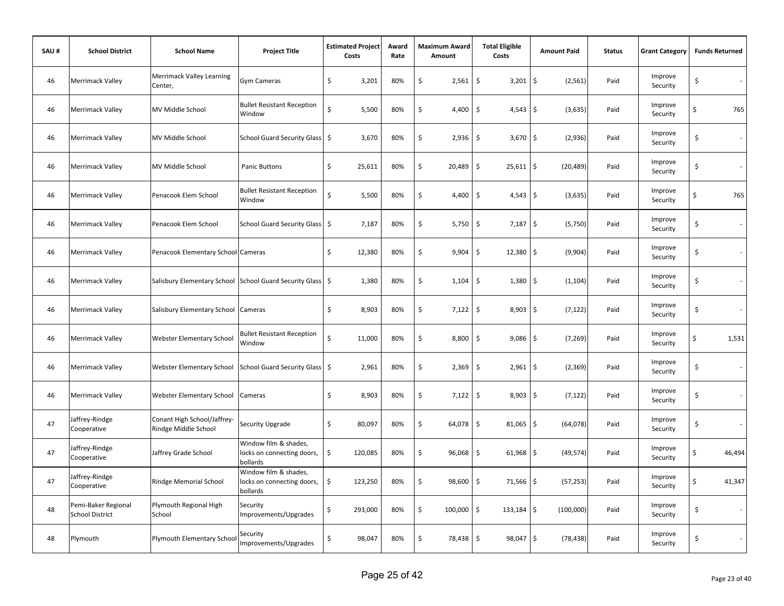| SAU# | <b>School District</b>                        | <b>School Name</b>                                         | <b>Project Title</b>                                            | <b>Estimated Project</b><br>Costs | Award<br>Rate | <b>Maximum Award</b><br>Amount | <b>Total Eligible</b><br>Costs     | <b>Amount Paid</b>             | <b>Status</b> | <b>Grant Category</b> |    | <b>Funds Returned</b> |
|------|-----------------------------------------------|------------------------------------------------------------|-----------------------------------------------------------------|-----------------------------------|---------------|--------------------------------|------------------------------------|--------------------------------|---------------|-----------------------|----|-----------------------|
| 46   | <b>Merrimack Valley</b>                       | <b>Merrimack Valley Learning</b><br>Center,                | Gym Cameras                                                     | \$<br>3,201                       | 80%           | \$<br>2,561                    | \$<br>$3,201$ \$                   | (2, 561)                       | Paid          | Improve<br>Security   | \$ | $\sim$                |
| 46   | <b>Merrimack Valley</b>                       | MV Middle School                                           | <b>Bullet Resistant Reception</b><br>Window                     | \$<br>5,500                       | 80%           | \$<br>4,400                    | $\ddot{\mathsf{S}}$<br>$4,543$ \$  | (3,635)                        | Paid          | Improve<br>Security   | \$ | 765                   |
| 46   | Merrimack Valley                              | MV Middle School                                           | School Guard Security Glass \$                                  | 3,670                             | 80%           | \$<br>2,936                    | $\ddot{\circ}$<br>$3,670$ \$       | (2,936)                        | Paid          | Improve<br>Security   | \$ | $\sim$                |
| 46   | <b>Merrimack Valley</b>                       | MV Middle School                                           | <b>Panic Buttons</b>                                            | \$<br>25,611                      | 80%           | \$<br>20,489                   | $\ddot{\mathsf{S}}$<br>$25,611$ \$ | (20, 489)                      | Paid          | Improve<br>Security   | \$ |                       |
| 46   | <b>Merrimack Valley</b>                       | Penacook Elem School                                       | <b>Bullet Resistant Reception</b><br>Window                     | Ś.<br>5,500                       | 80%           | \$<br>4,400                    | \$<br>$4,543$ \$                   | (3,635)                        | Paid          | Improve<br>Security   | \$ | 765                   |
| 46   | <b>Merrimack Valley</b>                       | Penacook Elem School                                       | School Guard Security Glass   \$                                | 7,187                             | 80%           | \$<br>5,750                    | \$<br>$7,187$ \$                   | (5,750)                        | Paid          | Improve<br>Security   | \$ |                       |
| 46   | <b>Merrimack Valley</b>                       | Penacook Elementary School Cameras                         |                                                                 | \$<br>12,380                      | 80%           | \$<br>9,904                    | $\ddot{\mathsf{S}}$<br>12,380      | $\ddot{\mathsf{S}}$<br>(9,904) | Paid          | Improve<br>Security   | \$ |                       |
| 46   | <b>Merrimack Valley</b>                       | Salisbury Elementary School School Guard Security Glass \$ |                                                                 | 1,380                             | 80%           | \$<br>1,104                    | \$<br>$1,380$ \$                   | (1, 104)                       | Paid          | Improve<br>Security   | \$ |                       |
| 46   | <b>Merrimack Valley</b>                       | Salisbury Elementary School                                | Cameras                                                         | \$<br>8,903                       | 80%           | \$<br>7,122                    | $\mathsf{S}$<br>$8,903$ \$         | (7, 122)                       | Paid          | Improve<br>Security   | \$ | $\sim$                |
| 46   | <b>Merrimack Valley</b>                       | <b>Webster Elementary School</b>                           | <b>Bullet Resistant Reception</b><br>Window                     | \$<br>11,000                      | 80%           | \$<br>8,800                    | $\ddot{\mathsf{S}}$<br>$9,086$ \$  | (7, 269)                       | Paid          | Improve<br>Security   | \$ | 1,531                 |
| 46   | <b>Merrimack Valley</b>                       | <b>Webster Elementary School</b>                           | School Guard Security Glass   \$                                | 2,961                             | 80%           | \$<br>$2,369$ \$               | $2,961$ \$                         | (2, 369)                       | Paid          | Improve<br>Security   | \$ | $\sim$                |
| 46   | <b>Merrimack Valley</b>                       | <b>Webster Elementary School</b>                           | Cameras                                                         | \$<br>8,903                       | 80%           | \$<br>$7,122$ \$               | $8,903$ \$                         | (7, 122)                       | Paid          | Improve<br>Security   | \$ | $\sim$                |
| 47   | Jaffrey-Rindge<br>Cooperative                 | Conant High School/Jaffrey-<br>Rindge Middle School        | Security Upgrade                                                | \$<br>80,097                      | 80%           | \$<br>64,078                   | $\ddot{\mathsf{S}}$<br>$81,065$ \$ | (64, 078)                      | Paid          | Improve<br>Security   | \$ |                       |
| 47   | Jaffrey-Rindge<br>Cooperative                 | Jaffrey Grade School                                       | Window film & shades,<br>locks on connecting doors,<br>bollards | \$<br>120,085                     | 80%           | \$<br>96,068                   | $\ddot{\mathsf{S}}$<br>$61,968$ \$ | (49, 574)                      | Paid          | Improve<br>Security   | Ś  | 46,494                |
| 47   | Jaffrey-Rindge<br>Cooperative                 | Rindge Memorial School                                     | Window film & shades,<br>locks on connecting doors,<br>bollards | \$<br>123,250                     | 80%           | \$<br>98,600                   | \$<br>71,566 \$                    | (57, 253)                      | Paid          | Improve<br>Security   | \$ | 41,347                |
| 48   | Pemi-Baker Regional<br><b>School District</b> | Plymouth Regional High<br>School                           | Security<br>Improvements/Upgrades                               | \$<br>293,000                     | 80%           | \$<br>100,000                  | \$<br>$133,184$ \$                 | (100,000)                      | Paid          | Improve<br>Security   | \$ | $\sim$                |
| 48   | Plymouth                                      | Plymouth Elementary School                                 | Security<br>Improvements/Upgrades                               | \$<br>98,047                      | 80%           | \$<br>78,438 \$                | 98,047 \$                          | (78, 438)                      | Paid          | Improve<br>Security   | \$ |                       |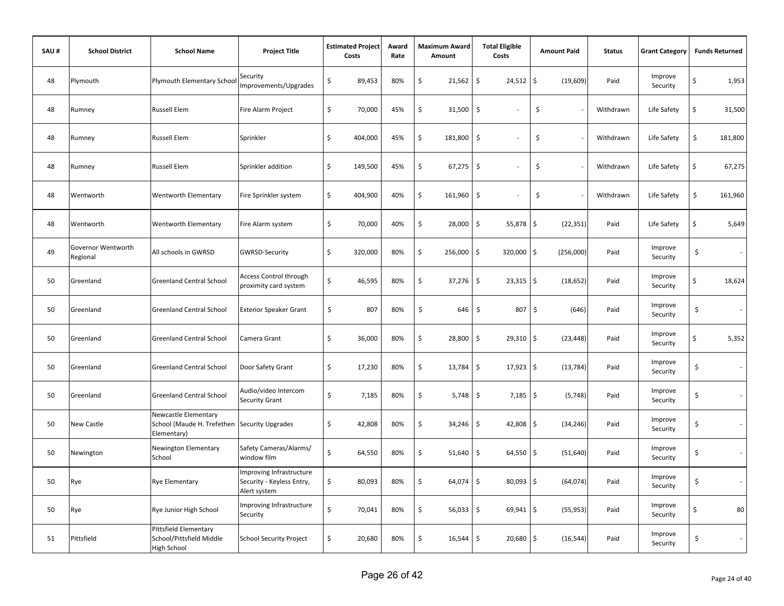| SAU# | <b>School District</b>         | <b>School Name</b>                                                      | <b>Project Title</b>                                                  |    | <b>Estimated Project</b><br>Costs | Award<br>Rate | Maximum Award<br>Amount | <b>Total Eligible</b><br>Costs | <b>Amount Paid</b>               | <b>Status</b> | <b>Grant Category</b> | <b>Funds Returned</b> |
|------|--------------------------------|-------------------------------------------------------------------------|-----------------------------------------------------------------------|----|-----------------------------------|---------------|-------------------------|--------------------------------|----------------------------------|---------------|-----------------------|-----------------------|
| 48   | Plymouth                       | Plymouth Elementary School                                              | Security<br>Improvements/Upgrades                                     | \$ | 89,453                            | 80%           | \$<br>21,562            | \$<br>24,512                   | $\ddot{\mathsf{s}}$<br>(19,609)  | Paid          | Improve<br>Security   | \$<br>1,953           |
| 48   | Rumney                         | <b>Russell Elem</b>                                                     | Fire Alarm Project                                                    | \$ | 70,000                            | 45%           | \$<br>31,500            | \$                             | \$                               | Withdrawn     | Life Safety           | \$<br>31,500          |
| 48   | Rumney                         | <b>Russell Elem</b>                                                     | Sprinkler                                                             | \$ | 404,000                           | 45%           | \$<br>181,800           | \$<br>$\overline{\phantom{a}}$ | \$                               | Withdrawn     | Life Safety           | \$<br>181,800         |
| 48   | Rumney                         | <b>Russell Elem</b>                                                     | Sprinkler addition                                                    | \$ | 149,500                           | 45%           | \$<br>67,275            | \$                             | \$                               | Withdrawn     | Life Safety           | \$<br>67,275          |
| 48   | Wentworth                      | Wentworth Elementary                                                    | Fire Sprinkler system                                                 | \$ | 404,900                           | 40%           | \$<br>161,960           | \$<br>×.                       | \$                               | Withdrawn     | Life Safety           | \$<br>161,960         |
| 48   | Wentworth                      | Wentworth Elementary                                                    | Fire Alarm system                                                     | \$ | 70,000                            | 40%           | \$<br>28,000            | \$<br>55,878                   | l\$<br>(22, 351)                 | Paid          | Life Safety           | \$<br>5,649           |
| 49   | Governor Wentworth<br>Regional | All schools in GWRSD                                                    | <b>GWRSD-Security</b>                                                 | \$ | 320,000                           | 80%           | \$<br>256,000           | \$<br>320,000                  | l\$<br>(256,000)                 | Paid          | Improve<br>Security   | \$                    |
| 50   | Greenland                      | <b>Greenland Central School</b>                                         | <b>Access Control through</b><br>proximity card system                | Ś  | 46,595                            | 80%           | \$<br>37,276            | \$<br>23,315                   | $\ddot{\mathsf{s}}$<br>(18, 652) | Paid          | Improve<br>Security   | \$<br>18,624          |
| 50   | Greenland                      | <b>Greenland Central School</b>                                         | <b>Exterior Speaker Grant</b>                                         | \$ | 807                               | 80%           | \$<br>646               | \$<br>807                      | \$<br>(646)                      | Paid          | Improve<br>Security   | \$                    |
| 50   | Greenland                      | <b>Greenland Central School</b>                                         | Camera Grant                                                          | \$ | 36,000                            | 80%           | \$<br>28,800            | \$<br>$29,310$ \$              | (23, 448)                        | Paid          | Improve<br>Security   | \$<br>5,352           |
| 50   | Greenland                      | <b>Greenland Central School</b>                                         | Door Safety Grant                                                     | \$ | 17,230                            | 80%           | \$<br>13,784            | \$<br>$17,923$ \$              | (13, 784)                        | Paid          | Improve<br>Security   | \$                    |
| 50   | Greenland                      | <b>Greenland Central School</b>                                         | Audio/video Intercom<br>Security Grant                                | \$ | 7,185                             | 80%           | \$<br>5,748             | \$<br>$7,185$ \$               | (5, 748)                         | Paid          | Improve<br>Security   | \$                    |
| 50   | New Castle                     | Newcastle Elementary<br>School (Maude H. Trefethen<br>Elementary)       | <b>Security Upgrades</b>                                              | \$ | 42,808                            | 80%           | \$<br>34,246            | \$<br>$42,808$ \$              | (34, 246)                        | Paid          | Improve<br>Security   | \$                    |
| 50   | Newington                      | Newington Elementary<br>School                                          | Safety Cameras/Alarms/<br>window film                                 | \$ | 64,550                            | 80%           | \$<br>51,640            | \$<br>64,550                   | $\ddot{\varsigma}$<br>(51, 640)  | Paid          | Improve<br>Security   | \$                    |
| 50   | Rye                            | <b>Rye Elementary</b>                                                   | Improving Infrastructure<br>Security - Keyless Entry,<br>Alert system | \$ | 80,093                            | 80%           | \$<br>64,074            | \$<br>80,093                   | $\ddot{\varsigma}$<br>(64, 074)  | Paid          | Improve<br>Security   | \$                    |
| 50   | Rye                            | Rye Junior High School                                                  | Improving Infrastructure<br>Security                                  | \$ | 70,041                            | 80%           | \$<br>56,033            | \$<br>$69,941$ \$              | (55, 953)                        | Paid          | Improve<br>Security   | \$<br>80              |
| 51   | Pittsfield                     | Pittsfield Elementary<br>School/Pittsfield Middle<br><b>High School</b> | <b>School Security Project</b>                                        | \$ | 20,680                            | 80%           | \$<br>16,544            | <b>S</b><br>$20,680$ \$        | (16, 544)                        | Paid          | Improve<br>Security   | \$                    |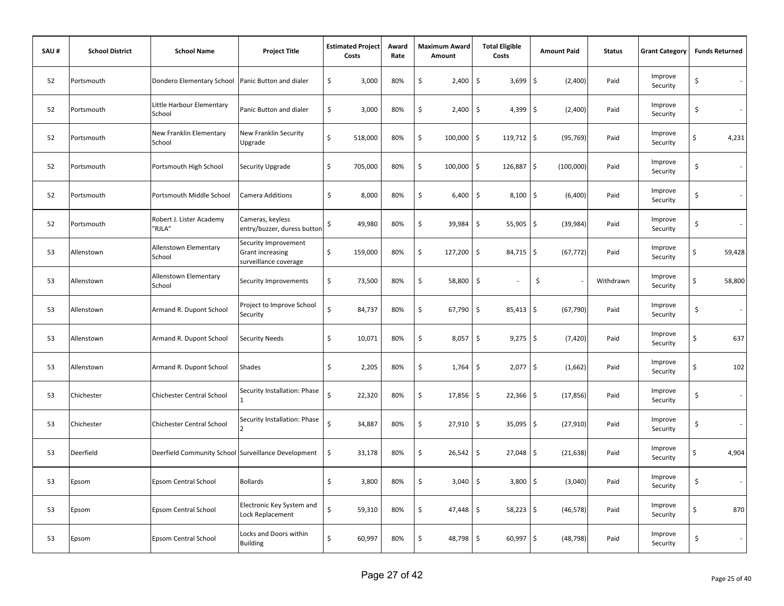| SAU# | <b>School District</b> | <b>School Name</b>                                  | <b>Project Title</b>                                                     |    | <b>Estimated Project</b><br>Costs | Award<br>Rate | <b>Maximum Award</b><br>Amount | <b>Total Eligible</b><br>Costs     | <b>Amount Paid</b> | <b>Status</b> | <b>Grant Category</b> | <b>Funds Returned</b>             |
|------|------------------------|-----------------------------------------------------|--------------------------------------------------------------------------|----|-----------------------------------|---------------|--------------------------------|------------------------------------|--------------------|---------------|-----------------------|-----------------------------------|
| 52   | Portsmouth             | Dondero Elementary School                           | Panic Button and dialer                                                  | \$ | 3,000                             | 80%           | \$<br>2,400                    | \$<br>3,699                        | \$<br>(2,400)      | Paid          | Improve<br>Security   | \$                                |
| 52   | Portsmouth             | Little Harbour Elementary<br>School                 | Panic Button and dialer                                                  | \$ | 3,000                             | 80%           | \$<br>2,400                    | $\ddot{\mathsf{S}}$<br>$4,399$ \$  | (2,400)            | Paid          | Improve<br>Security   | \$                                |
| 52   | Portsmouth             | New Franklin Elementary<br>School                   | New Franklin Security<br>Upgrade                                         | \$ | 518,000                           | 80%           | \$<br>100,000                  | \$<br>$119,712$ \$                 | (95, 769)          | Paid          | Improve<br>Security   | \$<br>4,231                       |
| 52   | Portsmouth             | Portsmouth High School                              | Security Upgrade                                                         | \$ | 705,000                           | 80%           | \$<br>100,000                  | \$<br>126,887 \$                   | (100,000)          | Paid          | Improve<br>Security   | \$                                |
| 52   | Portsmouth             | Portsmouth Middle School                            | Camera Additions                                                         | \$ | 8,000                             | 80%           | \$<br>6,400                    | \$<br>$8,100$ \$                   | (6,400)            | Paid          | Improve<br>Security   | \$                                |
| 52   | Portsmouth             | Robert J. Lister Academy<br>"RJLA"                  | Cameras, keyless<br>entry/buzzer, duress buttor                          | \$ | 49,980                            | 80%           | \$<br>39,984                   | \$<br>$55,905$ \$                  | (39, 984)          | Paid          | Improve<br>Security   | \$<br>$\overline{\phantom{a}}$    |
| 53   | Allenstown             | Allenstown Elementary<br>School                     | Security Improvement<br><b>Grant increasing</b><br>surveillance coverage | \$ | 159,000                           | 80%           | \$<br>127,200                  | $\ddot{\mathsf{S}}$<br>$84,715$ \$ | (67, 772)          | Paid          | Improve<br>Security   | \$<br>59,428                      |
| 53   | Allenstown             | Allenstown Elementary<br>School                     | Security Improvements                                                    | \$ | 73,500                            | 80%           | \$<br>58,800                   | \$                                 | \$                 | Withdrawn     | Improve<br>Security   | \$<br>58,800                      |
| 53   | Allenstown             | Armand R. Dupont School                             | Project to Improve School<br>Security                                    | \$ | 84,737                            | 80%           | \$<br>67,790                   | $\zeta$<br>$85,413$ \$             | (67, 790)          | Paid          | Improve<br>Security   | \$<br>$\sim$                      |
| 53   | Allenstown             | Armand R. Dupont School                             | <b>Security Needs</b>                                                    | \$ | 10,071                            | 80%           | \$<br>8,057                    | \$<br>$9,275$ \$                   | (7, 420)           | Paid          | Improve<br>Security   | \$<br>637                         |
| 53   | Allenstown             | Armand R. Dupont School                             | Shades                                                                   | \$ | 2,205                             | 80%           | \$<br>1,764                    | \$<br>$2,077$ \$                   | (1,662)            | Paid          | Improve<br>Security   | \$<br>102                         |
| 53   | Chichester             | Chichester Central School                           | Security Installation: Phase                                             | Ś  | 22,320                            | 80%           | \$<br>17,856                   | \$<br>$22,366$ \$                  | (17, 856)          | Paid          | Improve<br>Security   | \$<br>$\sim$                      |
| 53   | Chichester             | Chichester Central School                           | Security Installation: Phase                                             | \$ | 34,887                            | 80%           | \$<br>27,910                   | \$<br>$35,095$ \$                  | (27, 910)          | Paid          | Improve<br>Security   | \$                                |
| 53   | Deerfield              | Deerfield Community School Surveillance Development |                                                                          | \$ | 33,178                            | 80%           | \$<br>26,542                   | \$<br>$27,048$ \$                  | (21, 638)          | Paid          | Improve<br>Security   | \$<br>4,904                       |
| 53   | Epsom                  | Epsom Central School                                | <b>Bollards</b>                                                          | \$ | 3,800                             | 80%           | \$<br>3,040                    | \$<br>3,800                        | \$<br>(3,040)      | Paid          | Improve<br>Security   | \$<br>$\mathcal{L}_{\mathcal{A}}$ |
| 53   | Epsom                  | Epsom Central School                                | Electronic Key System and<br>Lock Replacement                            | \$ | 59,310                            | 80%           | \$<br>47,448                   | $\ddot{\mathsf{S}}$<br>$58,223$ \$ | (46, 578)          | Paid          | Improve<br>Security   | \$<br>870                         |
| 53   | Epsom                  | Epsom Central School                                | Locks and Doors within<br><b>Building</b>                                | \$ | 60,997                            | 80%           | \$<br>48,798                   | \$<br>$60,997$ \$                  | (48, 798)          | Paid          | Improve<br>Security   | \$<br>$\sim$                      |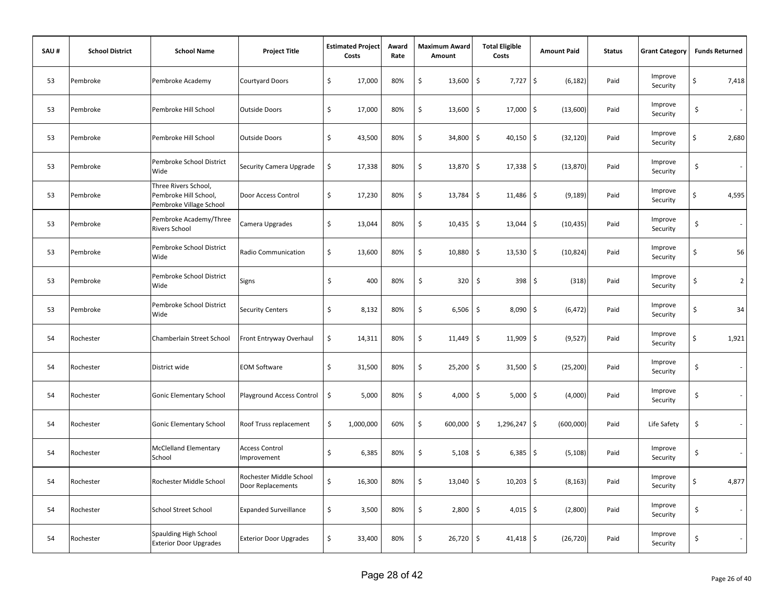| SAU# | <b>School District</b> | <b>School Name</b>                                                       | <b>Project Title</b>                         | <b>Estimated Project</b><br>Costs | Award<br>Rate | <b>Maximum Award</b><br>Amount | <b>Total Eligible</b><br>Costs     | <b>Amount Paid</b> | <b>Status</b> | <b>Grant Category</b> |    | <b>Funds Returned</b> |
|------|------------------------|--------------------------------------------------------------------------|----------------------------------------------|-----------------------------------|---------------|--------------------------------|------------------------------------|--------------------|---------------|-----------------------|----|-----------------------|
| 53   | Pembroke               | Pembroke Academy                                                         | <b>Courtyard Doors</b>                       | \$<br>17,000                      | 80%           | \$<br>13,600                   | \$<br>7,727                        | \$<br>(6, 182)     | Paid          | Improve<br>Security   | \$ | 7,418                 |
| 53   | Pembroke               | Pembroke Hill School                                                     | <b>Outside Doors</b>                         | \$<br>17,000                      | 80%           | \$<br>13,600                   | \$<br>17,000                       | \$<br>(13,600)     | Paid          | Improve<br>Security   | \$ | $\sim$                |
| 53   | Pembroke               | Pembroke Hill School                                                     | <b>Outside Doors</b>                         | \$<br>43,500                      | 80%           | \$<br>34,800                   | \$<br>$40,150$ \$                  | (32, 120)          | Paid          | Improve<br>Security   | Ś  | 2,680                 |
| 53   | Pembroke               | Pembroke School District<br>Wide                                         | Security Camera Upgrade                      | \$<br>17,338                      | 80%           | \$<br>13,870                   | \$ ا<br>$17,338$ \$                | (13, 870)          | Paid          | Improve<br>Security   | \$ | $\sim$                |
| 53   | Pembroke               | Three Rivers School,<br>Pembroke Hill School,<br>Pembroke Village School | Door Access Control                          | \$<br>17,230                      | 80%           | \$<br>13,784                   | $\ddot{\mathsf{S}}$<br>$11,486$ \$ | (9, 189)           | Paid          | Improve<br>Security   | \$ | 4,595                 |
| 53   | Pembroke               | Pembroke Academy/Three<br>Rivers School                                  | Camera Upgrades                              | \$<br>13,044                      | 80%           | \$<br>10,435                   | $\ddot{\mathsf{S}}$<br>13,044      | \$<br>(10, 435)    | Paid          | Improve<br>Security   | \$ |                       |
| 53   | Pembroke               | Pembroke School District<br>Wide                                         | Radio Communication                          | \$<br>13,600                      | 80%           | \$<br>10,880                   | \$<br>13,530                       | \$<br>(10, 824)    | Paid          | Improve<br>Security   | \$ | 56                    |
| 53   | Pembroke               | Pembroke School District<br>Wide                                         | Signs                                        | \$<br>400                         | 80%           | \$<br>320                      | \$<br>398                          | \$<br>(318)        | Paid          | Improve<br>Security   | \$ | $\overline{2}$        |
| 53   | Pembroke               | Pembroke School District<br>Wide                                         | <b>Security Centers</b>                      | \$<br>8,132                       | 80%           | \$<br>6,506                    | \$<br>8,090                        | \$<br>(6, 472)     | Paid          | Improve<br>Security   | \$ | 34                    |
| 54   | Rochester              | Chamberlain Street School                                                | Front Entryway Overhaul                      | \$<br>14,311                      | 80%           | \$<br>11,449                   | $\ddot{\mathsf{S}}$<br>11,909      | \$<br>(9,527)      | Paid          | Improve<br>Security   | \$ | 1,921                 |
| 54   | Rochester              | District wide                                                            | <b>EOM Software</b>                          | \$<br>31,500                      | 80%           | \$<br>25,200                   | \$<br>31,500                       | \$<br>(25, 200)    | Paid          | Improve<br>Security   | \$ | $\sim$                |
| 54   | Rochester              | Gonic Elementary School                                                  | Playground Access Control                    | \$<br>5,000                       | 80%           | \$<br>4,000                    | \$<br>5,000                        | \$<br>(4,000)      | Paid          | Improve<br>Security   | \$ | $\sim$                |
| 54   | Rochester              | Gonic Elementary School                                                  | Roof Truss replacement                       | \$<br>1,000,000                   | 60%           | \$<br>600,000                  | $\ddot{\mathsf{S}}$<br>1,296,247   | \$<br>(600,000)    | Paid          | Life Safety           | \$ |                       |
| 54   | Rochester              | <b>McClelland Elementary</b><br>School                                   | <b>Access Control</b><br>Improvement         | \$<br>6,385                       | 80%           | \$<br>5,108                    | \$<br>6,385                        | \$<br>(5, 108)     | Paid          | Improve<br>Security   | \$ | $\sim$                |
| 54   | Rochester              | Rochester Middle School                                                  | Rochester Middle School<br>Door Replacements | \$<br>16,300                      | 80%           | \$<br>13,040                   | \$<br>10,203                       | \$<br>(8, 163)     | Paid          | Improve<br>Security   | \$ | 4,877                 |
| 54   | Rochester              | <b>School Street School</b>                                              | <b>Expanded Surveillance</b>                 | \$<br>3,500                       | 80%           | \$<br>2,800                    | \$<br>$4,015$ \$                   | (2,800)            | Paid          | Improve<br>Security   | \$ | $\sim$                |
| 54   | Rochester              | Spaulding High School<br><b>Exterior Door Upgrades</b>                   | <b>Exterior Door Upgrades</b>                | \$<br>33,400                      | 80%           | \$<br>$26,720$ \$              | $41,418$ \$                        | (26, 720)          | Paid          | Improve<br>Security   | \$ |                       |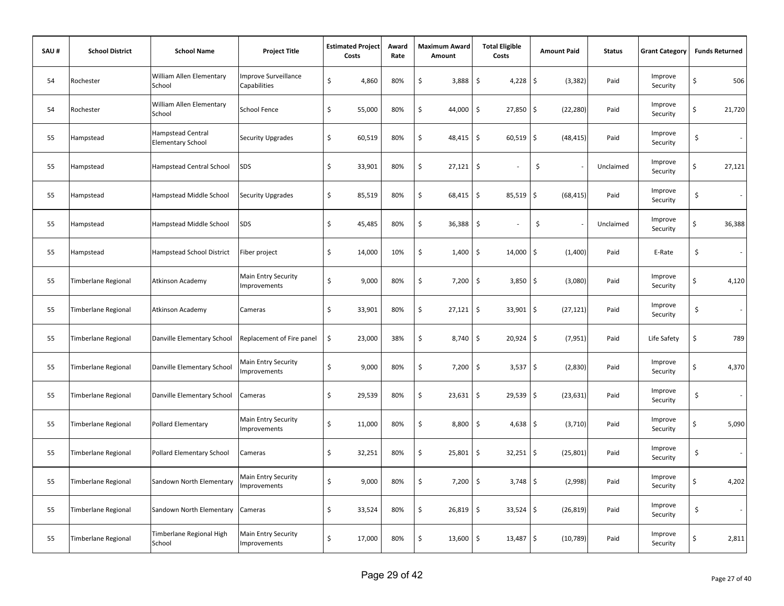| SAU# | <b>School District</b>     | <b>School Name</b>                            | <b>Project Title</b>                       | <b>Estimated Project</b><br>Costs | Award<br>Rate | <b>Maximum Award</b><br>Amount | <b>Total Eligible</b><br>Costs | <b>Amount Paid</b> | <b>Status</b> | <b>Grant Category</b> |                     | <b>Funds Returned</b> |
|------|----------------------------|-----------------------------------------------|--------------------------------------------|-----------------------------------|---------------|--------------------------------|--------------------------------|--------------------|---------------|-----------------------|---------------------|-----------------------|
| 54   | Rochester                  | William Allen Elementary<br>School            | Improve Surveillance<br>Capabilities       | \$<br>4,860                       | 80%           | \$<br>3,888                    | \$<br>4,228                    | \$<br>(3, 382)     | Paid          | Improve<br>Security   | \$                  | 506                   |
| 54   | Rochester                  | William Allen Elementary<br>School            | <b>School Fence</b>                        | \$<br>55,000                      | 80%           | \$<br>44,000                   | \$<br>27,850                   | \$<br>(22, 280)    | Paid          | Improve<br>Security   | \$                  | 21,720                |
| 55   | Hampstead                  | Hampstead Central<br><b>Elementary School</b> | Security Upgrades                          | \$<br>60,519                      | 80%           | \$<br>48,415                   | $\sqrt{5}$<br>60,519           | \$<br>(48, 415)    | Paid          | Improve<br>Security   | $\ddot{\mathsf{S}}$ | $\sim$                |
| 55   | Hampstead                  | Hampstead Central School                      | SDS                                        | \$<br>33,901                      | 80%           | \$<br>$27,121$ \$              | $\overline{\phantom{a}}$       | \$                 | Unclaimed     | Improve<br>Security   | \$                  | 27,121                |
| 55   | Hampstead                  | Hampstead Middle School                       | Security Upgrades                          | \$<br>85,519                      | 80%           | \$<br>68,415                   | $\ddot{\mathsf{S}}$<br>85,519  | \$<br>(68, 415)    | Paid          | Improve<br>Security   | \$                  |                       |
| 55   | Hampstead                  | Hampstead Middle School                       | SDS                                        | \$<br>45,485                      | 80%           | \$<br>36,388                   | \$                             | \$                 | Unclaimed     | Improve<br>Security   | \$                  | 36,388                |
| 55   | Hampstead                  | Hampstead School District                     | Fiber project                              | \$<br>14,000                      | 10%           | \$<br>1,400                    | \$<br>14,000                   | (1,400)<br>\$      | Paid          | E-Rate                | \$                  | $\sim$                |
| 55   | <b>Timberlane Regional</b> | Atkinson Academy                              | Main Entry Security<br>Improvements        | \$<br>9,000                       | 80%           | \$<br>7,200                    | \$<br>3,850                    | \$<br>(3,080)      | Paid          | Improve<br>Security   | \$                  | 4,120                 |
| 55   | <b>Timberlane Regional</b> | Atkinson Academy                              | Cameras                                    | \$<br>33,901                      | 80%           | \$<br>27,121                   | \$<br>33,901                   | \$<br>(27, 121)    | Paid          | Improve<br>Security   | \$                  | $\sim$                |
| 55   | Timberlane Regional        | Danville Elementary School                    | Replacement of Fire panel                  | \$<br>23,000                      | 38%           | \$<br>8,740                    | \$<br>$20,924$ \$              | (7, 951)           | Paid          | Life Safety           | \$                  | 789                   |
| 55   | Timberlane Regional        | Danville Elementary School                    | Main Entry Security<br><b>Improvements</b> | \$<br>9,000                       | 80%           | \$<br>7,200                    | \$<br>3,537                    | \$<br>(2,830)      | Paid          | Improve<br>Security   | \$                  | 4,370                 |
| 55   | <b>Timberlane Regional</b> | Danville Elementary School                    | Cameras                                    | \$<br>29,539                      | 80%           | \$<br>23,631                   | $\ddot{\mathsf{S}}$<br>29,539  | \$<br>(23, 631)    | Paid          | Improve<br>Security   | \$                  | $\sim$                |
| 55   | <b>Timberlane Regional</b> | <b>Pollard Elementary</b>                     | Main Entry Security<br><b>Improvements</b> | \$<br>11,000                      | 80%           | \$<br>8,800                    | \$<br>4,638                    | (3,710)<br>\$      | Paid          | Improve<br>Security   | \$                  | 5,090                 |
| 55   | Timberlane Regional        | Pollard Elementary School                     | Cameras                                    | \$<br>32,251                      | 80%           | \$<br>25,801                   | \$<br>32,251                   | \$<br>(25, 801)    | Paid          | Improve<br>Security   | \$                  | $\sim$                |
| 55   | Timberlane Regional        | Sandown North Elementary                      | Main Entry Security<br>Improvements        | \$<br>9,000                       | 80%           | \$<br>7,200                    | \$<br>3,748                    | \$<br>(2,998)      | Paid          | Improve<br>Security   | \$                  | 4,202                 |
| 55   | <b>Timberlane Regional</b> | Sandown North Elementary                      | Cameras                                    | \$<br>33,524                      | 80%           | \$<br>26,819                   | \$<br>$33,524$ \$              | (26, 819)          | Paid          | Improve<br>Security   | \$                  |                       |
| 55   | <b>Timberlane Regional</b> | Timberlane Regional High<br>School            | Main Entry Security<br>Improvements        | \$<br>17,000                      | 80%           | \$<br>13,600                   | $\sqrt{5}$<br>$13,487$ \$      | (10, 789)          | Paid          | Improve<br>Security   | Ś                   | 2,811                 |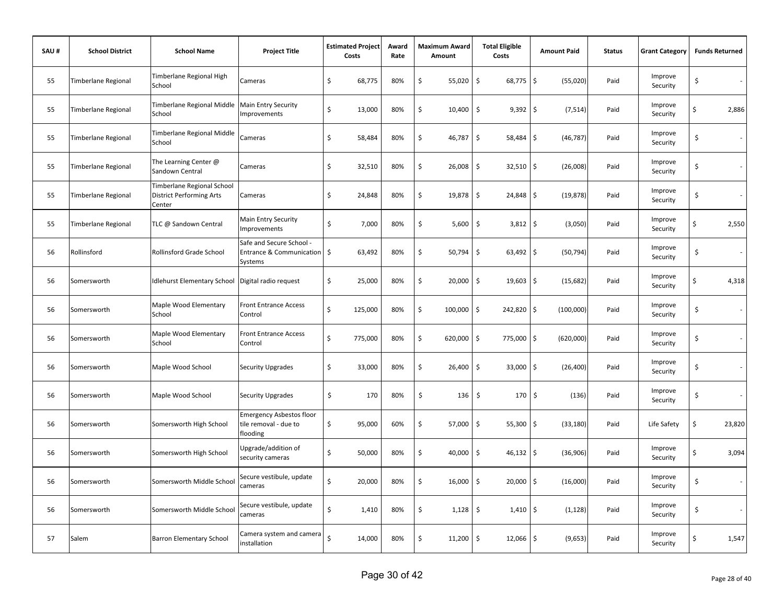| SAU# | <b>School District</b>     | <b>School Name</b>                                                      | <b>Project Title</b>                                                 | <b>Estimated Project</b><br>Costs |         | Award<br>Rate | <b>Maximum Award</b><br>Amount | <b>Total Eligible</b><br>Costs     | <b>Amount Paid</b>              | <b>Status</b> | <b>Grant Category</b> | <b>Funds Returned</b>             |
|------|----------------------------|-------------------------------------------------------------------------|----------------------------------------------------------------------|-----------------------------------|---------|---------------|--------------------------------|------------------------------------|---------------------------------|---------------|-----------------------|-----------------------------------|
| 55   | Timberlane Regional        | Timberlane Regional High<br>School                                      | Cameras                                                              | \$                                | 68,775  | 80%           | \$<br>55,020                   | \$<br>68,775                       | \$<br>(55,020)                  | Paid          | Improve<br>Security   | \$<br>$\sim$                      |
| 55   | <b>Timberlane Regional</b> | Timberlane Regional Middle<br>School                                    | <b>Main Entry Security</b><br><b>Improvements</b>                    | \$                                | 13,000  | 80%           | \$<br>10,400                   | \$<br>9,392                        | $\ddot{\mathsf{S}}$<br>(7, 514) | Paid          | Improve<br>Security   | \$<br>2,886                       |
| 55   | Timberlane Regional        | Timberlane Regional Middle<br>School                                    | Cameras                                                              | \$                                | 58,484  | 80%           | \$<br>46,787                   | \$<br>58,484                       | \$<br>(46, 787)                 | Paid          | Improve<br>Security   | \$                                |
| 55   | <b>Timberlane Regional</b> | The Learning Center @<br>Sandown Central                                | Cameras                                                              | \$                                | 32,510  | 80%           | \$<br>26,008                   | \$<br>$32,510$ \$                  | (26,008)                        | Paid          | Improve<br>Security   | \$                                |
| 55   | <b>Timberlane Regional</b> | Timberlane Regional School<br><b>District Performing Arts</b><br>Center | Cameras                                                              | \$                                | 24,848  | 80%           | \$<br>19,878                   | $\ddot{\mathsf{S}}$<br>$24,848$ \$ | (19, 878)                       | Paid          | Improve<br>Security   | \$                                |
| 55   | <b>Timberlane Regional</b> | TLC @ Sandown Central                                                   | Main Entry Security<br><b>Improvements</b>                           | \$                                | 7,000   | 80%           | \$<br>5,600                    | \$<br>$3,812$ \$                   | (3,050)                         | Paid          | Improve<br>Security   | \$<br>2,550                       |
| 56   | Rollinsford                | Rollinsford Grade School                                                | Safe and Secure School -<br>Entrance & Communication   \$<br>Systems |                                   | 63,492  | 80%           | \$<br>50,794                   | $\ddot{\mathsf{S}}$<br>63,492      | \$<br>(50, 794)                 | Paid          | Improve<br>Security   | \$                                |
| 56   | Somersworth                | Idlehurst Elementary School                                             | Digital radio request                                                | \$                                | 25,000  | 80%           | \$<br>20,000                   | \$<br>$19,603$ \$                  | (15, 682)                       | Paid          | Improve<br>Security   | \$<br>4,318                       |
| 56   | Somersworth                | Maple Wood Elementary<br>School                                         | <b>Front Entrance Access</b><br>Control                              | \$                                | 125,000 | 80%           | \$<br>100,000                  | \$<br>242,820 \$                   | (100,000)                       | Paid          | Improve<br>Security   | \$<br>$\mathcal{L}_{\mathcal{A}}$ |
| 56   | Somersworth                | Maple Wood Elementary<br>School                                         | <b>Front Entrance Access</b><br>Control                              | \$                                | 775,000 | 80%           | \$<br>620,000                  | \$<br>775,000 \$                   | (620,000)                       | Paid          | Improve<br>Security   | \$<br>$\sim$                      |
| 56   | Somersworth                | Maple Wood School                                                       | Security Upgrades                                                    | \$                                | 33,000  | 80%           | \$<br>26,400                   | \$<br>$33,000$ \$                  | (26, 400)                       | Paid          | Improve<br>Security   | \$<br>$\sim$                      |
| 56   | Somersworth                | Maple Wood School                                                       | Security Upgrades                                                    | \$                                | 170     | 80%           | \$<br>136                      | $\ddot{\mathsf{S}}$<br>$170 \pm$   | (136)                           | Paid          | Improve<br>Security   | \$<br>$\sim$                      |
| 56   | Somersworth                | Somersworth High School                                                 | <b>Emergency Asbestos floor</b><br>tile removal - due to<br>flooding | \$                                | 95,000  | 60%           | \$<br>57,000                   | \$<br>55,300                       | \$<br>(33, 180)                 | Paid          | Life Safety           | \$<br>23,820                      |
| 56   | Somersworth                | Somersworth High School                                                 | Upgrade/addition of<br>security cameras                              | \$                                | 50,000  | 80%           | \$<br>40,000                   | \$<br>46,132                       | \$<br>(36,906)                  | Paid          | Improve<br>Security   | \$<br>3,094                       |
| 56   | Somersworth                | Somersworth Middle School                                               | Secure vestibule, update<br>cameras                                  | Ś                                 | 20,000  | 80%           | \$<br>16,000                   | \$<br>20,000                       | \$<br>(16,000)                  | Paid          | Improve<br>Security   | \$<br>$\sim$                      |
| 56   | Somersworth                | Somersworth Middle School                                               | Secure vestibule, update<br>cameras                                  | \$                                | 1,410   | 80%           | \$<br>1,128                    | $\ddot{\mathsf{S}}$<br>$1,410$ \$  | (1, 128)                        | Paid          | Improve<br>Security   | \$<br>$\sim$                      |
| 57   | Salem                      | <b>Barron Elementary School</b>                                         | Camera system and camera<br>installation                             | Ś                                 | 14,000  | 80%           | \$<br>11,200                   | \$<br>$12,066$ \$                  | (9,653)                         | Paid          | Improve<br>Security   | \$<br>1,547                       |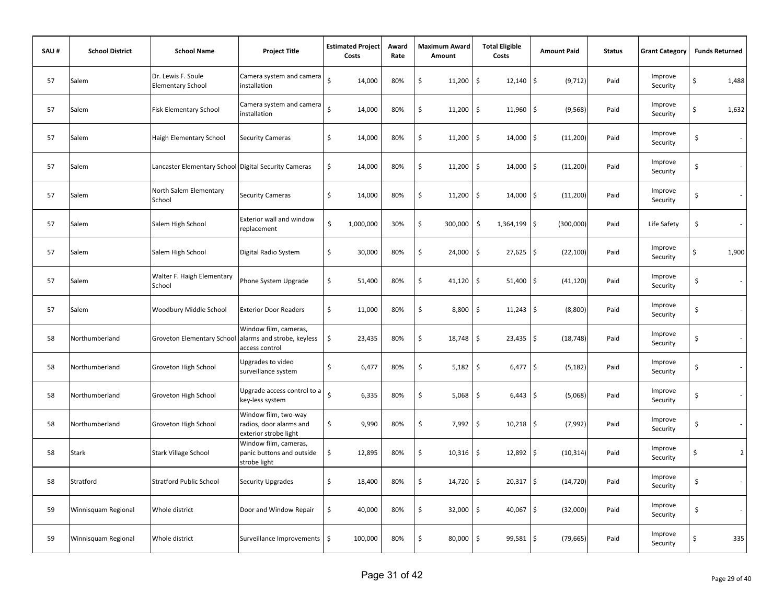| SAU# | <b>School District</b> | <b>School Name</b>                                   | <b>Project Title</b>                                                     |                    | <b>Estimated Project</b><br>Costs | Award<br>Rate | <b>Maximum Award</b><br>Amount | <b>Total Eligible</b><br>Costs     |                     | <b>Amount Paid</b> | <b>Status</b> | <b>Grant Category</b> | <b>Funds Returned</b> |
|------|------------------------|------------------------------------------------------|--------------------------------------------------------------------------|--------------------|-----------------------------------|---------------|--------------------------------|------------------------------------|---------------------|--------------------|---------------|-----------------------|-----------------------|
| 57   | Salem                  | Dr. Lewis F. Soule<br><b>Elementary School</b>       | Camera system and camera<br>installation                                 | $\zeta$            | 14,000                            | 80%           | \$<br>11,200                   | \$<br>12,140                       | $\ddot{\mathsf{S}}$ | (9, 712)           | Paid          | Improve<br>Security   | \$<br>1,488           |
| 57   | Salem                  | Fisk Elementary School                               | Camera system and camera<br>installation                                 | Ś                  | 14,000                            | 80%           | \$<br>11,200                   | \$<br>11,960                       | $\zeta$             | (9, 568)           | Paid          | Improve<br>Security   | \$<br>1,632           |
| 57   | Salem                  | Haigh Elementary School                              | <b>Security Cameras</b>                                                  | \$                 | 14,000                            | 80%           | \$<br>11,200                   | $\ddot{\mathsf{S}}$<br>14,000      | l\$                 | (11,200)           | Paid          | Improve<br>Security   | \$                    |
| 57   | Salem                  | Lancaster Elementary School Digital Security Cameras |                                                                          | \$                 | 14,000                            | 80%           | \$<br>11,200                   | \$<br>$14,000$ \$                  |                     | (11,200)           | Paid          | Improve<br>Security   | \$                    |
| 57   | Salem                  | North Salem Elementary<br>School                     | <b>Security Cameras</b>                                                  | \$                 | 14,000                            | 80%           | \$<br>11,200                   | $\ddot{\mathsf{S}}$<br>$14,000$ \$ |                     | (11,200)           | Paid          | Improve<br>Security   | \$                    |
| 57   | Salem                  | Salem High School                                    | <b>Exterior wall and window</b><br>replacement                           | \$                 | 1,000,000                         | 30%           | \$<br>300,000                  | \$<br>1,364,199 \$                 |                     | (300,000)          | Paid          | Life Safety           | \$                    |
| 57   | Salem                  | Salem High School                                    | Digital Radio System                                                     | \$                 | 30,000                            | 80%           | \$<br>24,000                   | \$<br>27,625                       | \$                  | (22, 100)          | Paid          | Improve<br>Security   | \$<br>1,900           |
| 57   | Salem                  | Walter F. Haigh Elementary<br>School                 | Phone System Upgrade                                                     | \$                 | 51,400                            | 80%           | \$<br>41,120                   | $\ddot{\mathsf{S}}$<br>$51,400$ \$ |                     | (41, 120)          | Paid          | Improve<br>Security   | \$<br>$\sim$          |
| 57   | Salem                  | Woodbury Middle School                               | <b>Exterior Door Readers</b>                                             | \$                 | 11,000                            | 80%           | \$<br>8,800                    | \$<br>$11,243$ \$                  |                     | (8,800)            | Paid          | Improve<br>Security   | \$                    |
| 58   | Northumberland         | Groveton Elementary School                           | Window film, cameras,<br>alarms and strobe, keyless<br>access control    | \$                 | 23,435                            | 80%           | \$<br>18,748                   | \$<br>$23,435$ \$                  |                     | (18, 748)          | Paid          | Improve<br>Security   | \$                    |
| 58   | Northumberland         | Groveton High School                                 | Upgrades to video<br>surveillance system                                 | \$                 | 6,477                             | 80%           | \$<br>5,182                    | \$                                 | $6,477$ \$          | (5, 182)           | Paid          | Improve<br>Security   | \$                    |
| 58   | Northumberland         | Groveton High School                                 | Upgrade access control to a<br>key-less system                           | $\dot{\mathsf{S}}$ | 6,335                             | 80%           | \$<br>5,068                    | $\ddot{\mathsf{S}}$                | $6,443$ \$          | (5,068)            | Paid          | Improve<br>Security   | \$                    |
| 58   | Northumberland         | Groveton High School                                 | Window film, two-way<br>radios, door alarms and<br>exterior strobe light | \$                 | 9,990                             | 80%           | \$<br>7,992                    | \$<br>10,218                       | \$                  | (7,992)            | Paid          | Improve<br>Security   | \$                    |
| 58   | Stark                  | <b>Stark Village School</b>                          | Window film, cameras,<br>panic buttons and outside<br>strobe light       | \$                 | 12,895                            | 80%           | \$<br>10,316                   | \$<br>$12,892$ \$                  |                     | (10, 314)          | Paid          | Improve<br>Security   | \$<br>2 <sup>1</sup>  |
| 58   | Stratford              | <b>Stratford Public School</b>                       | <b>Security Upgrades</b>                                                 | \$                 | 18,400                            | 80%           | \$<br>14,720                   | \$<br>$20,317$ \$                  |                     | (14, 720)          | Paid          | Improve<br>Security   | \$<br>$\sim$          |
| 59   | Winnisquam Regional    | Whole district                                       | Door and Window Repair                                                   | \$                 | 40,000                            | 80%           | \$<br>32,000                   | \$<br>$40,067$ \$                  |                     | (32,000)           | Paid          | Improve<br>Security   | \$                    |
| 59   | Winnisquam Regional    | Whole district                                       | Surveillance Improvements   \$                                           |                    | 100,000                           | 80%           | \$<br>80,000                   | $\ddot{\mathsf{S}}$<br>$99,581$ \$ |                     | (79, 665)          | Paid          | Improve<br>Security   | \$<br>335             |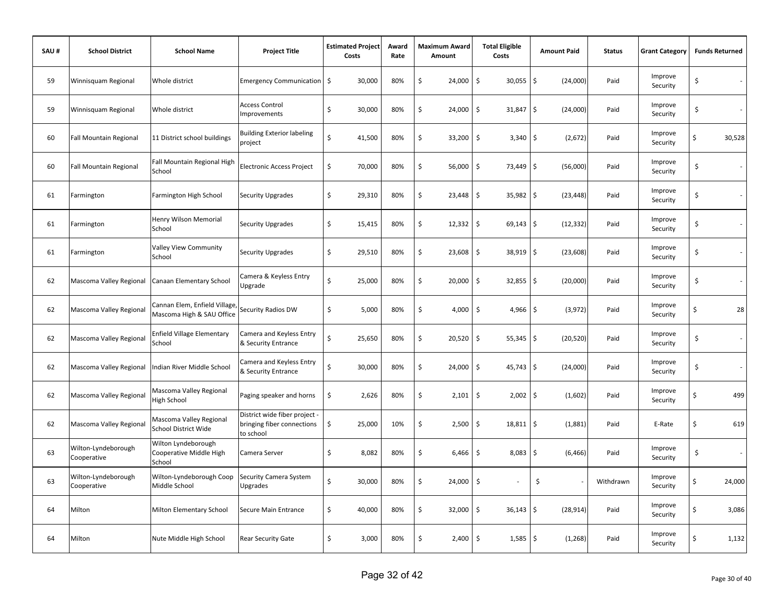| SAU# | <b>School District</b>             | <b>School Name</b>                                        | <b>Project Title</b>                                                     | <b>Estimated Project</b><br>Costs | Award<br>Rate | <b>Maximum Award</b><br>Amount | <b>Total Eligible</b><br>Costs          | <b>Amount Paid</b> | <b>Status</b> | <b>Grant Category</b> | <b>Funds Returned</b> |
|------|------------------------------------|-----------------------------------------------------------|--------------------------------------------------------------------------|-----------------------------------|---------------|--------------------------------|-----------------------------------------|--------------------|---------------|-----------------------|-----------------------|
| 59   | Winnisquam Regional                | Whole district                                            | Emergency Communication   \$                                             | 30,000                            | 80%           | \$<br>24,000                   | \$<br>$30,055$ \$                       | (24,000)           | Paid          | Improve<br>Security   | \$                    |
| 59   | Winnisquam Regional                | Whole district                                            | <b>Access Control</b><br>Improvements                                    | \$<br>30,000                      | 80%           | \$<br>24,000                   | $\ddot{\mathsf{S}}$<br>$31,847$ \$      | (24,000)           | Paid          | Improve<br>Security   | \$                    |
| 60   | <b>Fall Mountain Regional</b>      | 11 District school buildings                              | <b>Building Exterior labeling</b><br>project                             | \$<br>41,500                      | 80%           | \$<br>33,200                   | $\ddot{\mathsf{S}}$<br>$3,340$ \$       | (2,672)            | Paid          | Improve<br>Security   | \$<br>30,528          |
| 60   | <b>Fall Mountain Regional</b>      | Fall Mountain Regional High<br>School                     | <b>Electronic Access Project</b>                                         | \$<br>70,000                      | 80%           | \$<br>56,000                   | \$<br>73,449 \$                         | (56,000)           | Paid          | Improve<br>Security   | \$                    |
| 61   | Farmington                         | Farmington High School                                    | <b>Security Upgrades</b>                                                 | \$<br>29,310                      | 80%           | \$<br>23,448                   | \$<br>35,982 \$                         | (23, 448)          | Paid          | Improve<br>Security   | \$                    |
| 61   | Farmington                         | Henry Wilson Memorial<br>School                           | <b>Security Upgrades</b>                                                 | \$<br>15,415                      | 80%           | \$<br>12,332                   | $\ddot{\mathsf{S}}$<br>$69,143$ \$      | (12, 332)          | Paid          | Improve<br>Security   | \$                    |
| 61   | Farmington                         | Valley View Community<br>School                           | <b>Security Upgrades</b>                                                 | \$<br>29,510                      | 80%           | \$<br>23,608                   | $\ddot{\mathsf{S}}$<br>38,919 \$        | (23, 608)          | Paid          | Improve<br>Security   | \$                    |
| 62   | Mascoma Valley Regional            | Canaan Elementary School                                  | Camera & Keyless Entry<br>Upgrade                                        | Ś<br>25,000                       | 80%           | \$<br>20,000                   | $\ddot{\mathsf{S}}$<br>$32,855$ \$      | (20,000)           | Paid          | Improve<br>Security   | \$                    |
| 62   | Mascoma Valley Regional            | Cannan Elem, Enfield Village<br>Mascoma High & SAU Office | Security Radios DW                                                       | \$<br>5,000                       | 80%           | \$<br>4,000                    | $\boldsymbol{\mathsf{S}}$<br>$4,966$ \$ | (3,972)            | Paid          | Improve<br>Security   | \$<br>28              |
| 62   | Mascoma Valley Regional            | <b>Enfield Village Elementary</b><br>School               | Camera and Keyless Entry<br>& Security Entrance                          | \$<br>25,650                      | 80%           | \$<br>20,520                   | $\ddot{\mathsf{S}}$<br>$55,345$ \$      | (20, 520)          | Paid          | Improve<br>Security   | \$<br>$\sim$          |
| 62   | Mascoma Valley Regional            | Indian River Middle School                                | Camera and Keyless Entry<br>& Security Entrance                          | Ś<br>30,000                       | 80%           | \$<br>24,000                   | $\ddot{\mathsf{S}}$<br>$45,743$ \$      | (24,000)           | Paid          | Improve<br>Security   | \$<br>$\sim$          |
| 62   | Mascoma Valley Regional            | Mascoma Valley Regional<br>High School                    | Paging speaker and horns                                                 | \$<br>2,626                       | 80%           | \$<br>2,101                    | \$<br>$2,002$ \$                        | (1,602)            | Paid          | Improve<br>Security   | \$<br>499             |
| 62   | Mascoma Valley Regional            | Mascoma Valley Regional<br><b>School District Wide</b>    | District wide fiber project -<br>bringing fiber connections<br>to school | \$<br>25,000                      | 10%           | \$<br>2,500                    | $\ddot{\mathsf{S}}$<br>$18,811$ \$      | (1,881)            | Paid          | E-Rate                | \$<br>619             |
| 63   | Wilton-Lyndeborough<br>Cooperative | Wilton Lyndeborough<br>Cooperative Middle High<br>School  | Camera Server                                                            | \$<br>8,082                       | 80%           | \$<br>6,466                    | \$<br>$8,083$ \$                        | (6, 466)           | Paid          | Improve<br>Security   | \$<br>$\sim$          |
| 63   | Wilton-Lyndeborough<br>Cooperative | Wilton-Lyndeborough Coop<br>Middle School                 | Security Camera System<br>Upgrades                                       | \$<br>30,000                      | 80%           | \$<br>24,000                   | $\ddot{\mathsf{S}}$                     | \$                 | Withdrawn     | Improve<br>Security   | \$<br>24,000          |
| 64   | Milton                             | Milton Elementary School                                  | Secure Main Entrance                                                     | \$<br>40,000                      | 80%           | \$<br>32,000                   | $\ddot{\mathsf{S}}$<br>$36,143$ \$      | (28, 914)          | Paid          | Improve<br>Security   | \$<br>3,086           |
| 64   | Milton                             | Nute Middle High School                                   | <b>Rear Security Gate</b>                                                | \$<br>3,000                       | 80%           | \$                             | $2,400$ \$<br>$1,585$ \$                | (1, 268)           | Paid          | Improve<br>Security   | \$<br>1,132           |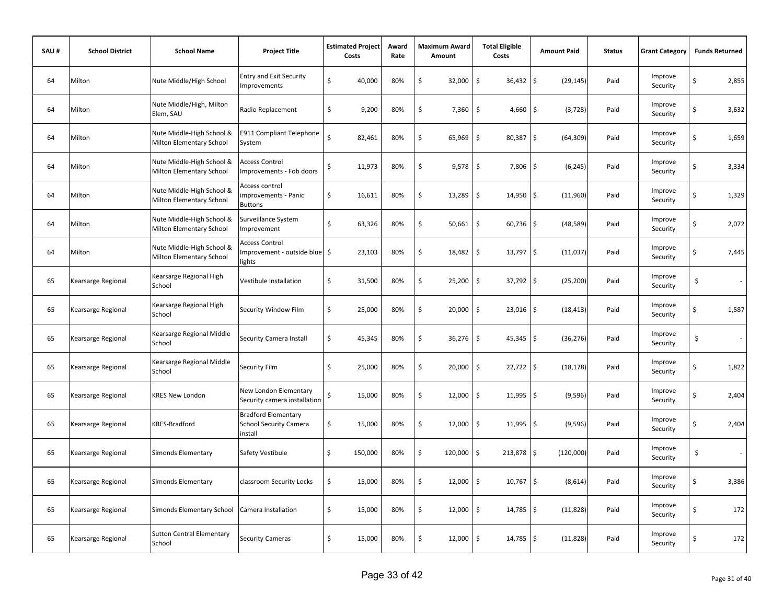| SAU# | <b>School District</b> | <b>School Name</b>                                    | <b>Project Title</b>                                                   | <b>Estimated Project</b><br>Costs |         | Award<br>Rate | Maximum Award<br>Amount | <b>Total Eligible</b><br>Costs | <b>Amount Paid</b>     | <b>Status</b> | <b>Grant Category</b> | <b>Funds Returned</b>          |
|------|------------------------|-------------------------------------------------------|------------------------------------------------------------------------|-----------------------------------|---------|---------------|-------------------------|--------------------------------|------------------------|---------------|-----------------------|--------------------------------|
| 64   | Milton                 | Nute Middle/High School                               | <b>Entry and Exit Security</b><br>Improvements                         | \$                                | 40,000  | 80%           | \$<br>32,000            | \$<br>36,432                   | \$<br>(29, 145)        | Paid          | Improve<br>Security   | \$<br>2,855                    |
| 64   | Milton                 | Nute Middle/High, Milton<br>Elem, SAU                 | Radio Replacement                                                      | \$                                | 9,200   | 80%           | \$<br>7,360             | \$<br>4,660                    | \$<br>(3, 728)         | Paid          | Improve<br>Security   | \$<br>3,632                    |
| 64   | Milton                 | Nute Middle-High School &<br>Milton Elementary School | <b>E911 Compliant Telephone</b><br>System                              | Ś                                 | 82,461  | 80%           | \$<br>65,969            | \$<br>80,387                   | \$<br>(64, 309)        | Paid          | Improve<br>Security   | \$<br>1,659                    |
| 64   | Milton                 | Nute Middle-High School &<br>Milton Elementary School | <b>Access Control</b><br>Improvements - Fob doors                      | \$                                | 11,973  | 80%           | \$<br>9,578             | \$<br>7,806                    | l\$<br>(6, 245)        | Paid          | Improve<br>Security   | \$<br>3,334                    |
| 64   | Milton                 | Nute Middle-High School &<br>Milton Elementary School | Access control<br>improvements - Panic<br><b>Buttons</b>               | \$                                | 16,611  | 80%           | \$<br>13,289            | \$<br>14,950                   | l\$<br>(11,960)        | Paid          | Improve<br>Security   | \$<br>1,329                    |
| 64   | Milton                 | Nute Middle-High School &<br>Milton Elementary School | Surveillance System<br>Improvement                                     | \$                                | 63,326  | 80%           | \$<br>50,661            | \$<br>$60,736$ \$              | (48, 589)              | Paid          | Improve<br>Security   | \$<br>2,072                    |
| 64   | Milton                 | Nute Middle-High School &<br>Milton Elementary School | <b>Access Control</b><br>Improvement - outside blue<br>lights          |                                   | 23,103  | 80%           | \$<br>18,482            | \$<br>13,797                   | $\ddot{s}$<br>(11,037) | Paid          | Improve<br>Security   | \$<br>7,445                    |
| 65   | Kearsarge Regional     | Kearsarge Regional High<br>School                     | Vestibule Installation                                                 | \$                                | 31,500  | 80%           | \$<br>25,200            | \$<br>37,792                   | l\$<br>(25, 200)       | Paid          | Improve<br>Security   | \$<br>$\overline{\phantom{a}}$ |
| 65   | Kearsarge Regional     | Kearsarge Regional High<br>School                     | Security Window Film                                                   | \$                                | 25,000  | 80%           | \$<br>20,000            | \$<br>$23,016$ \$              | (18, 413)              | Paid          | Improve<br>Security   | \$<br>1,587                    |
| 65   | Kearsarge Regional     | Kearsarge Regional Middle<br>School                   | Security Camera Install                                                | \$                                | 45,345  | 80%           | \$<br>36,276            | \$<br>$45,345$ \$              | (36, 276)              | Paid          | Improve<br>Security   | \$<br>$\overline{\phantom{a}}$ |
| 65   | Kearsarge Regional     | Kearsarge Regional Middle<br>School                   | Security Film                                                          | \$                                | 25,000  | 80%           | \$<br>20,000            | \$<br>$22,722$ \$              | (18, 178)              | Paid          | Improve<br>Security   | \$<br>1,822                    |
| 65   | Kearsarge Regional     | <b>KRES New London</b>                                | New London Elementary<br>Security camera installation                  | \$                                | 15,000  | 80%           | \$<br>12,000            | \$<br>$11,995$ \$              | (9,596)                | Paid          | Improve<br>Security   | \$<br>2,404                    |
| 65   | Kearsarge Regional     | KRES-Bradford                                         | <b>Bradford Elementary</b><br><b>School Security Camera</b><br>install | \$                                | 15,000  | 80%           | \$<br>12,000            | \$<br>$11,995$ \$              | (9, 596)               | Paid          | Improve<br>Security   | \$<br>2,404                    |
| 65   | Kearsarge Regional     | Simonds Elementary                                    | Safety Vestibule                                                       | \$                                | 150,000 | 80%           | \$<br>120,000           | \$<br>213,878                  | l\$<br>(120,000)       | Paid          | Improve<br>Security   | \$                             |
| 65   | Kearsarge Regional     | Simonds Elementary                                    | classroom Security Locks                                               | \$                                | 15,000  | 80%           | \$<br>12,000            | \$<br>10,767                   | \$<br>(8,614)          | Paid          | Improve<br>Security   | \$<br>3,386                    |
| 65   | Kearsarge Regional     | Simonds Elementary School                             | Camera Installation                                                    | \$                                | 15,000  | 80%           | \$<br>12,000            | \$<br>14,785                   | l\$<br>(11, 828)       | Paid          | Improve<br>Security   | \$<br>172                      |
| 65   | Kearsarge Regional     | <b>Sutton Central Elementary</b><br>School            | <b>Security Cameras</b>                                                | \$                                | 15,000  | 80%           | \$<br>12,000            | \$<br>$14,785$ \$              | (11, 828)              | Paid          | Improve<br>Security   | \$<br>172                      |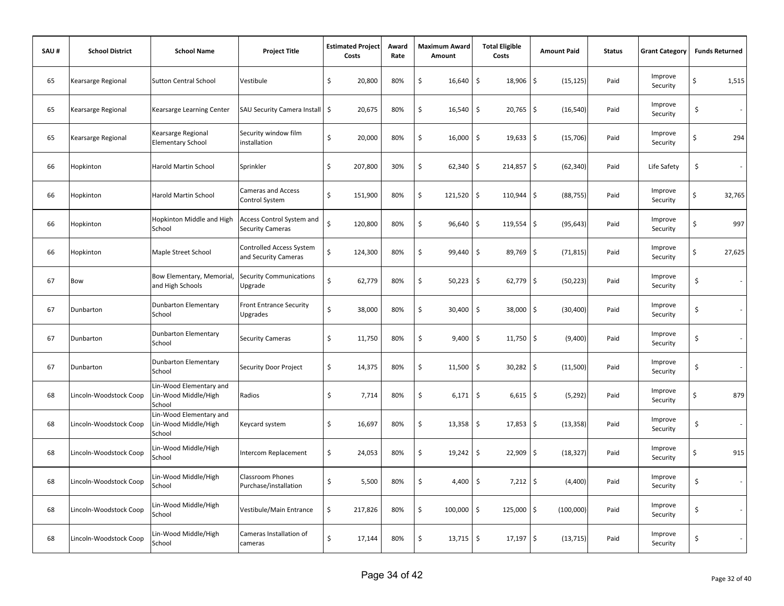| SAU# | <b>School District</b> | <b>School Name</b>                                        | <b>Project Title</b>                                 | <b>Estimated Project</b><br>Costs |         | Award<br>Rate | Maximum Award<br>Amount | <b>Total Eligible</b><br>Costs | <b>Amount Paid</b> | <b>Status</b> | <b>Grant Category</b> |    | <b>Funds Returned</b>    |
|------|------------------------|-----------------------------------------------------------|------------------------------------------------------|-----------------------------------|---------|---------------|-------------------------|--------------------------------|--------------------|---------------|-----------------------|----|--------------------------|
| 65   | Kearsarge Regional     | <b>Sutton Central School</b>                              | Vestibule                                            | \$                                | 20,800  | 80%           | \$<br>16,640            | \$<br>18,906                   | \$<br>(15, 125)    | Paid          | Improve<br>Security   | \$ | 1,515                    |
| 65   | Kearsarge Regional     | Kearsarge Learning Center                                 | SAU Security Camera Install   \$                     |                                   | 20,675  | 80%           | \$<br>16,540            | \$<br>20,765                   | \$<br>(16, 540)    | Paid          | Improve<br>Security   | \$ | $\sim$                   |
| 65   | Kearsarge Regional     | Kearsarge Regional<br><b>Elementary School</b>            | Security window film<br>installation                 | \$                                | 20,000  | 80%           | \$<br>16,000            | $\ddot{\mathsf{S}}$<br>19,633  | \$<br>(15, 706)    | Paid          | Improve<br>Security   | Ś  | 294                      |
| 66   | Hopkinton              | Harold Martin School                                      | Sprinkler                                            | \$                                | 207,800 | 30%           | \$<br>62,340            | \$<br>214,857                  | \$<br>(62, 340)    | Paid          | Life Safety           | \$ | $\overline{\phantom{a}}$ |
| 66   | Hopkinton              | <b>Harold Martin School</b>                               | <b>Cameras and Access</b><br>Control System          | Ś                                 | 151,900 | 80%           | \$<br>121,520           | l \$<br>110,944                | \$<br>(88, 755)    | Paid          | Improve<br>Security   | \$ | 32,765                   |
| 66   | Hopkinton              | Hopkinton Middle and High<br>School                       | Access Control System and<br><b>Security Cameras</b> | Ś                                 | 120,800 | 80%           | \$<br>96,640            | $\ddot{\mathsf{S}}$<br>119,554 | \$<br>(95, 643)    | Paid          | Improve<br>Security   | Ś  | 997                      |
| 66   | Hopkinton              | Maple Street School                                       | Controlled Access System<br>and Security Cameras     | \$                                | 124,300 | 80%           | \$<br>99,440            | $\ddot{\mathsf{S}}$<br>89,769  | \$<br>(71, 815)    | Paid          | Improve<br>Security   | \$ | 27,625                   |
| 67   | <b>Bow</b>             | Bow Elementary, Memorial,<br>and High Schools             | <b>Security Communications</b><br>Upgrade            | Ś                                 | 62,779  | 80%           | \$<br>50,223            | \$<br>62,779                   | \$<br>(50, 223)    | Paid          | Improve<br>Security   | \$ | $\sim$                   |
| 67   | Dunbarton              | <b>Dunbarton Elementary</b><br>School                     | Front Entrance Security<br>Upgrades                  | \$                                | 38,000  | 80%           | \$<br>30,400            | \$<br>38,000                   | \$<br>(30, 400)    | Paid          | Improve<br>Security   | \$ | $\sim$                   |
| 67   | Dunbarton              | <b>Dunbarton Elementary</b><br>School                     | <b>Security Cameras</b>                              | \$                                | 11,750  | 80%           | \$<br>9,400             | \$<br>11,750                   | \$<br>(9,400)      | Paid          | Improve<br>Security   | \$ | $\sim$                   |
| 67   | Dunbarton              | <b>Dunbarton Elementary</b><br>School                     | Security Door Project                                | \$                                | 14,375  | 80%           | \$<br>11,500            | \$<br>30,282                   | \$<br>(11,500)     | Paid          | Improve<br>Security   | \$ | $\sim$                   |
| 68   | Lincoln-Woodstock Coop | Lin-Wood Elementary and<br>Lin-Wood Middle/High<br>School | Radios                                               | \$                                | 7,714   | 80%           | \$<br>6,171             | \$<br>6,615                    | \$<br>(5, 292)     | Paid          | Improve<br>Security   | Ś  | 879                      |
| 68   | Lincoln-Woodstock Coop | Lin-Wood Elementary and<br>Lin-Wood Middle/High<br>School | Keycard system                                       | \$                                | 16,697  | 80%           | \$<br>13,358            | $\sqrt{5}$<br>17,853           | \$<br>(13, 358)    | Paid          | Improve<br>Security   | \$ |                          |
| 68   | Lincoln-Woodstock Coop | Lin-Wood Middle/High<br>School                            | Intercom Replacement                                 | \$                                | 24,053  | 80%           | \$<br>19,242            | \$<br>22,909                   | \$<br>(18, 327)    | Paid          | Improve<br>Security   | Ś  | 915                      |
| 68   | Lincoln-Woodstock Coop | Lin-Wood Middle/High<br>School                            | <b>Classroom Phones</b><br>Purchase/installation     | \$                                | 5,500   | 80%           | \$<br>4,400             | \$<br>7,212                    | \$<br>(4,400)      | Paid          | Improve<br>Security   | \$ | $\sim$                   |
| 68   | Lincoln-Woodstock Coop | Lin-Wood Middle/High<br>School                            | Vestibule/Main Entrance                              | \$                                | 217,826 | 80%           | \$<br>100,000           | $\ddot{\mathsf{S}}$<br>125,000 | \$<br>(100,000)    | Paid          | Improve<br>Security   | \$ | $\sim$                   |
| 68   | Lincoln-Woodstock Coop | Lin-Wood Middle/High<br>School                            | Cameras Installation of<br>cameras                   | \$                                | 17,144  | 80%           | \$<br>$13,715$ \$       | 17,197                         | \$<br>(13, 715)    | Paid          | Improve<br>Security   | \$ |                          |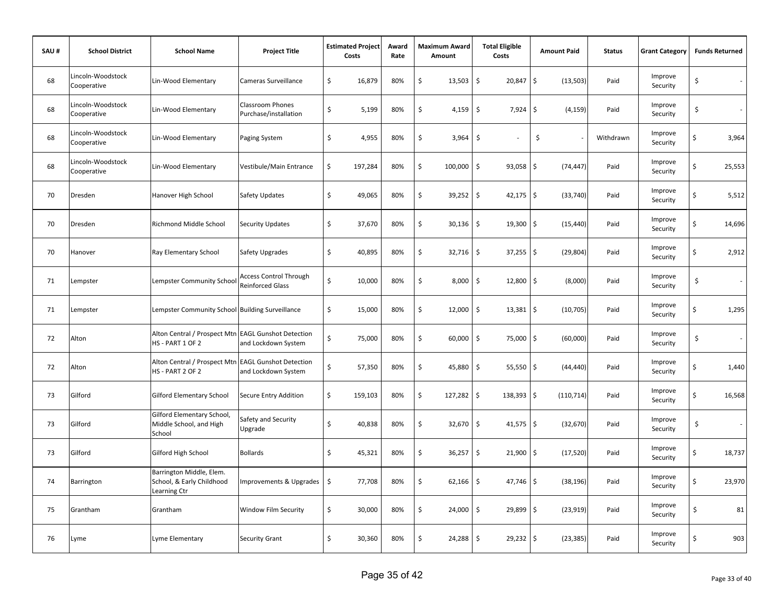| SAU# | <b>School District</b>           | <b>School Name</b>                                                      | <b>Project Title</b>                              | <b>Estimated Project</b><br>Costs | Award<br>Rate | <b>Maximum Award</b><br>Amount | <b>Total Eligible</b><br>Costs     | <b>Amount Paid</b>     | <b>Status</b> | <b>Grant Category</b> | <b>Funds Returned</b>          |
|------|----------------------------------|-------------------------------------------------------------------------|---------------------------------------------------|-----------------------------------|---------------|--------------------------------|------------------------------------|------------------------|---------------|-----------------------|--------------------------------|
| 68   | Lincoln-Woodstock<br>Cooperative | Lin-Wood Elementary                                                     | Cameras Surveillance                              | \$<br>16,879                      | 80%           | \$<br>13,503                   | \$<br>20,847                       | \$<br>(13, 503)        | Paid          | Improve<br>Security   | \$<br>$\sim$                   |
| 68   | Lincoln-Woodstock<br>Cooperative | Lin-Wood Elementary                                                     | Classroom Phones<br>Purchase/installation         | \$<br>5,199                       | 80%           | \$<br>4,159                    | \$<br>7,924                        | \$<br>(4, 159)         | Paid          | Improve<br>Security   | \$<br>$\sim$                   |
| 68   | Lincoln-Woodstock<br>Cooperative | Lin-Wood Elementary                                                     | Paging System                                     | \$<br>4,955                       | 80%           | \$<br>3,964                    | $\zeta$                            | \$                     | Withdrawn     | Improve<br>Security   | \$<br>3,964                    |
| 68   | Lincoln-Woodstock<br>Cooperative | Lin-Wood Elementary                                                     | Vestibule/Main Entrance                           | \$<br>197,284                     | 80%           | \$<br>100,000                  | $\ddot{\mathsf{S}}$<br>$93,058$ \$ | (74, 447)              | Paid          | Improve<br>Security   | \$<br>25,553                   |
| 70   | Dresden                          | Hanover High School                                                     | Safety Updates                                    | \$<br>49,065                      | 80%           | \$<br>39,252                   | $\ddot{\mathsf{S}}$<br>42,175      | \$<br>(33, 740)        | Paid          | Improve<br>Security   | \$<br>5,512                    |
| 70   | Dresden                          | Richmond Middle School                                                  | <b>Security Updates</b>                           | \$<br>37,670                      | 80%           | \$<br>30,136                   | \$<br>19,300                       | \$<br>(15, 440)        | Paid          | Improve<br>Security   | \$<br>14,696                   |
| 70   | Hanover                          | Ray Elementary School                                                   | Safety Upgrades                                   | \$<br>40,895                      | 80%           | \$<br>32,716                   | \$<br>37,255                       | \$<br>(29, 804)        | Paid          | Improve<br>Security   | \$<br>2,912                    |
| 71   | Lempster                         | Lempster Community School                                               | Access Control Through<br><b>Reinforced Glass</b> | \$<br>10,000                      | 80%           | \$<br>8,000                    | $\ddot{\mathsf{S}}$<br>12,800      | \$<br>(8,000)          | Paid          | Improve<br>Security   | \$<br>$\sim$                   |
| 71   | Lempster                         | Lempster Community School Building Surveillance                         |                                                   | \$<br>15,000                      | 80%           | \$<br>12,000                   | \$<br>13,381                       | \$<br>(10, 705)        | Paid          | Improve<br>Security   | \$<br>1,295                    |
| 72   | Alton                            | Alton Central / Prospect Mtn EAGL Gunshot Detection<br>HS - PART 1 OF 2 | and Lockdown System                               | \$<br>75,000                      | 80%           | \$<br>60,000                   | \$<br>75,000                       | $\ddot{s}$<br>(60,000) | Paid          | Improve<br>Security   | \$<br>$\sim$                   |
| 72   | Alton                            | Alton Central / Prospect Mtn EAGL Gunshot Detection<br>HS - PART 2 OF 2 | and Lockdown System                               | \$<br>57,350                      | 80%           | \$<br>45,880                   | \$<br>$55,550$ \$                  | (44, 440)              | Paid          | Improve<br>Security   | \$<br>1,440                    |
| 73   | Gilford                          | <b>Gilford Elementary School</b>                                        | Secure Entry Addition                             | \$<br>159,103                     | 80%           | \$<br>127,282                  | \$<br>138,393 \$                   | (110, 714)             | Paid          | Improve<br>Security   | 16,568<br>Ś                    |
| 73   | Gilford                          | Gilford Elementary School,<br>Middle School, and High<br>School         | Safety and Security<br>Upgrade                    | \$<br>40,838                      | 80%           | \$<br>32,670                   | \$<br>41,575                       | \$<br>(32, 670)        | Paid          | Improve<br>Security   | \$<br>$\overline{\phantom{a}}$ |
| 73   | Gilford                          | Gilford High School                                                     | <b>Bollards</b>                                   | \$<br>45,321                      | 80%           | \$<br>36,257                   | \$<br>21,900                       | (17, 520)<br>\$        | Paid          | Improve<br>Security   | \$<br>18,737                   |
| 74   | Barrington                       | Barrington Middle, Elem.<br>School, & Early Childhood<br>Learning Ctr   | Improvements & Upgrades                           | \$<br>77,708                      | 80%           | \$<br>62,166                   | \$<br>$47,746$ \$                  | (38, 196)              | Paid          | Improve<br>Security   | \$<br>23,970                   |
| 75   | Grantham                         | Grantham                                                                | Window Film Security                              | \$<br>30,000                      | 80%           | \$<br>24,000                   | \$<br>$29,899$ \$                  | (23, 919)              | Paid          | Improve<br>Security   | \$<br>81                       |
| 76   | Lyme                             | Lyme Elementary                                                         | <b>Security Grant</b>                             | \$<br>30,360                      | 80%           | \$<br>24,288                   | $\ddot{\mathsf{S}}$<br>$29,232$ \$ | (23, 385)              | Paid          | Improve<br>Security   | 903<br>\$                      |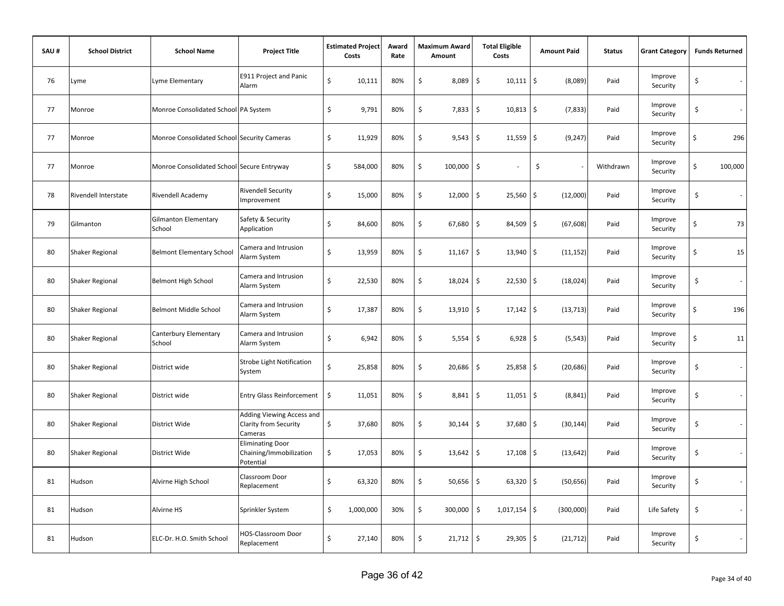| SAU# | <b>School District</b> | <b>School Name</b>                          | <b>Project Title</b>                                            |    | <b>Estimated Project</b><br>Costs | Award<br>Rate | <b>Maximum Award</b><br>Amount | <b>Total Eligible</b><br>Costs     | <b>Amount Paid</b>  | <b>Status</b> | <b>Grant Category</b> | <b>Funds Returned</b> |
|------|------------------------|---------------------------------------------|-----------------------------------------------------------------|----|-----------------------------------|---------------|--------------------------------|------------------------------------|---------------------|---------------|-----------------------|-----------------------|
| 76   | Lyme                   | Lyme Elementary                             | E911 Project and Panic<br>Alarm                                 | \$ | 10,111                            | 80%           | \$<br>8,089                    | \$<br>$10,111$ \$                  | (8,089)             | Paid          | Improve<br>Security   | \$<br>$\sim$          |
| 77   | Monroe                 | Monroe Consolidated School PA System        |                                                                 | \$ | 9,791                             | 80%           | \$<br>7,833                    | \$<br>$10,813$ \$                  | (7, 833)            | Paid          | Improve<br>Security   | \$<br>$\sim$          |
| 77   | Monroe                 | Monroe Consolidated School Security Cameras |                                                                 | \$ | 11,929                            | 80%           | \$<br>9,543                    | $\ddot{\mathsf{S}}$<br>11,559      | $\zeta$<br>(9, 247) | Paid          | Improve<br>Security   | \$<br>296             |
| 77   | Monroe                 | Monroe Consolidated School Secure Entryway  |                                                                 | \$ | 584,000                           | 80%           | \$<br>100,000                  | $\zeta$                            | \$                  | Withdrawn     | Improve<br>Security   | \$<br>100,000         |
| 78   | Rivendell Interstate   | Rivendell Academy                           | <b>Rivendell Security</b><br>mprovement                         | \$ | 15,000                            | 80%           | \$<br>12,000                   | $\zeta$<br>25,560                  | \$<br>(12,000)      | Paid          | Improve<br>Security   | \$<br>$\sim$          |
| 79   | Gilmanton              | <b>Gilmanton Elementary</b><br>School       | Safety & Security<br>Application                                | Ś  | 84,600                            | 80%           | \$<br>67,680                   | \$<br>84,509                       | \$<br>(67, 608)     | Paid          | Improve<br>Security   | \$<br>73              |
| 80   | <b>Shaker Regional</b> | <b>Belmont Elementary School</b>            | Camera and Intrusion<br>Alarm System                            | \$ | 13,959                            | 80%           | \$<br>11,167                   | \$<br>13,940                       | \$<br>(11, 152)     | Paid          | Improve<br>Security   | \$<br>15              |
| 80   | Shaker Regional        | <b>Belmont High School</b>                  | Camera and Intrusion<br>Alarm System                            | \$ | 22,530                            | 80%           | \$<br>18,024                   | \$<br>$22,530$ \$                  | (18,024)            | Paid          | Improve<br>Security   | \$<br>$\sim$          |
| 80   | Shaker Regional        | Belmont Middle School                       | Camera and Intrusion<br>Alarm System                            | \$ | 17,387                            | 80%           | \$<br>13,910                   | $\zeta$<br>$17,142$ \$             | (13, 713)           | Paid          | Improve<br>Security   | \$<br>196             |
| 80   | Shaker Regional        | Canterbury Elementary<br>School             | Camera and Intrusion<br>Alarm System                            | \$ | 6,942                             | 80%           | \$<br>5,554                    | \$<br>$6,928$ \$                   | (5, 543)            | Paid          | Improve<br>Security   | \$<br>11              |
| 80   | <b>Shaker Regional</b> | District wide                               | <b>Strobe Light Notification</b><br>System                      | Ś  | 25,858                            | 80%           | \$<br>20,686                   | \$<br>$25,858$ \$                  | (20, 686)           | Paid          | Improve<br>Security   | \$<br>$\mathcal{L}$   |
| 80   | Shaker Regional        | District wide                               | <b>Entry Glass Reinforcement</b>                                | \$ | 11,051                            | 80%           | \$<br>8,841                    | $\ddot{\mathsf{S}}$<br>$11,051$ \$ | (8, 841)            | Paid          | Improve<br>Security   | \$<br>$\sim$          |
| 80   | Shaker Regional        | District Wide                               | Adding Viewing Access and<br>Clarity from Security<br>Cameras   | \$ | 37,680                            | 80%           | \$<br>30,144                   | \$<br>37,680                       | \$<br>(30, 144)     | Paid          | Improve<br>Security   | \$                    |
| 80   | Shaker Regional        | District Wide                               | <b>Eliminating Door</b><br>Chaining/Immobilization<br>Potential | \$ | 17,053                            | 80%           | \$<br>13,642                   | \$<br>$17,108$ \$                  | (13, 642)           | Paid          | Improve<br>Security   | \$<br>$\sim$          |
| 81   | Hudson                 | Alvirne High School                         | Classroom Door<br>Replacement                                   | \$ | 63,320                            | 80%           | \$<br>50,656                   | \$<br>$63,320$ \$                  | (50, 656)           | Paid          | Improve<br>Security   | \$<br>$\sim$          |
| 81   | Hudson                 | Alvirne HS                                  | Sprinkler System                                                | \$ | 1,000,000                         | 30%           | \$<br>300,000                  | \$<br>$1,017,154$ \$               | (300,000)           | Paid          | Life Safety           | \$                    |
| 81   | Hudson                 | ELC-Dr. H.O. Smith School                   | HOS-Classroom Door<br>Replacement                               | \$ | 27,140                            | 80%           | \$<br>21,712                   | $\ddot{\mathsf{S}}$<br>$29,305$ \$ | (21, 712)           | Paid          | Improve<br>Security   | \$                    |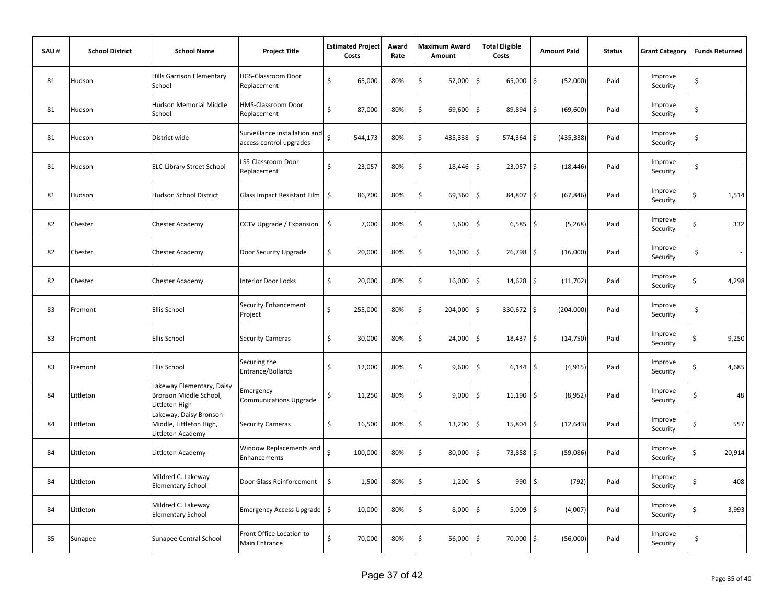| SAU# | <b>School District</b> | <b>School Name</b>                                                     | <b>Project Title</b>                                     | <b>Estimated Project</b><br>Costs | Award<br>Rate | <b>Maximum Award</b><br>Amount | <b>Total Eligible</b><br>Costs     | <b>Amount Paid</b> | <b>Status</b> | <b>Grant Category</b> | <b>Funds Returned</b> |  |
|------|------------------------|------------------------------------------------------------------------|----------------------------------------------------------|-----------------------------------|---------------|--------------------------------|------------------------------------|--------------------|---------------|-----------------------|-----------------------|--|
| 81   | Hudson                 | <b>Hills Garrison Elementary</b><br>School                             | HGS-Classroom Door<br>Replacement                        | \$<br>65,000                      | 80%           | \$<br>52,000                   | \$<br>65,000                       | \$<br>(52,000)     | Paid          | Improve<br>Security   | \$                    |  |
| 81   | Hudson                 | Hudson Memorial Middle<br>School                                       | HMS-Classroom Door<br>Replacement                        | \$<br>87,000                      | 80%           | \$<br>69,600                   | \$<br>89,894                       | \$<br>(69, 600)    | Paid          | Improve<br>Security   | \$                    |  |
| 81   | Hudson                 | District wide                                                          | Surveillance installation and<br>access control upgrades | $\dot{\mathsf{S}}$<br>544,173     | 80%           | \$<br>435,338                  | \$<br>574,364                      | l\$<br>(435, 338)  | Paid          | Improve<br>Security   | \$                    |  |
| 81   | Hudson                 | <b>ELC-Library Street School</b>                                       | LSS-Classroom Door<br>Replacement                        | \$<br>23,057                      | 80%           | \$<br>18,446                   | \$<br>$23,057$ \$                  | (18, 446)          | Paid          | Improve<br>Security   | \$                    |  |
| 81   | Hudson                 | Hudson School District                                                 | Glass Impact Resistant Film   \$                         | 86,700                            | 80%           | \$<br>69,360                   | $\ddot{\mathsf{S}}$<br>84,807      | \$<br>(67, 846)    | Paid          | Improve<br>Security   | \$<br>1,514           |  |
| 82   | Chester                | Chester Academy                                                        | CCTV Upgrade / Expansion                                 | \$<br>7,000                       | 80%           | \$<br>5,600                    | \$<br>6,585                        | \$<br>(5,268)      | Paid          | Improve<br>Security   | \$<br>332             |  |
| 82   | Chester                | <b>Chester Academy</b>                                                 | Door Security Upgrade                                    | \$<br>20,000                      | 80%           | \$<br>16,000                   | $\ddot{\mathsf{S}}$<br>26,798      | \$<br>(16,000)     | Paid          | Improve<br>Security   | \$<br>$\sim$          |  |
| 82   | Chester                | Chester Academy                                                        | <b>Interior Door Locks</b>                               | \$<br>20,000                      | 80%           | \$<br>16,000                   | \$<br>$14,628$ \$                  | (11, 702)          | Paid          | Improve<br>Security   | \$<br>4,298           |  |
| 83   | Fremont                | Ellis School                                                           | Security Enhancement<br>Project                          | \$<br>255,000                     | 80%           | \$<br>204,000                  | \$<br>330,672 \$                   | (204,000)          | Paid          | Improve<br>Security   | \$<br>$\sim$          |  |
| 83   | Fremont                | Ellis School                                                           | <b>Security Cameras</b>                                  | \$<br>30,000                      | 80%           | \$<br>24,000                   | $\ddot{\mathsf{S}}$<br>$18,437$ \$ | (14, 750)          | Paid          | Improve<br>Security   | \$<br>9,250           |  |
| 83   | Fremont                | Ellis School                                                           | Securing the<br>Entrance/Bollards                        | \$<br>12,000                      | 80%           | \$<br>9,600                    | \$<br>$6,144$ \$                   | (4, 915)           | Paid          | Improve<br>Security   | \$<br>4,685           |  |
| 84   | Littleton              | Lakeway Elementary, Daisy<br>Bronson Middle School,<br>Littleton High  | Emergency<br><b>Communications Upgrade</b>               | 11,250<br>\$                      | 80%           | \$<br>9,000                    | \$<br>$11,190$ \$                  | (8,952)            | Paid          | Improve<br>Security   | 48<br>\$              |  |
| 84   | Littleton              | Lakeway, Daisy Bronson<br>Middle, Littleton High,<br>Littleton Academy | <b>Security Cameras</b>                                  | \$<br>16,500                      | 80%           | \$<br>13,200                   | \$<br>15,804                       | \$<br>(12, 643)    | Paid          | Improve<br>Security   | \$<br>557             |  |
| 84   | Littleton              | Littleton Academy                                                      | Window Replacements and<br>Enhancements                  | Ś<br>100,000                      | 80%           | \$<br>80,000                   | \$<br>73,858                       | \$<br>(59,086)     | Paid          | Improve<br>Security   | Ś<br>20,914           |  |
| 84   | Littleton              | Mildred C. Lakeway<br><b>Elementary School</b>                         | Door Glass Reinforcement                                 | \$<br>1,500                       | 80%           | \$<br>1,200                    | \$<br>990                          | \$<br>(792)        | Paid          | Improve<br>Security   | \$<br>408             |  |
| 84   | Littleton              | Mildred C. Lakeway<br><b>Elementary School</b>                         | Emergency Access Upgrade   \$                            | 10,000                            | 80%           | \$<br>8,000                    | $\ddot{\mathsf{S}}$<br>$5,009$ \$  | (4,007)            | Paid          | Improve<br>Security   | \$<br>3,993           |  |
| 85   | Sunapee                | Sunapee Central School                                                 | Front Office Location to<br>Main Entrance                | \$<br>70,000                      | 80%           | \$<br>56,000                   | \$<br>70,000                       | \$<br>(56,000)     | Paid          | Improve<br>Security   | \$<br>$\sim$          |  |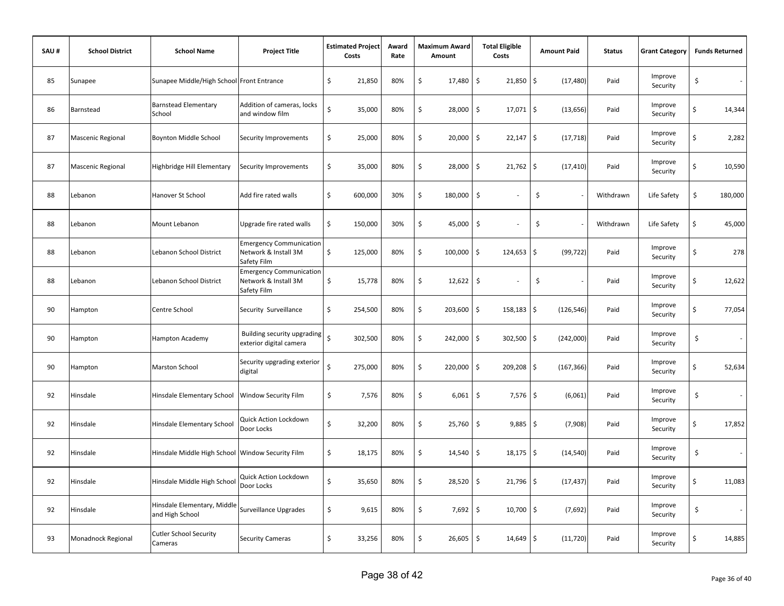| SAU# | <b>School District</b> | <b>School Name</b>                               | <b>Project Title</b>                                                  | <b>Estimated Project</b><br>Costs |         | Award<br>Rate | <b>Maximum Award</b><br>Amount |         | <b>Total Eligible</b><br>Costs     | <b>Amount Paid</b> | <b>Status</b> | <b>Grant Category</b> | <b>Funds Returned</b> |         |
|------|------------------------|--------------------------------------------------|-----------------------------------------------------------------------|-----------------------------------|---------|---------------|--------------------------------|---------|------------------------------------|--------------------|---------------|-----------------------|-----------------------|---------|
| 85   | Sunapee                | Sunapee Middle/High School Front Entrance        |                                                                       | \$                                | 21,850  | 80%           | \$                             | 17,480  | \$<br>21,850                       | \$<br>(17, 480)    | Paid          | Improve<br>Security   | \$                    | $\sim$  |
| 86   | Barnstead              | <b>Barnstead Elementary</b><br>School            | Addition of cameras, locks<br>and window film                         | \$                                | 35,000  | 80%           | \$                             | 28,000  | \$<br>17,071                       | \$<br>(13, 656)    | Paid          | Improve<br>Security   | \$                    | 14,344  |
| 87   | Mascenic Regional      | <b>Boynton Middle School</b>                     | Security Improvements                                                 | \$                                | 25,000  | 80%           | \$                             | 20,000  | \$<br>$22,147$ \$                  | (17, 718)          | Paid          | Improve<br>Security   | Ś                     | 2,282   |
| 87   | Mascenic Regional      | Highbridge Hill Elementary                       | Security Improvements                                                 | \$                                | 35,000  | 80%           | \$                             | 28,000  | $\ddot{\mathsf{S}}$<br>$21,762$ \$ | (17, 410)          | Paid          | Improve<br>Security   | \$                    | 10,590  |
| 88   | Lebanon                | Hanover St School                                | Add fire rated walls                                                  | \$                                | 600,000 | 30%           | \$                             | 180,000 | $\zeta$<br>÷.                      | \$                 | Withdrawn     | Life Safety           | \$                    | 180,000 |
| 88   | Lebanon                | Mount Lebanon                                    | Upgrade fire rated walls                                              | \$                                | 150,000 | 30%           | \$                             | 45,000  | \$                                 | \$                 | Withdrawn     | Life Safety           | \$                    | 45,000  |
| 88   | Lebanon                | Lebanon School District                          | <b>Emergency Communication</b><br>Network & Install 3M<br>Safety Film | \$                                | 125,000 | 80%           | \$                             | 100,000 | \$<br>124,653                      | \$<br>(99, 722)    | Paid          | Improve<br>Security   | \$                    | 278     |
| 88   | Lebanon                | Lebanon School District                          | <b>Emergency Communication</b><br>Network & Install 3M<br>Safety Film | \$                                | 15,778  | 80%           | \$                             | 12,622  | \$                                 | \$                 | Paid          | Improve<br>Security   | \$                    | 12,622  |
| 90   | Hampton                | Centre School                                    | Security Surveillance                                                 | \$                                | 254,500 | 80%           | \$                             | 203,600 | \$<br>158,183                      | \$<br>(126, 546)   | Paid          | Improve<br>Security   | \$                    | 77,054  |
| 90   | Hampton                | <b>Hampton Academy</b>                           | Building security upgrading<br>exterior digital camera                | $\dot{\mathsf{S}}$                | 302,500 | 80%           | \$                             | 242,000 | $\ddot{\mathsf{S}}$<br>302,500     | \$<br>(242,000)    | Paid          | Improve<br>Security   | \$                    | $\sim$  |
| 90   | Hampton                | <b>Marston School</b>                            | Security upgrading exterior<br>digital                                | Ś                                 | 275,000 | 80%           | \$                             | 220,000 | $\ddot{\mathsf{S}}$<br>209,208     | \$<br>(167, 366)   | Paid          | Improve<br>Security   | \$                    | 52,634  |
| 92   | Hinsdale               | Hinsdale Elementary School                       | Window Security Film                                                  | \$                                | 7,576   | 80%           | \$                             | 6,061   | \$<br>$7,576$ \$                   | (6,061)            | Paid          | Improve<br>Security   | \$                    |         |
| 92   | Hinsdale               | Hinsdale Elementary School                       | Quick Action Lockdown<br>Door Locks                                   | \$                                | 32,200  | 80%           | \$                             | 25,760  | \$<br>$9,885$ \$                   | (7,908)            | Paid          | Improve<br>Security   | \$                    | 17,852  |
| 92   | Hinsdale               | Hinsdale Middle High School Window Security Film |                                                                       | \$                                | 18,175  | 80%           | \$                             | 14,540  | \$<br>18,175                       | \$<br>(14, 540)    | Paid          | Improve<br>Security   | \$                    | $\sim$  |
| 92   | Hinsdale               | Hinsdale Middle High School                      | Quick Action Lockdown<br>Door Locks                                   | \$                                | 35,650  | 80%           | \$                             | 28,520  | \$<br>21,796                       | \$<br>(17, 437)    | Paid          | Improve<br>Security   | \$                    | 11,083  |
| 92   | Hinsdale               | Hinsdale Elementary, Middle<br>and High School   | Surveillance Upgrades                                                 | \$                                | 9,615   | 80%           | \$                             | 7,692   | \$<br>10,700                       | \$<br>(7,692)      | Paid          | Improve<br>Security   | \$                    |         |
| 93   | Monadnock Regional     | Cutler School Security<br>Cameras                | <b>Security Cameras</b>                                               | \$                                | 33,256  | 80%           | \$                             | 26,605  | \$<br>$14,649$ \$                  | (11, 720)          | Paid          | Improve<br>Security   | \$                    | 14,885  |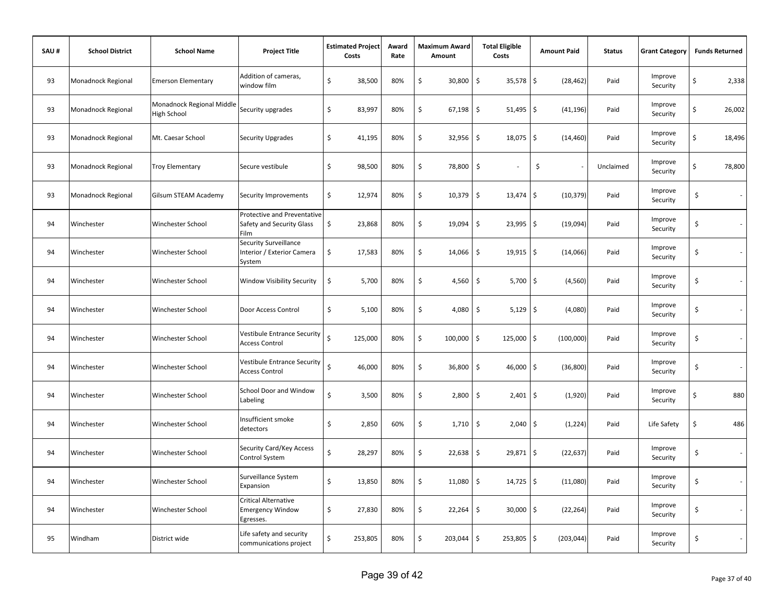| SAU# | <b>School District</b>    | <b>School Name</b>                       | <b>Project Title</b>                                                    |    | <b>Estimated Project</b><br>Award<br>Costs |     | Maximum Award<br>Amount |              | <b>Total Eligible</b><br>Costs | <b>Amount Paid</b>   | <b>Status</b> | <b>Grant Category</b> | <b>Funds Returned</b> |        |
|------|---------------------------|------------------------------------------|-------------------------------------------------------------------------|----|--------------------------------------------|-----|-------------------------|--------------|--------------------------------|----------------------|---------------|-----------------------|-----------------------|--------|
| 93   | Monadnock Regional        | <b>Emerson Elementary</b>                | Addition of cameras,<br>window film                                     | \$ | 38,500                                     | 80% | \$                      | 30,800       | \$<br>35,578                   | \$<br>(28, 462)      | Paid          | Improve<br>Security   | \$                    | 2,338  |
| 93   | <b>Monadnock Regional</b> | Monadnock Regional Middle<br>High School | Security upgrades                                                       | \$ | 83,997                                     | 80% | \$                      | 67,198       | \$<br>51,495                   | \$<br>(41, 196)      | Paid          | Improve<br>Security   | \$                    | 26,002 |
| 93   | Monadnock Regional        | Mt. Caesar School                        | Security Upgrades                                                       | \$ | 41,195                                     | 80% | \$                      | 32,956       | \$<br>18,075                   | \$<br>(14, 460)      | Paid          | Improve<br>Security   | \$                    | 18,496 |
| 93   | <b>Monadnock Regional</b> | <b>Troy Elementary</b>                   | Secure vestibule                                                        | \$ | 98,500                                     | 80% | \$                      | 78,800       | \$                             | \$<br>$\overline{a}$ | Unclaimed     | Improve<br>Security   | \$                    | 78,800 |
| 93   | <b>Monadnock Regional</b> | Gilsum STEAM Academy                     | Security Improvements                                                   | \$ | 12,974                                     | 80% | \$                      | 10,379       | \$<br>13,474                   | l\$<br>(10, 379)     | Paid          | Improve<br>Security   | \$                    |        |
| 94   | Winchester                | Winchester School                        | <b>Protective and Preventative</b><br>Safety and Security Glass<br>Film | \$ | 23,868                                     | 80% | \$                      | 19,094       | \$<br>$23,995$ \$              | (19,094)             | Paid          | Improve<br>Security   | \$                    |        |
| 94   | Winchester                | Winchester School                        | Security Surveillance<br>Interior / Exterior Camera<br>System           | \$ | 17,583                                     | 80% | \$                      | 14,066       | \$<br>$19,915$ \$              | (14,066)             | Paid          | Improve<br>Security   | \$                    |        |
| 94   | Winchester                | Winchester School                        | Window Visibility Security                                              | \$ | 5,700                                      | 80% | \$                      | 4,560        | \$<br>5,700                    | \$<br>(4, 560)       | Paid          | Improve<br>Security   | \$                    |        |
| 94   | Winchester                | Winchester School                        | Door Access Control                                                     | \$ | 5,100                                      | 80% | \$                      | 4,080        | \$<br>$5,129$ \$               | (4,080)              | Paid          | Improve<br>Security   | \$                    |        |
| 94   | Winchester                | Winchester School                        | Vestibule Entrance Security<br><b>Access Control</b>                    | Ś  | 125,000                                    | 80% | \$                      | 100,000      | \$<br>$125,000$ \$             | (100,000)            | Paid          | Improve<br>Security   | \$                    |        |
| 94   | Winchester                | Winchester School                        | <b>Vestibule Entrance Security</b><br><b>Access Control</b>             | Ś  | 46,000                                     | 80% | \$                      | 36,800       | \$<br>$46,000$ \$              | (36, 800)            | Paid          | Improve<br>Security   | \$                    |        |
| 94   | Winchester                | Winchester School                        | School Door and Window<br>Labeling                                      | \$ | 3,500                                      | 80% | \$                      | 2,800        | \$<br>$2,401$ \$               | (1,920)              | Paid          | Improve<br>Security   | \$                    | 880    |
| 94   | Winchester                | Winchester School                        | Insufficient smoke<br>detectors                                         | \$ | 2,850                                      | 60% | \$                      | 1,710        | \$<br>$2,040$ \$               | (1, 224)             | Paid          | Life Safety           | \$                    | 486    |
| 94   | Winchester                | Winchester School                        | Security Card/Key Access<br>Control System                              | \$ | 28,297                                     | 80% | \$                      | 22,638       | \$<br>29,871 \$                | (22, 637)            | Paid          | Improve<br>Security   | \$                    |        |
| 94   | Winchester                | Winchester School                        | Surveillance System<br>Expansion                                        | \$ | 13,850                                     | 80% | \$                      | 11,080       | \$<br>$14,725$ \$              | (11,080)             | Paid          | Improve<br>Security   | \$                    |        |
| 94   | Winchester                | Winchester School                        | Critical Alternative<br>Emergency Window<br>Egresses.                   | \$ | 27,830                                     | 80% | \$                      | 22,264       | \$<br>$30,000$ \$              | (22, 264)            | Paid          | Improve<br>Security   | \$                    |        |
| 95   | Windham                   | District wide                            | Life safety and security<br>communications project                      | \$ | 253,805                                    | 80% | \$                      | $203,044$ \$ | $253,805$ \$                   | (203, 044)           | Paid          | Improve<br>Security   | \$                    |        |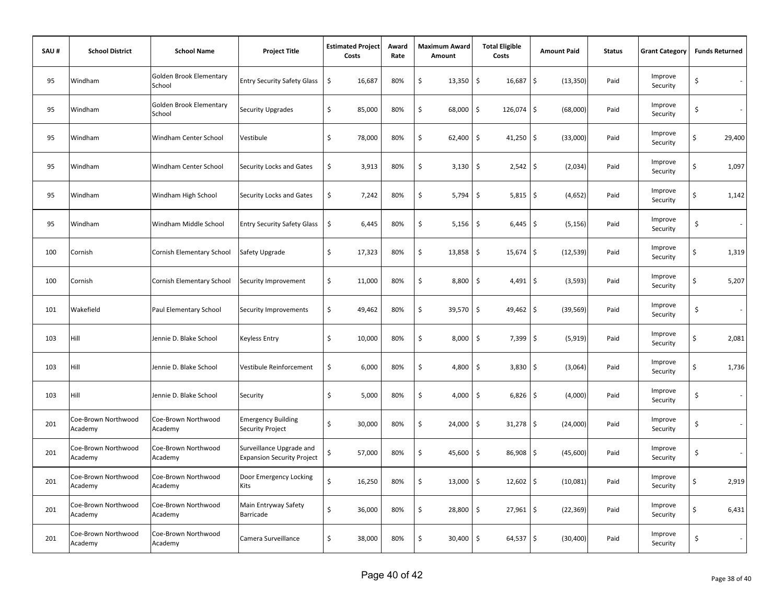| SAU# | <b>School District</b>         | <b>School Name</b>                | <b>Project Title</b>                                          | Costs | <b>Estimated Project</b> | Award<br>Rate | <b>Maximum Award</b><br>Amount |            | <b>Total Eligible</b><br>Costs     | <b>Amount Paid</b> | <b>Status</b> |                     | <b>Funds Returned</b> |        |
|------|--------------------------------|-----------------------------------|---------------------------------------------------------------|-------|--------------------------|---------------|--------------------------------|------------|------------------------------------|--------------------|---------------|---------------------|-----------------------|--------|
| 95   | Windham                        | Golden Brook Elementary<br>School | <b>Entry Security Safety Glass</b>                            | \$    | 16,687                   | 80%           | \$                             | 13,350     | \$<br>16,687 \$                    | (13, 350)          | Paid          | Improve<br>Security | \$                    | $\sim$ |
| 95   | Windham                        | Golden Brook Elementary<br>School | Security Upgrades                                             | \$    | 85,000                   | 80%           | \$                             | 68,000     | \$<br>126,074 \$                   | (68,000)           | Paid          | Improve<br>Security | \$                    | $\sim$ |
| 95   | Windham                        | Windham Center School             | Vestibule                                                     | \$    | 78,000                   | 80%           | \$                             | 62,400     | \$<br>$41,250$ \$                  | (33,000)           | Paid          | Improve<br>Security | \$                    | 29,400 |
| 95   | Windham                        | Windham Center School             | <b>Security Locks and Gates</b>                               | \$    | 3,913                    | 80%           | \$                             | $3,130$ \$ | $2,542$ \$                         | (2,034)            | Paid          | Improve<br>Security | \$                    | 1,097  |
| 95   | Windham                        | Windham High School               | Security Locks and Gates                                      | \$    | 7,242                    | 80%           | \$                             | 5,794      | \$<br>$5,815$ \$                   | (4,652)            | Paid          | Improve<br>Security | \$                    | 1,142  |
| 95   | Windham                        | Windham Middle School             | <b>Entry Security Safety Glass</b>                            | \$    | 6,445                    | 80%           | \$                             | 5,156      | \$<br>$6,445$ \$                   | (5, 156)           | Paid          | Improve<br>Security | \$                    |        |
| 100  | Cornish                        | Cornish Elementary School         | Safety Upgrade                                                | \$    | 17,323                   | 80%           | \$                             | 13,858     | $\ddot{\mathsf{S}}$<br>$15,674$ \$ | (12, 539)          | Paid          | Improve<br>Security | \$                    | 1,319  |
| 100  | Cornish                        | Cornish Elementary School         | Security Improvement                                          | \$    | 11,000                   | 80%           | \$                             | 8,800      | \$<br>$4,491$ \$                   | (3, 593)           | Paid          | Improve<br>Security | \$                    | 5,207  |
| 101  | Wakefield                      | Paul Elementary School            | Security Improvements                                         | \$    | 49,462                   | 80%           | \$                             | 39,570     | $\mathsf{S}$<br>$49,462$ \$        | (39, 569)          | Paid          | Improve<br>Security | \$                    | $\sim$ |
| 103  | Hill                           | Jennie D. Blake School            | Keyless Entry                                                 | \$    | 10,000                   | 80%           | \$                             | 8,000      | $\ddot{\mathsf{S}}$<br>$7,399$ \$  | (5, 919)           | Paid          | Improve<br>Security | \$                    | 2,081  |
| 103  | Hill                           | Jennie D. Blake School            | Vestibule Reinforcement                                       | \$    | 6,000                    | 80%           | \$                             | 4,800 \$   | $3,830$ \$                         | (3,064)            | Paid          | Improve<br>Security | \$                    | 1,736  |
| 103  | Hill                           | Jennie D. Blake School            | Security                                                      | \$    | 5,000                    | 80%           | \$                             | 4,000      | \$<br>$6,826$ \$                   | (4,000)            | Paid          | Improve<br>Security | \$                    | $\sim$ |
| 201  | Coe-Brown Northwood<br>Academy | Coe-Brown Northwood<br>Academy    | <b>Emergency Building</b><br>Security Project                 | \$    | 30,000                   | 80%           | \$                             | 24,000     | $\ddot{\mathsf{S}}$<br>$31,278$ \$ | (24,000)           | Paid          | Improve<br>Security | \$                    |        |
| 201  | Coe-Brown Northwood<br>Academy | Coe-Brown Northwood<br>Academy    | Surveillance Upgrade and<br><b>Expansion Security Project</b> | \$    | 57,000                   | 80%           | \$                             | 45,600     | \$<br>86,908 \$                    | (45,600)           | Paid          | Improve<br>Security | \$                    | $\sim$ |
| 201  | Coe-Brown Northwood<br>Academy | Coe-Brown Northwood<br>Academy    | Door Emergency Locking<br>Kits                                | Ś     | 16,250                   | 80%           | \$                             | 13,000     | \$<br>$12,602$ \$                  | (10,081)           | Paid          | Improve<br>Security | \$                    | 2,919  |
| 201  | Coe-Brown Northwood<br>Academy | Coe-Brown Northwood<br>Academy    | Main Entryway Safety<br>Barricade                             | \$    | 36,000                   | 80%           | \$                             | 28,800     | $\ddot{\mathsf{S}}$<br>$27,961$ \$ | (22, 369)          | Paid          | Improve<br>Security | \$                    | 6,431  |
| 201  | Coe-Brown Northwood<br>Academy | Coe-Brown Northwood<br>Academy    | Camera Surveillance                                           | \$    | 38,000                   | 80%           | \$                             | 30,400     | \$<br>$64,537$ \$                  | (30, 400)          | Paid          | Improve<br>Security | \$                    | $\sim$ |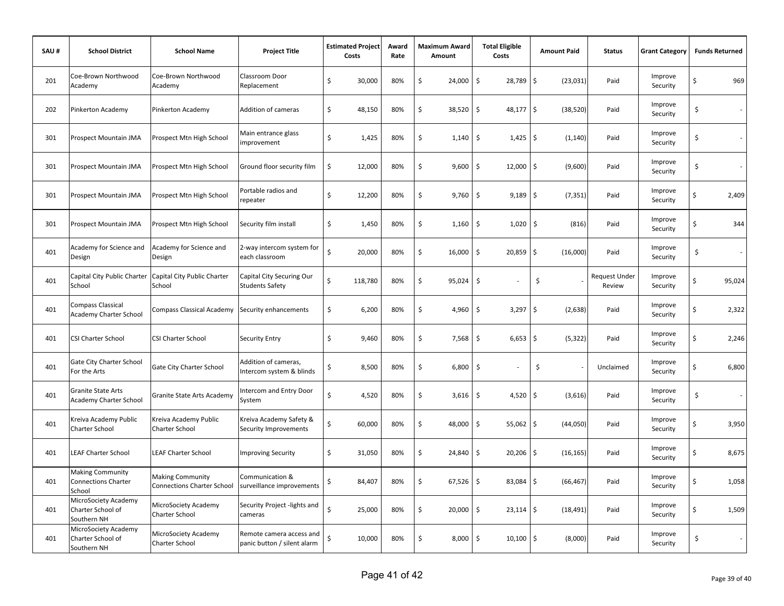| SAU# | <b>School District</b>                                          | <b>School Name</b>                                           | <b>Project Title</b>                                    | <b>Estimated Project</b><br>Costs | Award<br>Rate | Maximum Award<br>Amount |                     | <b>Total Eligible</b><br>Costs | <b>Amount Paid</b> | <b>Status</b>                  | <b>Grant Category</b> | <b>Funds Returned</b> |        |
|------|-----------------------------------------------------------------|--------------------------------------------------------------|---------------------------------------------------------|-----------------------------------|---------------|-------------------------|---------------------|--------------------------------|--------------------|--------------------------------|-----------------------|-----------------------|--------|
| 201  | Coe-Brown Northwood<br>Academy                                  | Coe-Brown Northwood<br>Academy                               | Classroom Door<br>Replacement                           | \$<br>30,000                      | 80%           | \$<br>24,000            | \$                  | 28,789                         | \$<br>(23, 031)    | Paid                           | Improve<br>Security   | \$                    | 969    |
| 202  | Pinkerton Academy                                               | Pinkerton Academy                                            | Addition of cameras                                     | \$<br>48,150                      | 80%           | \$<br>38,520            | \$                  | 48,177                         | \$<br>(38, 520)    | Paid                           | Improve<br>Security   | \$                    |        |
| 301  | Prospect Mountain JMA                                           | Prospect Mtn High School                                     | Main entrance glass<br>improvement                      | \$<br>1,425                       | 80%           | \$<br>1,140             | \$                  | 1,425                          | \$<br>(1, 140)     | Paid                           | Improve<br>Security   | \$                    |        |
| 301  | Prospect Mountain JMA                                           | Prospect Mtn High School                                     | Ground floor security film                              | \$<br>12,000                      | 80%           | \$<br>9,600             | \$                  | 12,000                         | \$<br>(9,600)      | Paid                           | Improve<br>Security   | \$                    |        |
| 301  | Prospect Mountain JMA                                           | Prospect Mtn High School                                     | Portable radios and<br>repeater                         | Ś<br>12,200                       | 80%           | \$<br>9,760             | \$                  | 9,189                          | \$<br>(7, 351)     | Paid                           | Improve<br>Security   | \$                    | 2,409  |
| 301  | Prospect Mountain JMA                                           | Prospect Mtn High School                                     | Security film install                                   | \$<br>1,450                       | 80%           | \$<br>1,160             | \$                  | 1,020                          | \$<br>(816)        | Paid                           | Improve<br>Security   | \$                    | 344    |
| 401  | Academy for Science and<br>Design                               | Academy for Science and<br>Design                            | 2-way intercom system for<br>each classroom             | Ś<br>20,000                       | 80%           | \$<br>16,000            | \$                  | 20,859                         | \$<br>(16,000)     | Paid                           | Improve<br>Security   | \$                    |        |
| 401  | Capital City Public Charter<br>School                           | Capital City Public Charter<br>School                        | Capital City Securing Our<br><b>Students Safety</b>     | Ś<br>118,780                      | 80%           | \$<br>95,024            | \$                  |                                | \$                 | <b>Request Under</b><br>Review | Improve<br>Security   | \$                    | 95,024 |
| 401  | Compass Classical<br>Academy Charter School                     | Compass Classical Academy                                    | Security enhancements                                   | \$<br>6,200                       | 80%           | \$<br>4,960             | $\ddot{\mathsf{S}}$ | 3,297                          | \$<br>(2,638)      | Paid                           | Improve<br>Security   | \$                    | 2,322  |
| 401  | CSI Charter School                                              | CSI Charter School                                           | <b>Security Entry</b>                                   | \$<br>9,460                       | 80%           | \$<br>7,568             | \$                  | 6,653                          | \$<br>(5, 322)     | Paid                           | Improve<br>Security   | \$                    | 2,246  |
| 401  | Gate City Charter School<br>For the Arts                        | Gate City Charter School                                     | Addition of cameras,<br>Intercom system & blinds        | \$<br>8,500                       | 80%           | \$<br>6,800             | \$                  |                                | \$                 | Unclaimed                      | Improve<br>Security   | \$                    | 6,800  |
| 401  | Granite State Arts<br>Academy Charter School                    | Granite State Arts Academy                                   | Intercom and Entry Door<br>System                       | Ś<br>4,520                        | 80%           | \$<br>3,616             | $\sqrt{5}$          | 4,520                          | \$<br>(3,616)      | Paid                           | Improve<br>Security   | \$                    | ×.     |
| 401  | Kreiva Academy Public<br>Charter School                         | Kreiva Academy Public<br>Charter School                      | Kreiva Academy Safety &<br>Security Improvements        | \$<br>60,000                      | 80%           | \$<br>48,000            | \$                  | 55,062                         | \$<br>(44, 050)    | Paid                           | Improve<br>Security   | \$                    | 3,950  |
| 401  | <b>LEAF Charter School</b>                                      | <b>LEAF Charter School</b>                                   | <b>Improving Security</b>                               | \$<br>31,050                      | 80%           | \$<br>24,840            | \$                  | 20,206                         | \$<br>(16, 165)    | Paid                           | Improve<br>Security   | \$                    | 8,675  |
| 401  | <b>Making Community</b><br><b>Connections Charter</b><br>School | <b>Making Community</b><br><b>Connections Charter School</b> | Communication &<br>surveillance improvements            | \$<br>84,407                      | 80%           | \$<br>67,526            | \$                  | 83,084                         | \$<br>(66, 467)    | Paid                           | Improve<br>Security   | \$                    | 1,058  |
| 401  | MicroSociety Academy<br>Charter School of<br>Southern NH        | MicroSociety Academy<br>Charter School                       | Security Project -lights and<br>cameras                 | Ś<br>25,000                       | 80%           | \$<br>20,000            | \$                  | $23,114$ \$                    | (18, 491)          | Paid                           | Improve<br>Security   | \$                    | 1,509  |
| 401  | MicroSociety Academy<br>Charter School of<br>Southern NH        | MicroSociety Academy<br>Charter School                       | Remote camera access and<br>panic button / silent alarm | \$<br>10,000                      | 80%           | \$<br>8,000             | \$ ا                | $10,100$   \$                  | (8,000)            | Paid                           | Improve<br>Security   | \$                    |        |